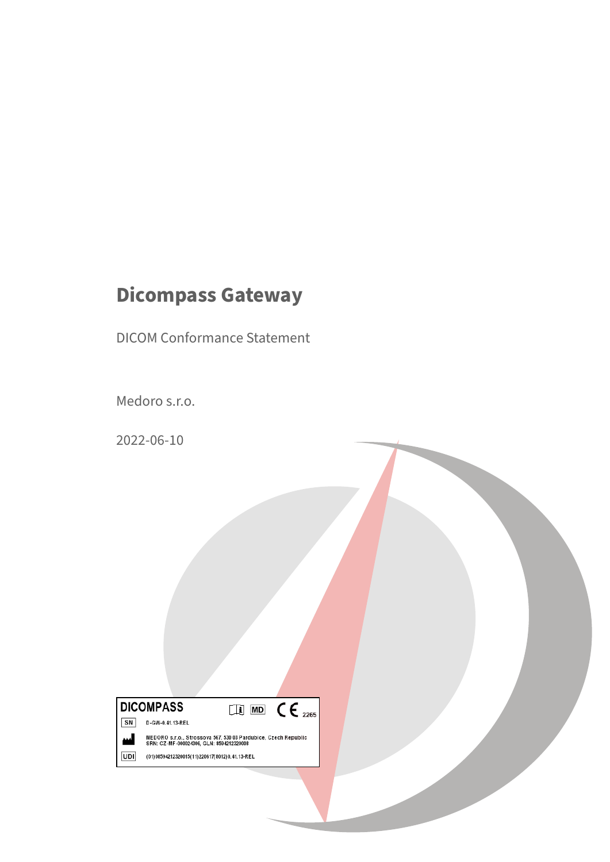# **Dicompass Gateway**

DICOM Conformance Statement

Medoro s.r.o.

2022-06-10



MEDORO s.r.o., Strossova 567, 530 03 Pardubice, Czech Republic<br>SRN: CZ-MF-000024306, GLN: 8594212320008 UDI

(01)08594212320015(11)220617(8012)0.41.13-REL

لىم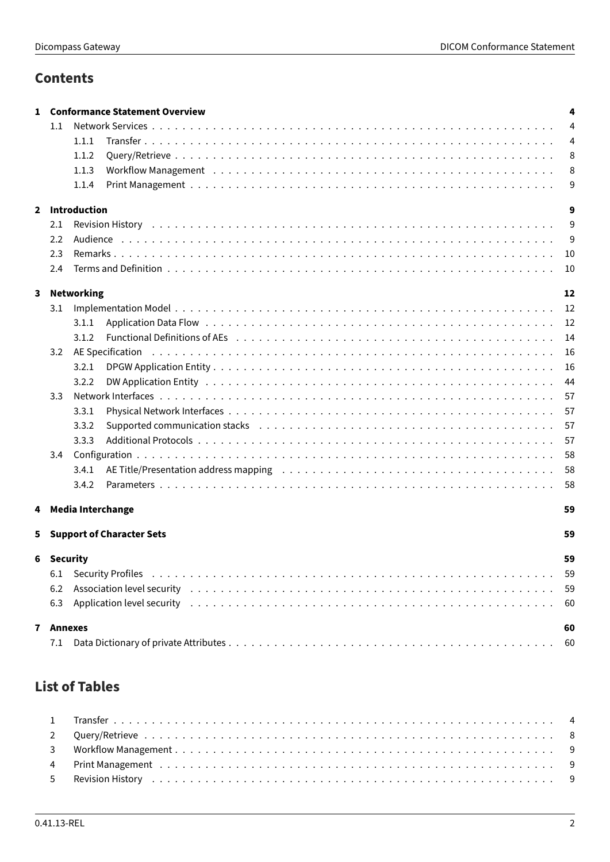# **Contents**

| 1            |          | <b>Conformance Statement Overview</b>                                                                                   | 4  |
|--------------|----------|-------------------------------------------------------------------------------------------------------------------------|----|
|              | $1.1\,$  |                                                                                                                         | 4  |
|              |          | 1.1.1                                                                                                                   | 4  |
|              |          | 1.1.2                                                                                                                   | 8  |
|              |          | 1.1.3                                                                                                                   | 8  |
|              |          | 1.1.4                                                                                                                   | 9  |
| $\mathbf{2}$ |          | <b>Introduction</b>                                                                                                     | 9  |
|              | 2.1      |                                                                                                                         | 9  |
|              | 2.2      |                                                                                                                         | 9  |
|              | 2.3      |                                                                                                                         | 10 |
|              | 2.4      |                                                                                                                         | 10 |
|              |          |                                                                                                                         |    |
| 3            |          | <b>Networking</b>                                                                                                       | 12 |
|              | 3.1      |                                                                                                                         | 12 |
|              |          | 3.1.1                                                                                                                   | 12 |
|              |          | 3.1.2                                                                                                                   | 14 |
|              | 3.2      | AE Specification                                                                                                        | 16 |
|              |          | 3.2.1                                                                                                                   | 16 |
|              |          | 3.2.2                                                                                                                   | 44 |
|              | 3.3      |                                                                                                                         | 57 |
|              |          | 3.3.1                                                                                                                   | 57 |
|              |          | Supported communication stacks (and all contained a series and a series and series and series are series and s<br>3.3.2 | 57 |
|              |          | 3.3.3                                                                                                                   | 57 |
|              | 3.4      |                                                                                                                         | 58 |
|              |          | 3.4.1                                                                                                                   | 58 |
|              |          | 3.4.2                                                                                                                   | 58 |
| 4            |          | <b>Media Interchange</b>                                                                                                | 59 |
| 5.           |          | <b>Support of Character Sets</b>                                                                                        | 59 |
| 6            | Security |                                                                                                                         | 59 |
|              | 6.1      |                                                                                                                         | 59 |
|              | 6.2      |                                                                                                                         | 59 |
|              | 6.3      |                                                                                                                         | 60 |
|              |          |                                                                                                                         |    |
| $\mathbf{7}$ | Annexes  |                                                                                                                         | 60 |
|              | 7.1      |                                                                                                                         | 60 |
|              |          |                                                                                                                         |    |

# **List of Tables**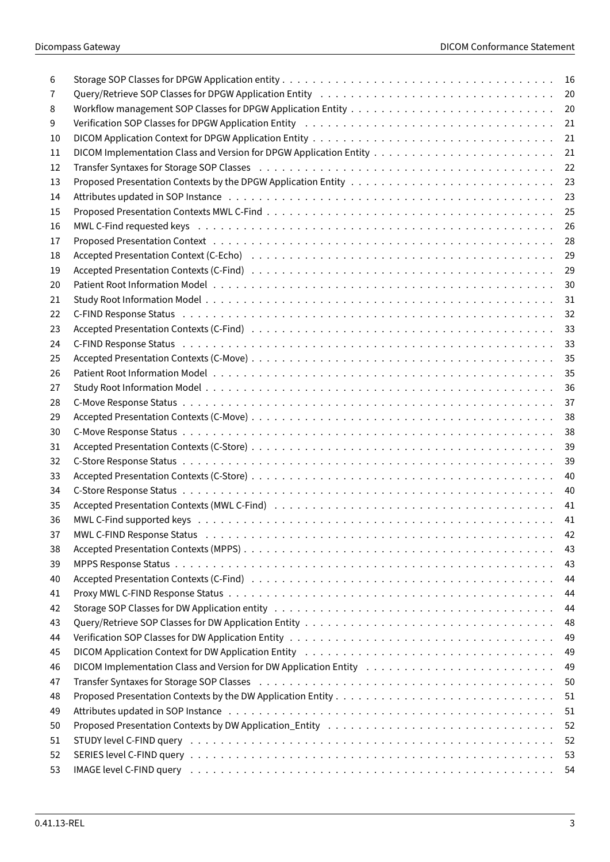| 6  |                                                                                                                                                                                                                                | 16  |
|----|--------------------------------------------------------------------------------------------------------------------------------------------------------------------------------------------------------------------------------|-----|
| 7  |                                                                                                                                                                                                                                | 20  |
| 8  |                                                                                                                                                                                                                                | 20  |
| 9  |                                                                                                                                                                                                                                | 21  |
| 10 |                                                                                                                                                                                                                                | 21  |
| 11 |                                                                                                                                                                                                                                | 21  |
| 12 |                                                                                                                                                                                                                                | 22  |
| 13 |                                                                                                                                                                                                                                | 23  |
| 14 |                                                                                                                                                                                                                                | 23  |
| 15 |                                                                                                                                                                                                                                | 25  |
| 16 |                                                                                                                                                                                                                                | 26  |
| 17 |                                                                                                                                                                                                                                | 28  |
| 18 |                                                                                                                                                                                                                                | 29  |
| 19 |                                                                                                                                                                                                                                | 29  |
| 20 |                                                                                                                                                                                                                                | 30  |
|    |                                                                                                                                                                                                                                |     |
| 21 |                                                                                                                                                                                                                                | 31  |
| 22 |                                                                                                                                                                                                                                | 32  |
| 23 | Accepted Presentation Contexts (C-Find) (and also contained a series of the series of the series of the series                                                                                                                 | 33  |
| 24 |                                                                                                                                                                                                                                | 33  |
| 25 |                                                                                                                                                                                                                                | 35  |
| 26 |                                                                                                                                                                                                                                | 35  |
| 27 |                                                                                                                                                                                                                                | 36  |
| 28 |                                                                                                                                                                                                                                | 37  |
| 29 |                                                                                                                                                                                                                                | 38  |
| 30 |                                                                                                                                                                                                                                | 38  |
| 31 |                                                                                                                                                                                                                                | 39  |
| 32 |                                                                                                                                                                                                                                | 39  |
| 33 |                                                                                                                                                                                                                                | 40  |
| 34 |                                                                                                                                                                                                                                | 40  |
| 35 |                                                                                                                                                                                                                                | 41  |
| 36 |                                                                                                                                                                                                                                | 41  |
| 37 |                                                                                                                                                                                                                                | 42  |
| 38 |                                                                                                                                                                                                                                | 43  |
| 39 |                                                                                                                                                                                                                                | 43  |
| 40 |                                                                                                                                                                                                                                | 44  |
| 41 |                                                                                                                                                                                                                                | 44  |
| 42 |                                                                                                                                                                                                                                | 44  |
| 43 |                                                                                                                                                                                                                                | 48  |
| 44 |                                                                                                                                                                                                                                | 49  |
| 45 |                                                                                                                                                                                                                                | 49  |
|    |                                                                                                                                                                                                                                |     |
| 46 |                                                                                                                                                                                                                                | 49  |
| 47 | Transfer Syntaxes for Storage SOP Classes (and contact and contact and contact and contact and contact and contact and contact and contact and contact and contact and contact and contact and contact and contact and contact | 50  |
| 48 |                                                                                                                                                                                                                                | 51  |
| 49 |                                                                                                                                                                                                                                | 51  |
| 50 |                                                                                                                                                                                                                                | 52  |
| 51 |                                                                                                                                                                                                                                | 52  |
| 52 |                                                                                                                                                                                                                                | -53 |
| 53 | IMAGE level C-FIND query editors are assessed to contact the contract of the contract of the contract of the c                                                                                                                 |     |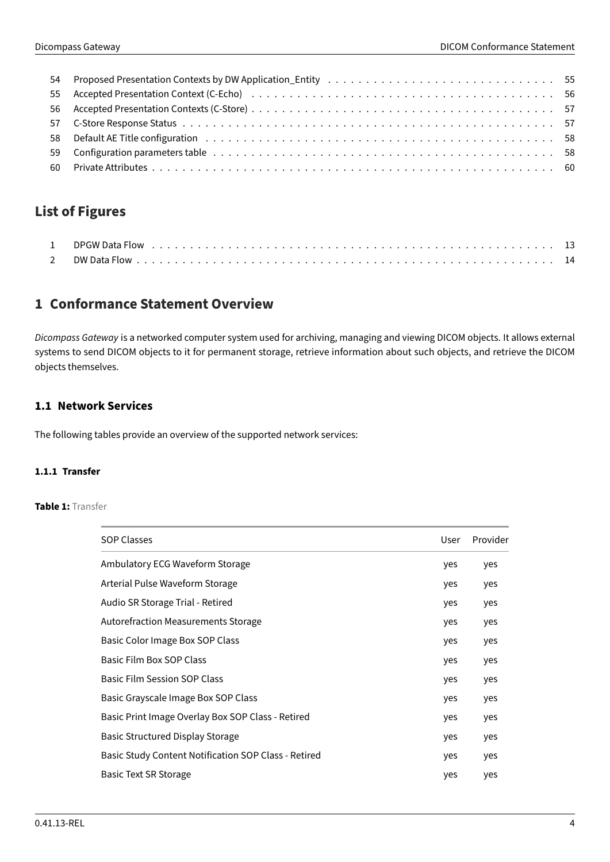| 58 Default AE Title configuration education of the content of the content of the content of the content of the content of the content of the content of the content of the content of the content of the content of the conten |  |
|--------------------------------------------------------------------------------------------------------------------------------------------------------------------------------------------------------------------------------|--|
|                                                                                                                                                                                                                                |  |
|                                                                                                                                                                                                                                |  |
|                                                                                                                                                                                                                                |  |

# **List of Figures**

# <span id="page-3-0"></span>**1 Conformance Statement Overview**

Dicompass Gateway is a networked computer system used for archiving, managing and viewing DICOM objects. It allows external systems to send DICOM objects to it for permanent storage, retrieve information about such objects, and retrieve the DICOM objects themselves.

# <span id="page-3-1"></span>**1.1 Network Services**

The following tables provide an overview of the supported network services:

# <span id="page-3-3"></span><span id="page-3-2"></span>**1.1.1 Transfer**

# **Table 1:** Transfer

| <b>SOP Classes</b>                                   | User | Provider |
|------------------------------------------------------|------|----------|
| Ambulatory ECG Waveform Storage                      | yes  | yes      |
| Arterial Pulse Waveform Storage                      | yes  | yes      |
| Audio SR Storage Trial - Retired                     | yes  | yes      |
| <b>Autorefraction Measurements Storage</b>           | yes  | yes      |
| Basic Color Image Box SOP Class                      | yes  | yes      |
| Basic Film Box SOP Class                             | yes  | yes      |
| <b>Basic Film Session SOP Class</b>                  | yes  | yes      |
| Basic Grayscale Image Box SOP Class                  | yes  | yes      |
| Basic Print Image Overlay Box SOP Class - Retired    | yes  | yes      |
| <b>Basic Structured Display Storage</b>              | yes  | yes      |
| Basic Study Content Notification SOP Class - Retired | yes  | yes      |
| Basic Text SR Storage                                | yes  | yes      |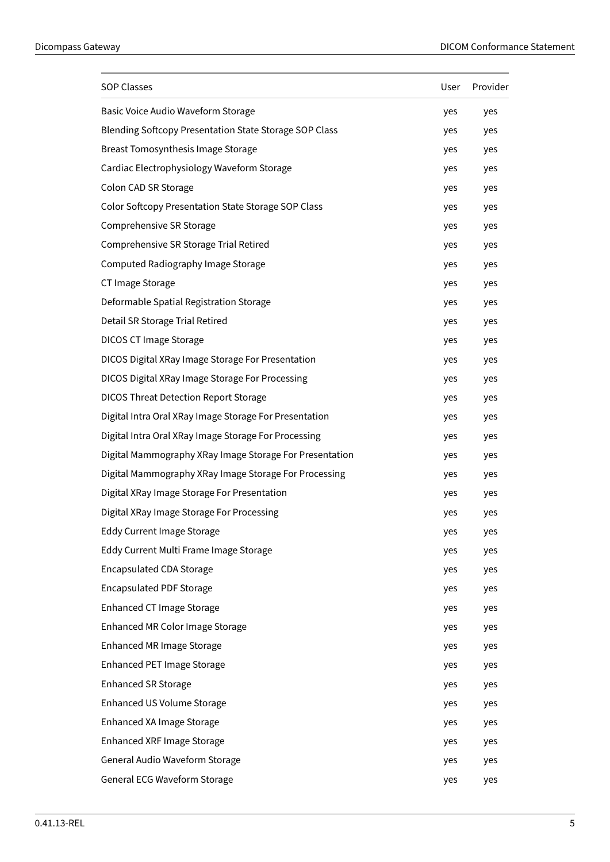| <b>SOP Classes</b>                                      | User | Provider |
|---------------------------------------------------------|------|----------|
| Basic Voice Audio Waveform Storage                      | yes  | yes      |
| Blending Softcopy Presentation State Storage SOP Class  | yes  | yes      |
| Breast Tomosynthesis Image Storage                      | yes  | yes      |
| Cardiac Electrophysiology Waveform Storage              | yes  | yes      |
| Colon CAD SR Storage                                    | yes  | yes      |
| Color Softcopy Presentation State Storage SOP Class     | yes  | yes      |
| Comprehensive SR Storage                                | yes  | yes      |
| Comprehensive SR Storage Trial Retired                  | yes  | yes      |
| Computed Radiography Image Storage                      | yes  | yes      |
| CT Image Storage                                        | yes  | yes      |
| Deformable Spatial Registration Storage                 | yes  | yes      |
| Detail SR Storage Trial Retired                         | yes  | yes      |
| <b>DICOS CT Image Storage</b>                           | yes  | yes      |
| DICOS Digital XRay Image Storage For Presentation       | yes  | yes      |
| DICOS Digital XRay Image Storage For Processing         | yes  | yes      |
| <b>DICOS Threat Detection Report Storage</b>            | yes  | yes      |
| Digital Intra Oral XRay Image Storage For Presentation  | yes  | yes      |
| Digital Intra Oral XRay Image Storage For Processing    | yes  | yes      |
| Digital Mammography XRay Image Storage For Presentation | yes  | yes      |
| Digital Mammography XRay Image Storage For Processing   | yes  | yes      |
| Digital XRay Image Storage For Presentation             | yes  | yes      |
| Digital XRay Image Storage For Processing               | yes  | yes      |
| <b>Eddy Current Image Storage</b>                       | yes  | yes      |
| Eddy Current Multi Frame Image Storage                  | yes  | yes      |
| <b>Encapsulated CDA Storage</b>                         | yes  | yes      |
| <b>Encapsulated PDF Storage</b>                         | yes  | yes      |
| <b>Enhanced CT Image Storage</b>                        | yes  | yes      |
| Enhanced MR Color Image Storage                         | yes  | yes      |
| Enhanced MR Image Storage                               | yes  | yes      |
| Enhanced PET Image Storage                              | yes  | yes      |
| <b>Enhanced SR Storage</b>                              | yes  | yes      |
| Enhanced US Volume Storage                              | yes  | yes      |
| Enhanced XA Image Storage                               | yes  | yes      |
| Enhanced XRF Image Storage                              | yes  | yes      |
| General Audio Waveform Storage                          | yes  | yes      |
| General ECG Waveform Storage                            | yes  | yes      |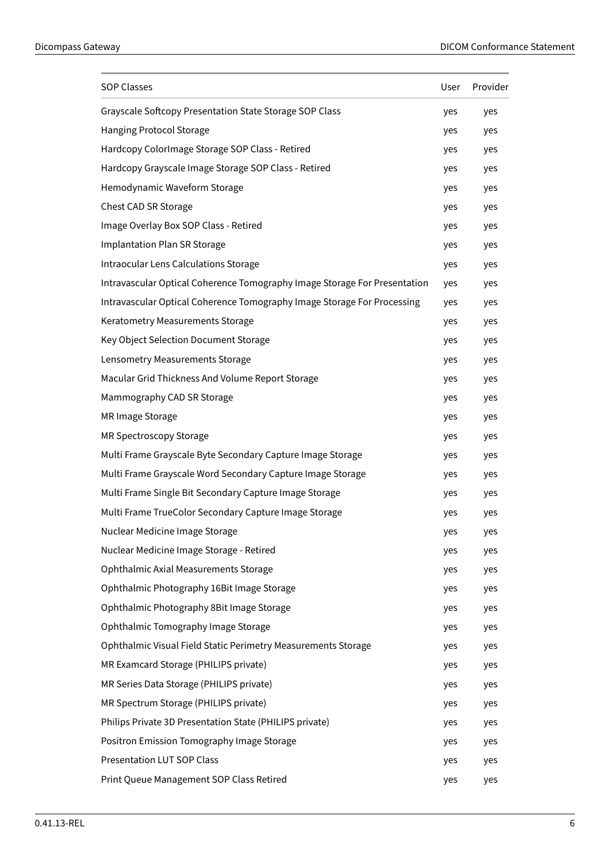| <b>SOP Classes</b>                                                        | User | Provider |
|---------------------------------------------------------------------------|------|----------|
| Grayscale Softcopy Presentation State Storage SOP Class                   | yes  | yes      |
| Hanging Protocol Storage                                                  | yes  | yes      |
| Hardcopy ColorImage Storage SOP Class - Retired                           | yes  | yes      |
| Hardcopy Grayscale Image Storage SOP Class - Retired                      | yes  | yes      |
| Hemodynamic Waveform Storage                                              | yes  | yes      |
| Chest CAD SR Storage                                                      | yes  | yes      |
| Image Overlay Box SOP Class - Retired                                     | yes  | yes      |
| Implantation Plan SR Storage                                              | yes  | yes      |
| Intraocular Lens Calculations Storage                                     | yes  | yes      |
| Intravascular Optical Coherence Tomography Image Storage For Presentation | yes  | yes      |
| Intravascular Optical Coherence Tomography Image Storage For Processing   | yes  | yes      |
| Keratometry Measurements Storage                                          | yes  | yes      |
| Key Object Selection Document Storage                                     | yes  | yes      |
| Lensometry Measurements Storage                                           | yes  | yes      |
| Macular Grid Thickness And Volume Report Storage                          | yes  | yes      |
| Mammography CAD SR Storage                                                | yes  | yes      |
| MR Image Storage                                                          | yes  | yes      |
| MR Spectroscopy Storage                                                   | yes  | yes      |
| Multi Frame Grayscale Byte Secondary Capture Image Storage                | yes  | yes      |
| Multi Frame Grayscale Word Secondary Capture Image Storage                | yes  | yes      |
| Multi Frame Single Bit Secondary Capture Image Storage                    | yes  | yes      |
| Multi Frame TrueColor Secondary Capture Image Storage                     | yes  | yes      |
| Nuclear Medicine Image Storage                                            | yes  | yes      |
| Nuclear Medicine Image Storage - Retired                                  | yes  | yes      |
| Ophthalmic Axial Measurements Storage                                     | yes  | yes      |
| Ophthalmic Photography 16Bit Image Storage                                | yes  | yes      |
| Ophthalmic Photography 8Bit Image Storage                                 | yes  | yes      |
| Ophthalmic Tomography Image Storage                                       | yes  | yes      |
| Ophthalmic Visual Field Static Perimetry Measurements Storage             | yes  | yes      |
| MR Examcard Storage (PHILIPS private)                                     | yes  | yes      |
| MR Series Data Storage (PHILIPS private)                                  | yes  | yes      |
| MR Spectrum Storage (PHILIPS private)                                     | yes  | yes      |
| Philips Private 3D Presentation State (PHILIPS private)                   | yes  | yes      |
| Positron Emission Tomography Image Storage                                | yes  | yes      |
| <b>Presentation LUT SOP Class</b>                                         | yes  | yes      |
| Print Queue Management SOP Class Retired                                  | yes  | yes      |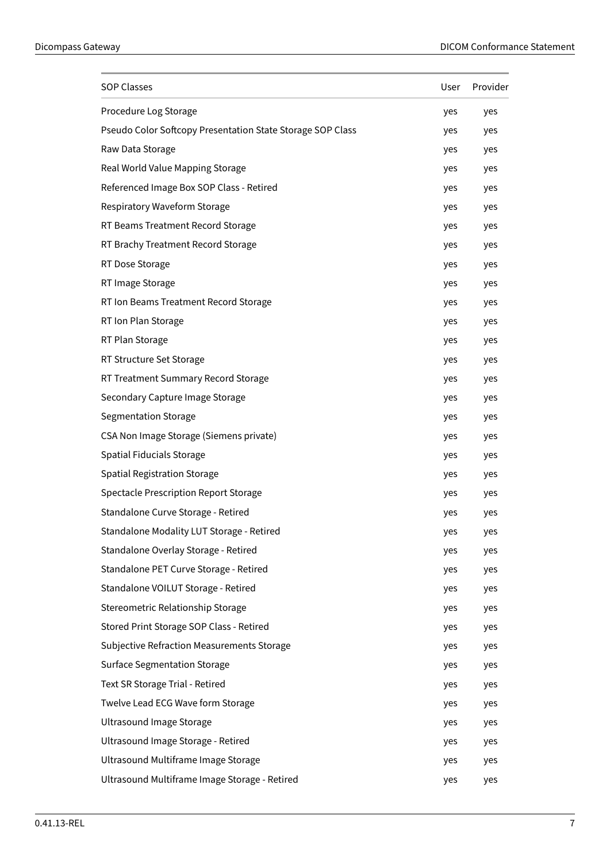| <b>SOP Classes</b>                                         | User | Provider |
|------------------------------------------------------------|------|----------|
| Procedure Log Storage                                      | yes  | yes      |
| Pseudo Color Softcopy Presentation State Storage SOP Class | yes  | yes      |
| Raw Data Storage                                           | yes  | yes      |
| Real World Value Mapping Storage                           | yes  | yes      |
| Referenced Image Box SOP Class - Retired                   | yes  | yes      |
| Respiratory Waveform Storage                               | yes  | yes      |
| RT Beams Treatment Record Storage                          | yes  | yes      |
| RT Brachy Treatment Record Storage                         | yes  | yes      |
| RT Dose Storage                                            | yes  | yes      |
| RT Image Storage                                           | yes  | yes      |
| RT Ion Beams Treatment Record Storage                      | yes  | yes      |
| RT Ion Plan Storage                                        | yes  | yes      |
| RT Plan Storage                                            | yes  | yes      |
| RT Structure Set Storage                                   | yes  | yes      |
| RT Treatment Summary Record Storage                        | yes  | yes      |
| Secondary Capture Image Storage                            | yes  | yes      |
| Segmentation Storage                                       | yes  | yes      |
| CSA Non Image Storage (Siemens private)                    | yes  | yes      |
| Spatial Fiducials Storage                                  | yes  | yes      |
| <b>Spatial Registration Storage</b>                        | yes  | yes      |
| Spectacle Prescription Report Storage                      | yes  | yes      |
| Standalone Curve Storage - Retired                         | yes  | yes      |
| Standalone Modality LUT Storage - Retired                  | yes  | yes      |
| Standalone Overlay Storage - Retired                       | yes  | yes      |
| Standalone PET Curve Storage - Retired                     | yes  | yes      |
| Standalone VOILUT Storage - Retired                        | yes  | yes      |
| Stereometric Relationship Storage                          | yes  | yes      |
| Stored Print Storage SOP Class - Retired                   | yes  | yes      |
| Subjective Refraction Measurements Storage                 | yes  | yes      |
| <b>Surface Segmentation Storage</b>                        | yes  | yes      |
| Text SR Storage Trial - Retired                            | yes  | yes      |
| Twelve Lead ECG Wave form Storage                          | yes  | yes      |
| <b>Ultrasound Image Storage</b>                            | yes  | yes      |
| Ultrasound Image Storage - Retired                         | yes  | yes      |
| Ultrasound Multiframe Image Storage                        | yes  | yes      |
| Ultrasound Multiframe Image Storage - Retired              | yes  | yes      |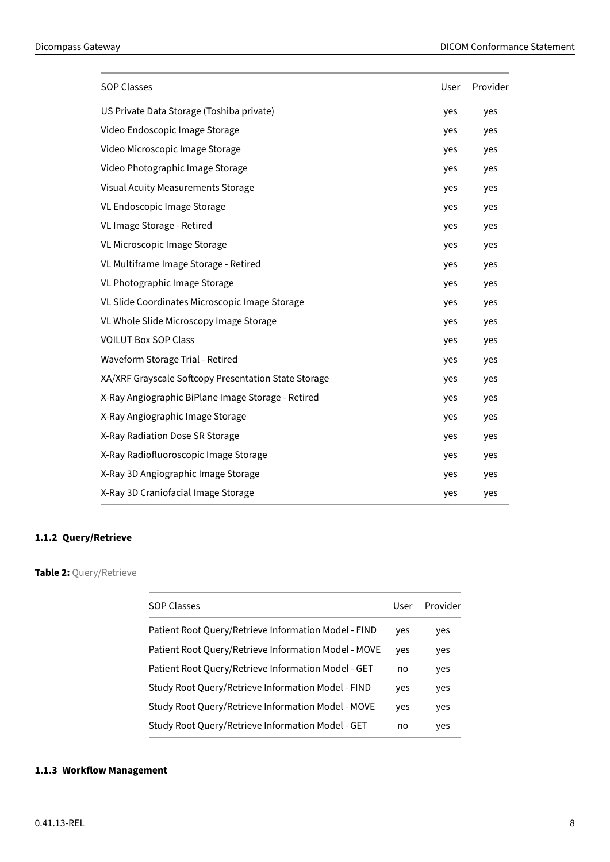| <b>SOP Classes</b>                                   |     | Provider |
|------------------------------------------------------|-----|----------|
| US Private Data Storage (Toshiba private)            | yes | yes      |
| Video Endoscopic Image Storage                       | yes | yes      |
| Video Microscopic Image Storage                      | yes | yes      |
| Video Photographic Image Storage                     | yes | yes      |
| Visual Acuity Measurements Storage                   | yes | yes      |
| VL Endoscopic Image Storage                          | yes | yes      |
| VL Image Storage - Retired                           | yes | yes      |
| VL Microscopic Image Storage                         | yes | yes      |
| VL Multiframe Image Storage - Retired                | yes | yes      |
| VL Photographic Image Storage                        | yes | yes      |
| VL Slide Coordinates Microscopic Image Storage       | yes | yes      |
| VL Whole Slide Microscopy Image Storage              | yes | yes      |
| <b>VOILUT Box SOP Class</b>                          | yes | yes      |
| Waveform Storage Trial - Retired                     | yes | yes      |
| XA/XRF Grayscale Softcopy Presentation State Storage | yes | yes      |
| X-Ray Angiographic BiPlane Image Storage - Retired   | yes | yes      |
| X-Ray Angiographic Image Storage                     | yes | yes      |
| X-Ray Radiation Dose SR Storage                      | yes | yes      |
| X-Ray Radiofluoroscopic Image Storage                | yes | yes      |
| X-Ray 3D Angiographic Image Storage                  | yes | yes      |
| X-Ray 3D Craniofacial Image Storage                  | yes | yes      |

# <span id="page-7-0"></span>**1.1.2 Query/Retrieve**

# <span id="page-7-2"></span>**Table 2:** Query/Retrieve

| <b>SOP Classes</b>                                   | User | Provider |
|------------------------------------------------------|------|----------|
| Patient Root Query/Retrieve Information Model - FIND | yes  | yes      |
| Patient Root Query/Retrieve Information Model - MOVE | yes  | yes      |
| Patient Root Query/Retrieve Information Model - GET  | no   | yes      |
| Study Root Query/Retrieve Information Model - FIND   | yes  | yes      |
| Study Root Query/Retrieve Information Model - MOVE   | yes  | yes      |
| Study Root Query/Retrieve Information Model - GET    | no   | yes      |
|                                                      |      |          |

# <span id="page-7-3"></span><span id="page-7-1"></span>**1.1.3 Workflow Management**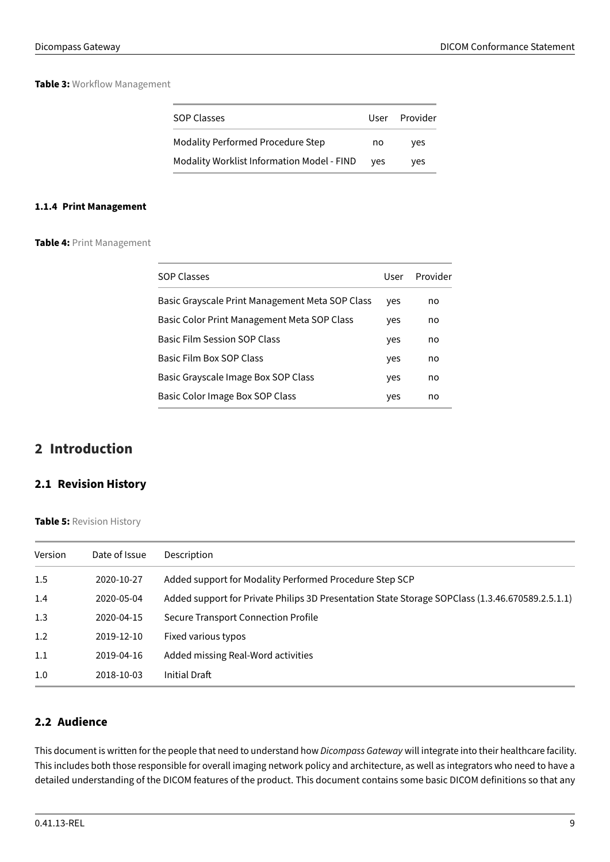# **Table 3:** Workflow Management

| <b>SOP Classes</b>                         | User | Provider |
|--------------------------------------------|------|----------|
| <b>Modality Performed Procedure Step</b>   | no   | ves      |
| Modality Worklist Information Model - FIND | ves  | ves      |

# <span id="page-8-4"></span><span id="page-8-0"></span>**1.1.4 Print Management**

**Table 4:** Print Management

| <b>SOP Classes</b>                              | User | Provider |
|-------------------------------------------------|------|----------|
| Basic Grayscale Print Management Meta SOP Class | yes  | no       |
| Basic Color Print Management Meta SOP Class     | yes  | no       |
| <b>Basic Film Session SOP Class</b>             | yes  | no       |
| Basic Film Box SOP Class                        | yes  | no       |
| Basic Grayscale Image Box SOP Class             | yes  | no       |
| Basic Color Image Box SOP Class                 | yes  | no       |

# <span id="page-8-1"></span>**2 Introduction**

# <span id="page-8-2"></span>**2.1 Revision History**

<span id="page-8-5"></span>**Table 5:** Revision History

| Version | Date of Issue | Description                                                                                      |
|---------|---------------|--------------------------------------------------------------------------------------------------|
| 1.5     | 2020-10-27    | Added support for Modality Performed Procedure Step SCP                                          |
| 1.4     | 2020-05-04    | Added support for Private Philips 3D Presentation State Storage SOPClass (1.3.46.670589.2.5.1.1) |
| 1.3     | 2020-04-15    | Secure Transport Connection Profile                                                              |
| 1.2     | 2019-12-10    | Fixed various typos                                                                              |
| 1.1     | 2019-04-16    | Added missing Real-Word activities                                                               |
| 1.0     | 2018-10-03    | Initial Draft                                                                                    |

# <span id="page-8-3"></span>**2.2 Audience**

This document is written for the people that need to understand how Dicompass Gateway will integrate into their healthcare facility. This includes both those responsible for overall imaging network policy and architecture, as well as integrators who need to have a detailed understanding of the DICOM features of the product. This document contains some basic DICOM definitions so that any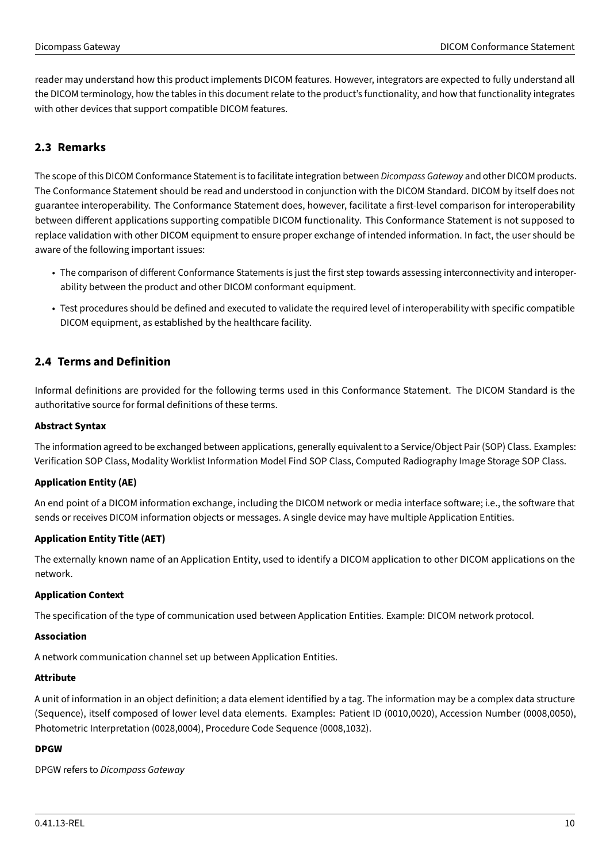reader may understand how this product implements DICOM features. However, integrators are expected to fully understand all the DICOM terminology, how the tables in this document relate to the product's functionality, and how that functionality integrates with other devices that support compatible DICOM features.

# <span id="page-9-0"></span>**2.3 Remarks**

The scope of this DICOM Conformance Statement is to facilitate integration between Dicompass Gateway and other DICOM products. The Conformance Statement should be read and understood in conjunction with the DICOM Standard. DICOM by itself does not guarantee interoperability. The Conformance Statement does, however, facilitate a first-level comparison for interoperability between different applications supporting compatible DICOM functionality. This Conformance Statement is not supposed to replace validation with other DICOM equipment to ensure proper exchange of intended information. In fact, the user should be aware of the following important issues:

- The comparison of different Conformance Statements is just the first step towards assessing interconnectivity and interoperability between the product and other DICOM conformant equipment.
- Test procedures should be defined and executed to validate the required level of interoperability with specific compatible DICOM equipment, as established by the healthcare facility.

# <span id="page-9-1"></span>**2.4 Terms and Definition**

Informal definitions are provided for the following terms used in this Conformance Statement. The DICOM Standard is the authoritative source for formal definitions of these terms.

# **Abstract Syntax**

The information agreed to be exchanged between applications, generally equivalent to a Service/Object Pair (SOP) Class. Examples: Verification SOP Class, Modality Worklist Information Model Find SOP Class, Computed Radiography Image Storage SOP Class.

# **Application Entity (AE)**

An end point of a DICOM information exchange, including the DICOM network or media interface software; i.e., the software that sends or receives DICOM information objects or messages. A single device may have multiple Application Entities.

# **Application Entity Title (AET)**

The externally known name of an Application Entity, used to identify a DICOM application to other DICOM applications on the network.

# **Application Context**

The specification of the type of communication used between Application Entities. Example: DICOM network protocol.

# **Association**

A network communication channel set up between Application Entities.

# **Attribute**

A unit of information in an object definition; a data element identified by a tag. The information may be a complex data structure (Sequence), itself composed of lower level data elements. Examples: Patient ID (0010,0020), Accession Number (0008,0050), Photometric Interpretation (0028,0004), Procedure Code Sequence (0008,1032).

# **DPGW**

DPGW refers to Dicompass Gateway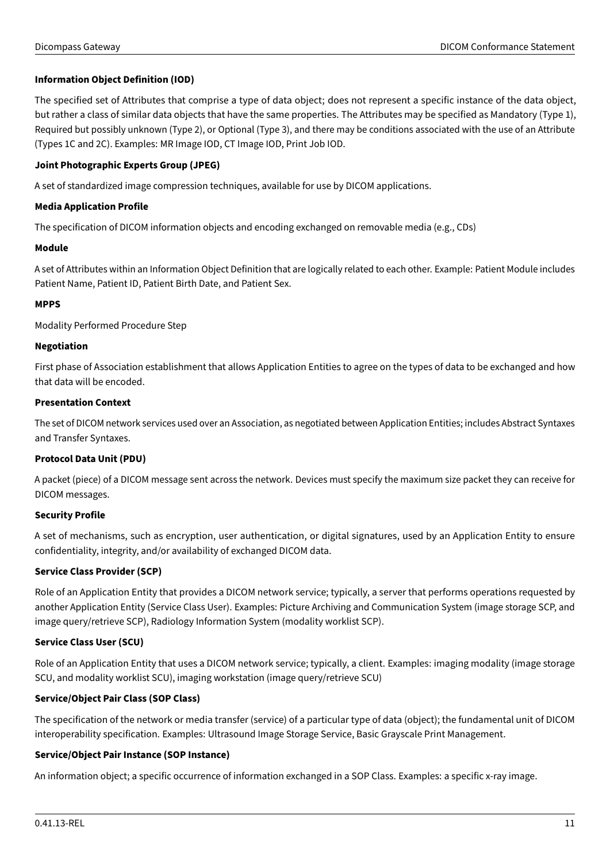# **Information Object Definition (IOD)**

The specified set of Attributes that comprise a type of data object; does not represent a specific instance of the data object, but rather a class of similar data objects that have the same properties. The Attributes may be specified as Mandatory (Type 1), Required but possibly unknown (Type 2), or Optional (Type 3), and there may be conditions associated with the use of an Attribute (Types 1C and 2C). Examples: MR Image IOD, CT Image IOD, Print Job IOD.

# **Joint Photographic Experts Group (JPEG)**

A set of standardized image compression techniques, available for use by DICOM applications.

# **Media Application Profile**

The specification of DICOM information objects and encoding exchanged on removable media (e.g., CDs)

# **Module**

A set of Attributes within an Information Object Definition that are logically related to each other. Example: Patient Module includes Patient Name, Patient ID, Patient Birth Date, and Patient Sex.

# **MPPS**

Modality Performed Procedure Step

# **Negotiation**

First phase of Association establishment that allows Application Entities to agree on the types of data to be exchanged and how that data will be encoded.

# **Presentation Context**

The set of DICOM network services used over an Association, as negotiated between Application Entities; includes Abstract Syntaxes and Transfer Syntaxes.

# **Protocol Data Unit (PDU)**

A packet (piece) of a DICOM message sent across the network. Devices must specify the maximum size packet they can receive for DICOM messages.

# **Security Profile**

A set of mechanisms, such as encryption, user authentication, or digital signatures, used by an Application Entity to ensure confidentiality, integrity, and/or availability of exchanged DICOM data.

# **Service Class Provider (SCP)**

Role of an Application Entity that provides a DICOM network service; typically, a server that performs operations requested by another Application Entity (Service Class User). Examples: Picture Archiving and Communication System (image storage SCP, and image query/retrieve SCP), Radiology Information System (modality worklist SCP).

# **Service Class User (SCU)**

Role of an Application Entity that uses a DICOM network service; typically, a client. Examples: imaging modality (image storage SCU, and modality worklist SCU), imaging workstation (image query/retrieve SCU)

# **Service/Object Pair Class (SOP Class)**

The specification of the network or media transfer (service) of a particular type of data (object); the fundamental unit of DICOM interoperability specification. Examples: Ultrasound Image Storage Service, Basic Grayscale Print Management.

# **Service/Object Pair Instance (SOP Instance)**

An information object; a specific occurrence of information exchanged in a SOP Class. Examples: a specific x-ray image.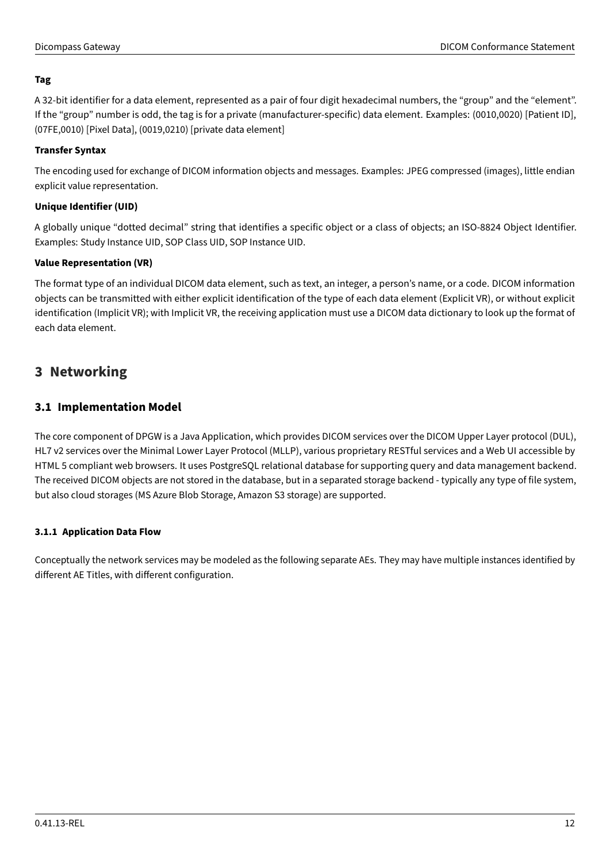# **Tag**

A 32-bit identifier for a data element, represented as a pair of four digit hexadecimal numbers, the "group" and the "element". If the "group" number is odd, the tag is for a private (manufacturer-specific) data element. Examples: (0010,0020) [Patient ID], (07FE,0010) [Pixel Data], (0019,0210) [private data element]

# **Transfer Syntax**

The encoding used for exchange of DICOM information objects and messages. Examples: JPEG compressed (images), little endian explicit value representation.

# **Unique Identifier (UID)**

A globally unique "dotted decimal" string that identifies a specific object or a class of objects; an ISO-8824 Object Identifier. Examples: Study Instance UID, SOP Class UID, SOP Instance UID.

# **Value Representation (VR)**

The format type of an individual DICOM data element, such as text, an integer, a person's name, or a code. DICOM information objects can be transmitted with either explicit identification of the type of each data element (Explicit VR), or without explicit identification (Implicit VR); with Implicit VR, the receiving application must use a DICOM data dictionary to look up the format of each data element.

# <span id="page-11-0"></span>**3 Networking**

# <span id="page-11-1"></span>**3.1 Implementation Model**

The core component of DPGW is a Java Application, which provides DICOM services over the DICOM Upper Layer protocol (DUL), HL7 v2 services over the Minimal Lower Layer Protocol (MLLP), various proprietary RESTful services and a Web UI accessible by HTML 5 compliant web browsers. It uses PostgreSQL relational database for supporting query and data management backend. The received DICOM objects are not stored in the database, but in a separated storage backend - typically any type of file system, but also cloud storages (MS Azure Blob Storage, Amazon S3 storage) are supported.

# <span id="page-11-2"></span>**3.1.1 Application Data Flow**

Conceptually the network services may be modeled as the following separate AEs. They may have multiple instances identified by different AE Titles, with different configuration.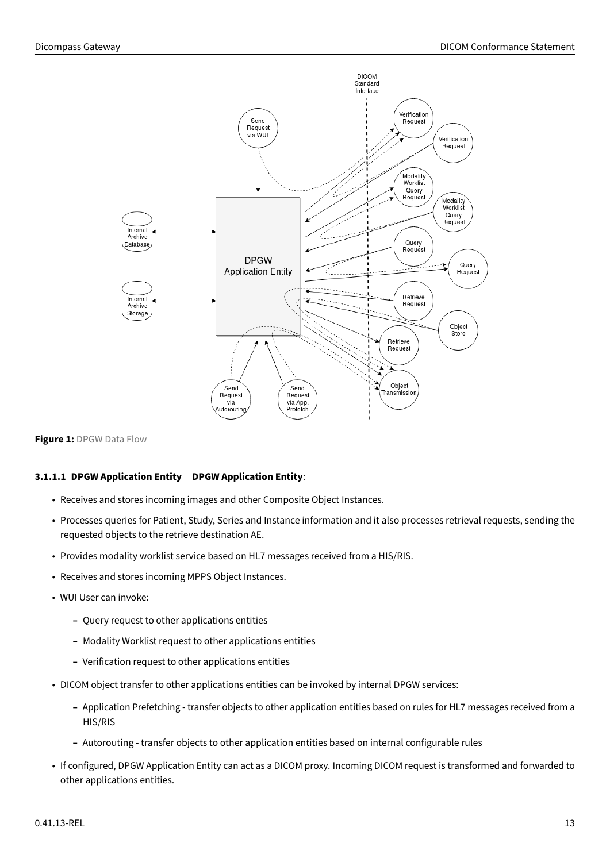<span id="page-12-0"></span>

#### **Figure 1:** DPGW Data Flow

# **3.1.1.1 DPGW Application Entity DPGW Application Entity**:

- Receives and stores incoming images and other Composite Object Instances.
- Processes queries for Patient, Study, Series and Instance information and it also processes retrieval requests, sending the requested objects to the retrieve destination AE.
- Provides modality worklist service based on HL7 messages received from a HIS/RIS.
- Receives and stores incoming MPPS Object Instances.
- WUI User can invoke:
	- **–** Query request to other applications entities
	- **–** Modality Worklist request to other applications entities
	- **–** Verification request to other applications entities
- DICOM object transfer to other applications entities can be invoked by internal DPGW services:
	- **–** Application Prefetching transfer objects to other application entities based on rules for HL7 messages received from a HIS/RIS
	- **–** Autorouting transfer objects to other application entities based on internal configurable rules
- If configured, DPGW Application Entity can act as a DICOM proxy. Incoming DICOM request is transformed and forwarded to other applications entities.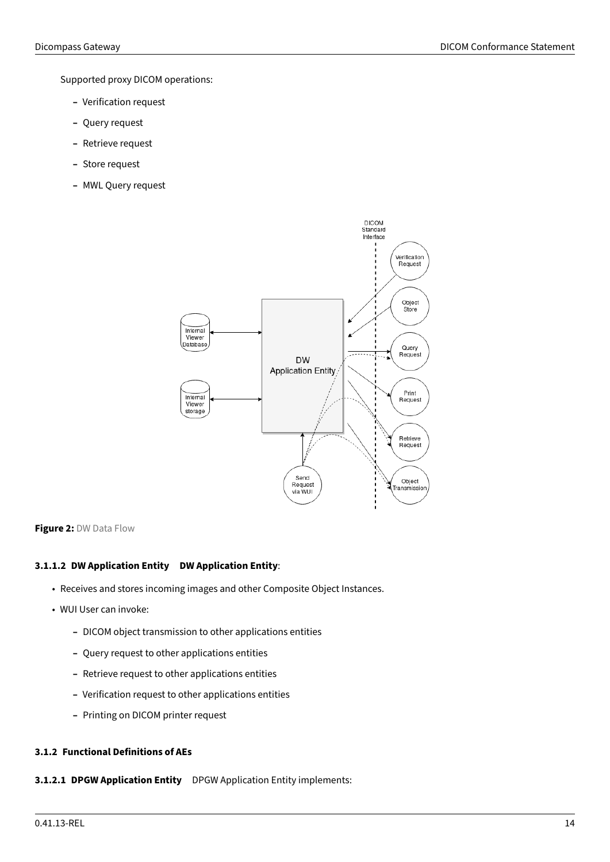Supported proxy DICOM operations:

- **–** Verification request
- **–** Query request
- **–** Retrieve request
- **–** Store request
- <span id="page-13-1"></span>**–** MWL Query request



#### **Figure 2:** DW Data Flow

# **3.1.1.2 DW Application Entity DW Application Entity**:

- Receives and stores incoming images and other Composite Object Instances.
- WUI User can invoke:
	- **–** DICOM object transmission to other applications entities
	- **–** Query request to other applications entities
	- **–** Retrieve request to other applications entities
	- **–** Verification request to other applications entities
	- **–** Printing on DICOM printer request

# <span id="page-13-0"></span>**3.1.2 Functional Definitions of AEs**

**3.1.2.1 DPGW Application Entity** DPGW Application Entity implements: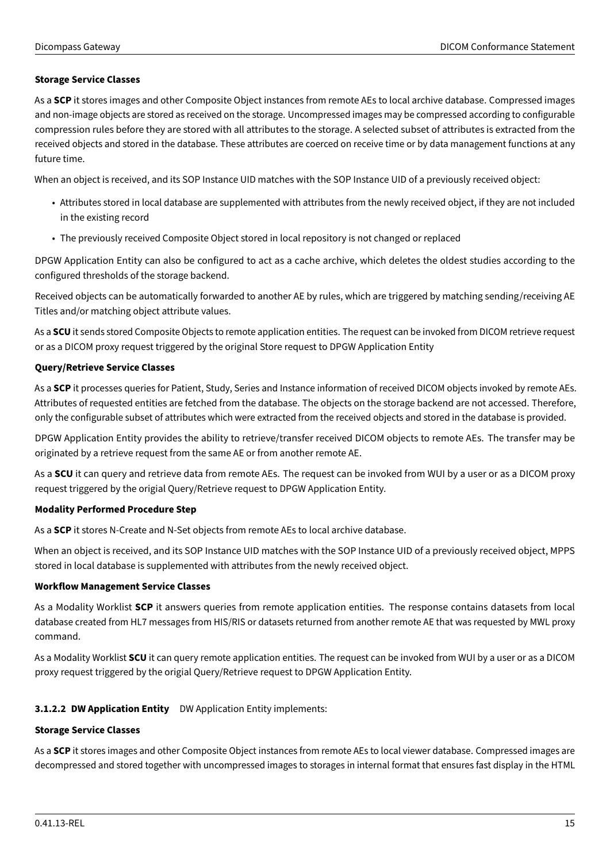# **Storage Service Classes**

As a **SCP** it stores images and other Composite Object instances from remote AEs to local archive database. Compressed images and non-image objects are stored as received on the storage. Uncompressed images may be compressed according to configurable compression rules before they are stored with all attributes to the storage. A selected subset of attributes is extracted from the received objects and stored in the database. These attributes are coerced on receive time or by data management functions at any future time.

When an object is received, and its SOP Instance UID matches with the SOP Instance UID of a previously received object:

- Attributes stored in local database are supplemented with attributes from the newly received object, if they are not included in the existing record
- The previously received Composite Object stored in local repository is not changed or replaced

DPGW Application Entity can also be configured to act as a cache archive, which deletes the oldest studies according to the configured thresholds of the storage backend.

Received objects can be automatically forwarded to another AE by rules, which are triggered by matching sending/receiving AE Titles and/or matching object attribute values.

As a **SCU** it sends stored Composite Objects to remote application entities. The request can be invoked from DICOM retrieve request or as a DICOM proxy request triggered by the original Store request to DPGW Application Entity

# **Query/Retrieve Service Classes**

As a **SCP** it processes queries for Patient, Study, Series and Instance information of received DICOM objects invoked by remote AEs. Attributes of requested entities are fetched from the database. The objects on the storage backend are not accessed. Therefore, only the configurable subset of attributes which were extracted from the received objects and stored in the database is provided.

DPGW Application Entity provides the ability to retrieve/transfer received DICOM objects to remote AEs. The transfer may be originated by a retrieve request from the same AE or from another remote AE.

As a **SCU** it can query and retrieve data from remote AEs. The request can be invoked from WUI by a user or as a DICOM proxy request triggered by the origial Query/Retrieve request to DPGW Application Entity.

# **Modality Performed Procedure Step**

As a **SCP** it stores N-Create and N-Set objects from remote AEs to local archive database.

When an object is received, and its SOP Instance UID matches with the SOP Instance UID of a previously received object, MPPS stored in local database is supplemented with attributes from the newly received object.

# **Workflow Management Service Classes**

As a Modality Worklist **SCP** it answers queries from remote application entities. The response contains datasets from local database created from HL7 messages from HIS/RIS or datasets returned from another remote AE that was requested by MWL proxy command.

As a Modality Worklist **SCU** it can query remote application entities. The request can be invoked from WUI by a user or as a DICOM proxy request triggered by the origial Query/Retrieve request to DPGW Application Entity.

# **3.1.2.2 DW Application Entity** DW Application Entity implements:

# **Storage Service Classes**

As a **SCP** it stores images and other Composite Object instances from remote AEs to local viewer database. Compressed images are decompressed and stored together with uncompressed images to storages in internal format that ensures fast display in the HTML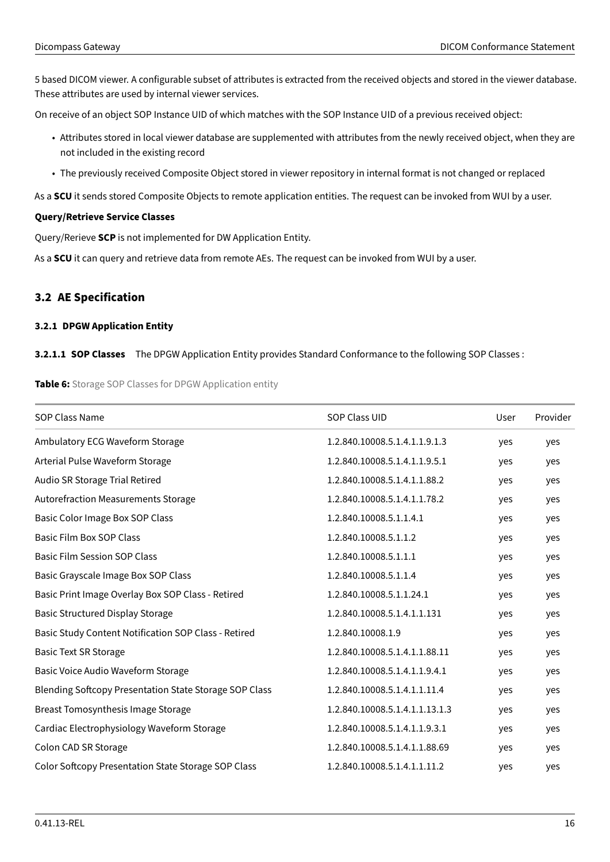5 based DICOM viewer. A configurable subset of attributes is extracted from the received objects and stored in the viewer database. These attributes are used by internal viewer services.

On receive of an object SOP Instance UID of which matches with the SOP Instance UID of a previous received object:

- Attributes stored in local viewer database are supplemented with attributes from the newly received object, when they are not included in the existing record
- The previously received Composite Object stored in viewer repository in internal format is not changed or replaced

As a **SCU** it sends stored Composite Objects to remote application entities. The request can be invoked from WUI by a user.

# **Query/Retrieve Service Classes**

Query/Rerieve **SCP** is not implemented for DW Application Entity.

As a **SCU** it can query and retrieve data from remote AEs. The request can be invoked from WUI by a user.

# <span id="page-15-0"></span>**3.2 AE Specification**

# <span id="page-15-1"></span>**3.2.1 DPGW Application Entity**

# <span id="page-15-2"></span>**3.2.1.1 SOP Classes** The DPGW Application Entity provides Standard Conformance to the following SOP Classes :

**Table 6:** Storage SOP Classes for DPGW Application entity

| <b>SOP Class Name</b>                                         | SOP Class UID                  | User | Provider |
|---------------------------------------------------------------|--------------------------------|------|----------|
| Ambulatory ECG Waveform Storage                               | 1.2.840.10008.5.1.4.1.1.9.1.3  | yes  | yes      |
| Arterial Pulse Waveform Storage                               | 1.2.840.10008.5.1.4.1.1.9.5.1  | yes  | yes      |
| Audio SR Storage Trial Retired                                | 1.2.840.10008.5.1.4.1.1.88.2   | yes  | yes      |
| <b>Autorefraction Measurements Storage</b>                    | 1.2.840.10008.5.1.4.1.1.78.2   | yes  | yes      |
| Basic Color Image Box SOP Class                               | 1.2.840.10008.5.1.1.4.1        | yes  | yes      |
| <b>Basic Film Box SOP Class</b>                               | 1.2.840.10008.5.1.1.2          | yes  | yes      |
| <b>Basic Film Session SOP Class</b>                           | 1.2.840.10008.5.1.1.1          | yes  | yes      |
| Basic Grayscale Image Box SOP Class                           | 1.2.840.10008.5.1.1.4          | yes  | yes      |
| Basic Print Image Overlay Box SOP Class - Retired             | 1.2.840.10008.5.1.1.24.1       | yes  | yes      |
| <b>Basic Structured Display Storage</b>                       | 1.2.840.10008.5.1.4.1.1.131    | yes  | yes      |
| Basic Study Content Notification SOP Class - Retired          | 1.2.840.10008.1.9              | yes  | yes      |
| <b>Basic Text SR Storage</b>                                  | 1.2.840.10008.5.1.4.1.1.88.11  | yes  | yes      |
| Basic Voice Audio Waveform Storage                            | 1.2.840.10008.5.1.4.1.1.9.4.1  | yes  | yes      |
| <b>Blending Softcopy Presentation State Storage SOP Class</b> | 1.2.840.10008.5.1.4.1.1.11.4   | yes  | yes      |
| Breast Tomosynthesis Image Storage                            | 1.2.840.10008.5.1.4.1.1.13.1.3 | yes  | yes      |
| Cardiac Electrophysiology Waveform Storage                    | 1.2.840.10008.5.1.4.1.1.9.3.1  | yes  | yes      |
| Colon CAD SR Storage                                          | 1.2.840.10008.5.1.4.1.1.88.69  | yes  | yes      |
| Color Softcopy Presentation State Storage SOP Class           | 1.2.840.10008.5.1.4.1.1.11.2   | yes  | yes      |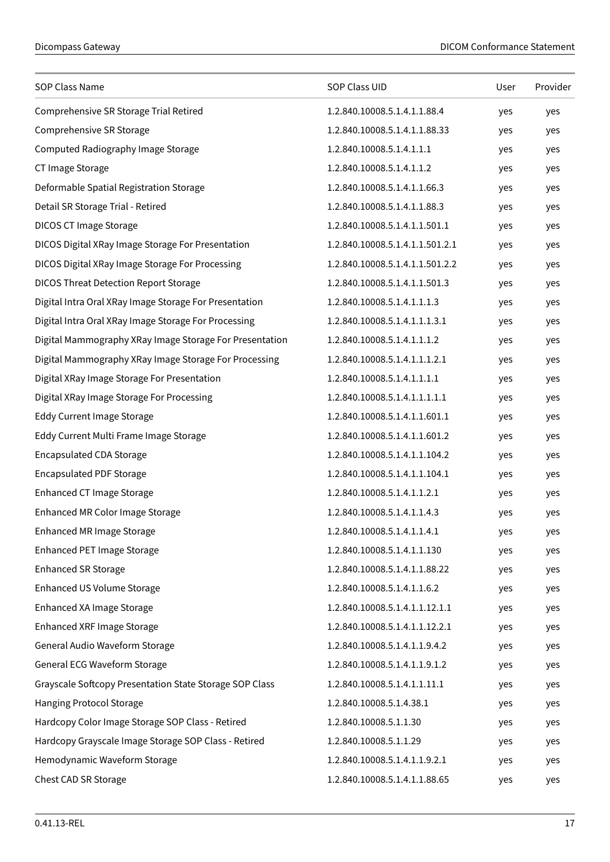| SOP Class Name                                          | SOP Class UID                   | User | Provider |
|---------------------------------------------------------|---------------------------------|------|----------|
| Comprehensive SR Storage Trial Retired                  | 1.2.840.10008.5.1.4.1.1.88.4    | yes  | yes      |
| Comprehensive SR Storage                                | 1.2.840.10008.5.1.4.1.1.88.33   | yes  | yes      |
| Computed Radiography Image Storage                      | 1.2.840.10008.5.1.4.1.1.1       | yes  | yes      |
| CT Image Storage                                        | 1.2.840.10008.5.1.4.1.1.2       | yes  | yes      |
| Deformable Spatial Registration Storage                 | 1.2.840.10008.5.1.4.1.1.66.3    | yes  | yes      |
| Detail SR Storage Trial - Retired                       | 1.2.840.10008.5.1.4.1.1.88.3    | yes  | yes      |
| <b>DICOS CT Image Storage</b>                           | 1.2.840.10008.5.1.4.1.1.501.1   | yes  | yes      |
| DICOS Digital XRay Image Storage For Presentation       | 1.2.840.10008.5.1.4.1.1.501.2.1 | yes  | yes      |
| DICOS Digital XRay Image Storage For Processing         | 1.2.840.10008.5.1.4.1.1.501.2.2 | yes  | yes      |
| <b>DICOS Threat Detection Report Storage</b>            | 1.2.840.10008.5.1.4.1.1.501.3   | yes  | yes      |
| Digital Intra Oral XRay Image Storage For Presentation  | 1.2.840.10008.5.1.4.1.1.1.3     | yes  | yes      |
| Digital Intra Oral XRay Image Storage For Processing    | 1.2.840.10008.5.1.4.1.1.1.3.1   | yes  | yes      |
| Digital Mammography XRay Image Storage For Presentation | 1.2.840.10008.5.1.4.1.1.1.2     | yes  | yes      |
| Digital Mammography XRay Image Storage For Processing   | 1.2.840.10008.5.1.4.1.1.1.2.1   | yes  | yes      |
| Digital XRay Image Storage For Presentation             | 1.2.840.10008.5.1.4.1.1.1.1     | yes  | yes      |
| Digital XRay Image Storage For Processing               | 1.2.840.10008.5.1.4.1.1.1.1.1   | yes  | yes      |
| <b>Eddy Current Image Storage</b>                       | 1.2.840.10008.5.1.4.1.1.601.1   | yes  | yes      |
| Eddy Current Multi Frame Image Storage                  | 1.2.840.10008.5.1.4.1.1.601.2   | yes  | yes      |
| <b>Encapsulated CDA Storage</b>                         | 1.2.840.10008.5.1.4.1.1.104.2   | yes  | yes      |
| <b>Encapsulated PDF Storage</b>                         | 1.2.840.10008.5.1.4.1.1.104.1   | yes  | yes      |
| Enhanced CT Image Storage                               | 1.2.840.10008.5.1.4.1.1.2.1     | yes  | yes      |
| Enhanced MR Color Image Storage                         | 1.2.840.10008.5.1.4.1.1.4.3     | yes  | yes      |
| Enhanced MR Image Storage                               | 1.2.840.10008.5.1.4.1.1.4.1     | yes  | yes      |
| <b>Enhanced PET Image Storage</b>                       | 1.2.840.10008.5.1.4.1.1.130     | yes  | yes      |
| <b>Enhanced SR Storage</b>                              | 1.2.840.10008.5.1.4.1.1.88.22   | yes  | yes      |
| Enhanced US Volume Storage                              | 1.2.840.10008.5.1.4.1.1.6.2     | yes  | yes      |
| Enhanced XA Image Storage                               | 1.2.840.10008.5.1.4.1.1.12.1.1  | yes  | yes      |
| <b>Enhanced XRF Image Storage</b>                       | 1.2.840.10008.5.1.4.1.1.12.2.1  | yes  | yes      |
| General Audio Waveform Storage                          | 1.2.840.10008.5.1.4.1.1.9.4.2   | yes  | yes      |
| General ECG Waveform Storage                            | 1.2.840.10008.5.1.4.1.1.9.1.2   | yes  | yes      |
| Grayscale Softcopy Presentation State Storage SOP Class | 1.2.840.10008.5.1.4.1.1.11.1    | yes  | yes      |
| <b>Hanging Protocol Storage</b>                         | 1.2.840.10008.5.1.4.38.1        | yes  | yes      |
| Hardcopy Color Image Storage SOP Class - Retired        | 1.2.840.10008.5.1.1.30          | yes  | yes      |
| Hardcopy Grayscale Image Storage SOP Class - Retired    | 1.2.840.10008.5.1.1.29          | yes  | yes      |
| Hemodynamic Waveform Storage                            | 1.2.840.10008.5.1.4.1.1.9.2.1   | yes  | yes      |
| Chest CAD SR Storage                                    | 1.2.840.10008.5.1.4.1.1.88.65   | yes  | yes      |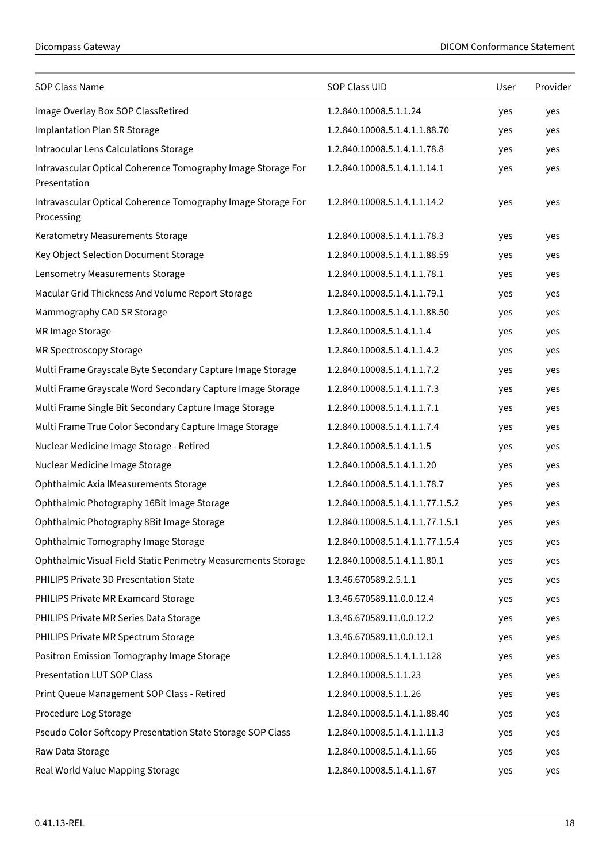| <b>SOP Class Name</b>                                                        | SOP Class UID                    | User | Provider |
|------------------------------------------------------------------------------|----------------------------------|------|----------|
| Image Overlay Box SOP ClassRetired                                           | 1.2.840.10008.5.1.1.24           | yes  | yes      |
| Implantation Plan SR Storage                                                 | 1.2.840.10008.5.1.4.1.1.88.70    | yes  | yes      |
| Intraocular Lens Calculations Storage                                        | 1.2.840.10008.5.1.4.1.1.78.8     | yes  | yes      |
| Intravascular Optical Coherence Tomography Image Storage For<br>Presentation | 1.2.840.10008.5.1.4.1.1.14.1     | yes  | yes      |
| Intravascular Optical Coherence Tomography Image Storage For<br>Processing   | 1.2.840.10008.5.1.4.1.1.14.2     | yes  | yes      |
| Keratometry Measurements Storage                                             | 1.2.840.10008.5.1.4.1.1.78.3     | yes  | yes      |
| Key Object Selection Document Storage                                        | 1.2.840.10008.5.1.4.1.1.88.59    | yes  | yes      |
| Lensometry Measurements Storage                                              | 1.2.840.10008.5.1.4.1.1.78.1     | yes  | yes      |
| Macular Grid Thickness And Volume Report Storage                             | 1.2.840.10008.5.1.4.1.1.79.1     | yes  | yes      |
| Mammography CAD SR Storage                                                   | 1.2.840.10008.5.1.4.1.1.88.50    | yes  | yes      |
| MR Image Storage                                                             | 1.2.840.10008.5.1.4.1.1.4        | yes  | yes      |
| MR Spectroscopy Storage                                                      | 1.2.840.10008.5.1.4.1.1.4.2      | yes  | yes      |
| Multi Frame Grayscale Byte Secondary Capture Image Storage                   | 1.2.840.10008.5.1.4.1.1.7.2      | yes  | yes      |
| Multi Frame Grayscale Word Secondary Capture Image Storage                   | 1.2.840.10008.5.1.4.1.1.7.3      | yes  | yes      |
| Multi Frame Single Bit Secondary Capture Image Storage                       | 1.2.840.10008.5.1.4.1.1.7.1      | yes  | yes      |
| Multi Frame True Color Secondary Capture Image Storage                       | 1.2.840.10008.5.1.4.1.1.7.4      | yes  | yes      |
| Nuclear Medicine Image Storage - Retired                                     | 1.2.840.10008.5.1.4.1.1.5        | yes  | yes      |
| Nuclear Medicine Image Storage                                               | 1.2.840.10008.5.1.4.1.1.20       | yes  | yes      |
| Ophthalmic Axia IMeasurements Storage                                        | 1.2.840.10008.5.1.4.1.1.78.7     | yes  | yes      |
| Ophthalmic Photography 16Bit Image Storage                                   | 1.2.840.10008.5.1.4.1.1.77.1.5.2 | yes  | yes      |
| Ophthalmic Photography 8Bit Image Storage                                    | 1.2.840.10008.5.1.4.1.1.77.1.5.1 | yes  | yes      |
| Ophthalmic Tomography Image Storage                                          | 1.2.840.10008.5.1.4.1.1.77.1.5.4 | yes  | yes      |
| Ophthalmic Visual Field Static Perimetry Measurements Storage                | 1.2.840.10008.5.1.4.1.1.80.1     | yes  | yes      |
| PHILIPS Private 3D Presentation State                                        | 1.3.46.670589.2.5.1.1            | yes  | yes      |
| PHILIPS Private MR Examcard Storage                                          | 1.3.46.670589.11.0.0.12.4        | yes  | yes      |
| PHILIPS Private MR Series Data Storage                                       | 1.3.46.670589.11.0.0.12.2        | yes  | yes      |
| PHILIPS Private MR Spectrum Storage                                          | 1.3.46.670589.11.0.0.12.1        | yes  | yes      |
| Positron Emission Tomography Image Storage                                   | 1.2.840.10008.5.1.4.1.1.128      | yes  | yes      |
| <b>Presentation LUT SOP Class</b>                                            | 1.2.840.10008.5.1.1.23           | yes  | yes      |
| Print Queue Management SOP Class - Retired                                   | 1.2.840.10008.5.1.1.26           | yes  | yes      |
| Procedure Log Storage                                                        | 1.2.840.10008.5.1.4.1.1.88.40    | yes  | yes      |
| Pseudo Color Softcopy Presentation State Storage SOP Class                   | 1.2.840.10008.5.1.4.1.1.11.3     | yes  | yes      |
| Raw Data Storage                                                             | 1.2.840.10008.5.1.4.1.1.66       | yes  | yes      |
| Real World Value Mapping Storage                                             | 1.2.840.10008.5.1.4.1.1.67       | yes  | yes      |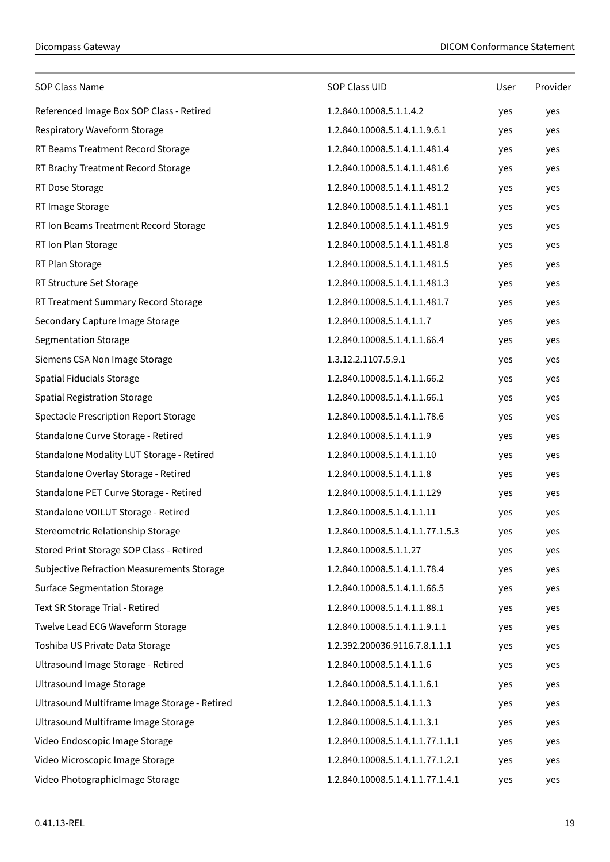| SOP Class Name                                | SOP Class UID                    | User | Provider |
|-----------------------------------------------|----------------------------------|------|----------|
| Referenced Image Box SOP Class - Retired      | 1.2.840.10008.5.1.1.4.2          | yes  | yes      |
| Respiratory Waveform Storage                  | 1.2.840.10008.5.1.4.1.1.9.6.1    | yes  | yes      |
| RT Beams Treatment Record Storage             | 1.2.840.10008.5.1.4.1.1.481.4    | yes  | yes      |
| RT Brachy Treatment Record Storage            | 1.2.840.10008.5.1.4.1.1.481.6    | yes  | yes      |
| RT Dose Storage                               | 1.2.840.10008.5.1.4.1.1.481.2    | yes  | yes      |
| RT Image Storage                              | 1.2.840.10008.5.1.4.1.1.481.1    | yes  | yes      |
| RT Ion Beams Treatment Record Storage         | 1.2.840.10008.5.1.4.1.1.481.9    | yes  | yes      |
| RT Ion Plan Storage                           | 1.2.840.10008.5.1.4.1.1.481.8    | yes  | yes      |
| RT Plan Storage                               | 1.2.840.10008.5.1.4.1.1.481.5    | yes  | yes      |
| RT Structure Set Storage                      | 1.2.840.10008.5.1.4.1.1.481.3    | yes  | yes      |
| RT Treatment Summary Record Storage           | 1.2.840.10008.5.1.4.1.1.481.7    | yes  | yes      |
| Secondary Capture Image Storage               | 1.2.840.10008.5.1.4.1.1.7        | yes  | yes      |
| Segmentation Storage                          | 1.2.840.10008.5.1.4.1.1.66.4     | yes  | yes      |
| Siemens CSA Non Image Storage                 | 1.3.12.2.1107.5.9.1              | yes  | yes      |
| Spatial Fiducials Storage                     | 1.2.840.10008.5.1.4.1.1.66.2     | yes  | yes      |
| <b>Spatial Registration Storage</b>           | 1.2.840.10008.5.1.4.1.1.66.1     | yes  | yes      |
| Spectacle Prescription Report Storage         | 1.2.840.10008.5.1.4.1.1.78.6     | yes  | yes      |
| Standalone Curve Storage - Retired            | 1.2.840.10008.5.1.4.1.1.9        | yes  | yes      |
| Standalone Modality LUT Storage - Retired     | 1.2.840.10008.5.1.4.1.1.10       | yes  | yes      |
| Standalone Overlay Storage - Retired          | 1.2.840.10008.5.1.4.1.1.8        | yes  | yes      |
| Standalone PET Curve Storage - Retired        | 1.2.840.10008.5.1.4.1.1.129      | yes  | yes      |
| Standalone VOILUT Storage - Retired           | 1.2.840.10008.5.1.4.1.1.11       | yes  | yes      |
| Stereometric Relationship Storage             | 1.2.840.10008.5.1.4.1.1.77.1.5.3 | yes  | yes      |
| Stored Print Storage SOP Class - Retired      | 1.2.840.10008.5.1.1.27           | yes  | yes      |
| Subjective Refraction Measurements Storage    | 1.2.840.10008.5.1.4.1.1.78.4     | yes  | yes      |
| <b>Surface Segmentation Storage</b>           | 1.2.840.10008.5.1.4.1.1.66.5     | yes  | yes      |
| Text SR Storage Trial - Retired               | 1.2.840.10008.5.1.4.1.1.88.1     | yes  | yes      |
| Twelve Lead ECG Waveform Storage              | 1.2.840.10008.5.1.4.1.1.9.1.1    | yes  | yes      |
| Toshiba US Private Data Storage               | 1.2.392.200036.9116.7.8.1.1.1    | yes  | yes      |
| Ultrasound Image Storage - Retired            | 1.2.840.10008.5.1.4.1.1.6        | yes  | yes      |
| <b>Ultrasound Image Storage</b>               | 1.2.840.10008.5.1.4.1.1.6.1      | yes  | yes      |
| Ultrasound Multiframe Image Storage - Retired | 1.2.840.10008.5.1.4.1.1.3        | yes  | yes      |
| Ultrasound Multiframe Image Storage           | 1.2.840.10008.5.1.4.1.1.3.1      | yes  | yes      |
| Video Endoscopic Image Storage                | 1.2.840.10008.5.1.4.1.1.77.1.1.1 | yes  | yes      |
| Video Microscopic Image Storage               | 1.2.840.10008.5.1.4.1.1.77.1.2.1 | yes  | yes      |
| Video PhotographicImage Storage               | 1.2.840.10008.5.1.4.1.1.77.1.4.1 | yes  | yes      |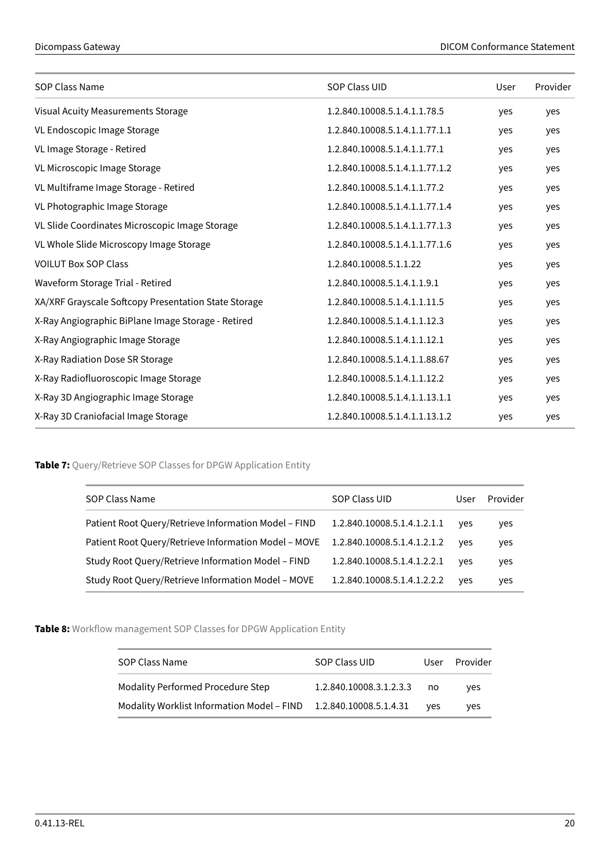| <b>SOP Class Name</b>                                | SOP Class UID                  | User | Provider |
|------------------------------------------------------|--------------------------------|------|----------|
| Visual Acuity Measurements Storage                   | 1.2.840.10008.5.1.4.1.1.78.5   | yes  | yes      |
| VL Endoscopic Image Storage                          | 1.2.840.10008.5.1.4.1.1.77.1.1 | yes  | yes      |
| VL Image Storage - Retired                           | 1.2.840.10008.5.1.4.1.1.77.1   | yes  | yes      |
| VL Microscopic Image Storage                         | 1.2.840.10008.5.1.4.1.1.77.1.2 | yes  | yes      |
| VL Multiframe Image Storage - Retired                | 1.2.840.10008.5.1.4.1.1.77.2   | yes  | yes      |
| VL Photographic Image Storage                        | 1.2.840.10008.5.1.4.1.1.77.1.4 | yes  | yes      |
| VL Slide Coordinates Microscopic Image Storage       | 1.2.840.10008.5.1.4.1.1.77.1.3 | yes  | yes      |
| VL Whole Slide Microscopy Image Storage              | 1.2.840.10008.5.1.4.1.1.77.1.6 | yes  | yes      |
| <b>VOILUT Box SOP Class</b>                          | 1.2.840.10008.5.1.1.22         | yes  | yes      |
| Waveform Storage Trial - Retired                     | 1.2.840.10008.5.1.4.1.1.9.1    | yes  | yes      |
| XA/XRF Grayscale Softcopy Presentation State Storage | 1.2.840.10008.5.1.4.1.1.11.5   | yes  | yes      |
| X-Ray Angiographic BiPlane Image Storage - Retired   | 1.2.840.10008.5.1.4.1.1.12.3   | yes  | yes      |
| X-Ray Angiographic Image Storage                     | 1.2.840.10008.5.1.4.1.1.12.1   | yes  | yes      |
| X-Ray Radiation Dose SR Storage                      | 1.2.840.10008.5.1.4.1.1.88.67  | yes  | yes      |
| X-Ray Radiofluoroscopic Image Storage                | 1.2.840.10008.5.1.4.1.1.12.2   | yes  | yes      |
| X-Ray 3D Angiographic Image Storage                  | 1.2.840.10008.5.1.4.1.1.13.1.1 | yes  | yes      |
| X-Ray 3D Craniofacial Image Storage                  | 1.2.840.10008.5.1.4.1.1.13.1.2 | yes  | yes      |

<span id="page-19-0"></span>**Table 7:** Query/Retrieve SOP Classes for DPGW Application Entity

| SOP Class Name                                       | SOP Class UID               | User | Provider |
|------------------------------------------------------|-----------------------------|------|----------|
| Patient Root Query/Retrieve Information Model - FIND | 1.2.840.10008.5.1.4.1.2.1.1 | yes  | yes      |
| Patient Root Query/Retrieve Information Model - MOVE | 1.2.840.10008.5.1.4.1.2.1.2 | ves  | yes      |
| Study Root Query/Retrieve Information Model - FIND   | 1.2.840.10008.5.1.4.1.2.2.1 | ves  | yes      |
| Study Root Query/Retrieve Information Model - MOVE   | 1.2.840.10008.5.1.4.1.2.2.2 | ves  | yes      |

<span id="page-19-2"></span><span id="page-19-1"></span>**Table 8:** Workflow management SOP Classes for DPGW Application Entity

| SOP Class Name                                                    | SOP Class UID           | User       | Provider |
|-------------------------------------------------------------------|-------------------------|------------|----------|
| <b>Modality Performed Procedure Step</b>                          | 1.2.840.10008.3.1.2.3.3 | no no      | ves      |
| Modality Worklist Information Model – FIND 1.2.840.10008.5.1.4.31 |                         | <b>ves</b> | ves      |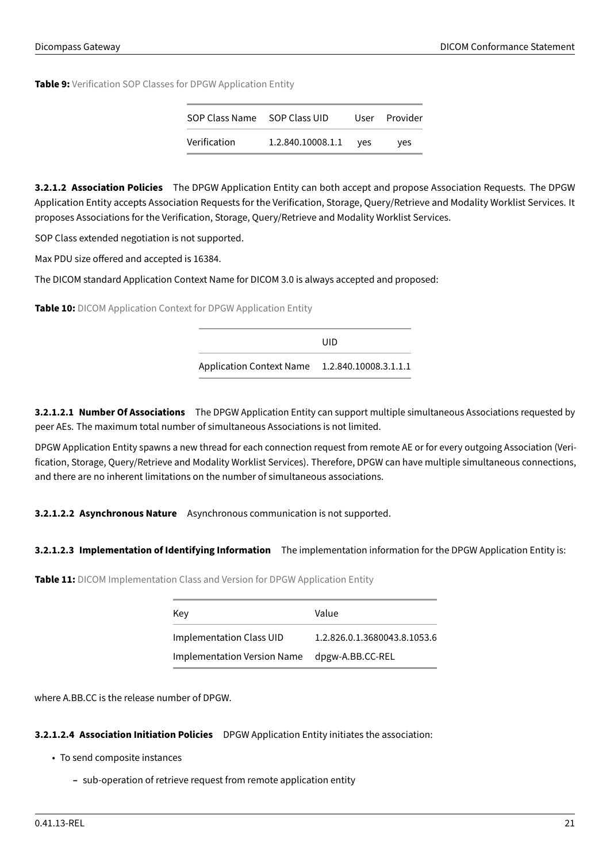**Table 9:** Verification SOP Classes for DPGW Application Entity

| SOP Class Name SOP Class UID |                   |     | User Provider |
|------------------------------|-------------------|-----|---------------|
| Verification                 | 1.2.840.10008.1.1 | ves | ves           |

**3.2.1.2 Association Policies** The DPGW Application Entity can both accept and propose Association Requests. The DPGW Application Entity accepts Association Requests for the Verification, Storage, Query/Retrieve and Modality Worklist Services. It proposes Associations for the Verification, Storage, Query/Retrieve and Modality Worklist Services.

SOP Class extended negotiation is not supported.

Max PDU size offered and accepted is 16384.

<span id="page-20-0"></span>The DICOM standard Application Context Name for DICOM 3.0 is always accepted and proposed:

**Table 10:** DICOM Application Context for DPGW Application Entity

UID Application Context Name 1.2.840.10008.3.1.1.1

**3.2.1.2.1 Number Of Associations** The DPGW Application Entity can support multiple simultaneous Associations requested by peer AEs. The maximum total number of simultaneous Associations is not limited.

DPGW Application Entity spawns a new thread for each connection request from remote AE or for every outgoing Association (Verification, Storage, Query/Retrieve and Modality Worklist Services). Therefore, DPGW can have multiple simultaneous connections, and there are no inherent limitations on the number of simultaneous associations.

**3.2.1.2.2 Asynchronous Nature** Asynchronous communication is not supported.

# <span id="page-20-1"></span>**3.2.1.2.3 Implementation of Identifying Information** The implementation information for the DPGW Application Entity is:

**Table 11:** DICOM Implementation Class and Version for DPGW Application Entity

| Key                         | Value                        |
|-----------------------------|------------------------------|
| Implementation Class UID    | 1.2.826.0.1.3680043.8.1053.6 |
| Implementation Version Name | dpgw-A.BB.CC-REL             |

where A.BB.CC is the release number of DPGW.

# **3.2.1.2.4 Association Initiation Policies** DPGW Application Entity initiates the association:

- To send composite instances
	- **–** sub-operation of retrieve request from remote application entity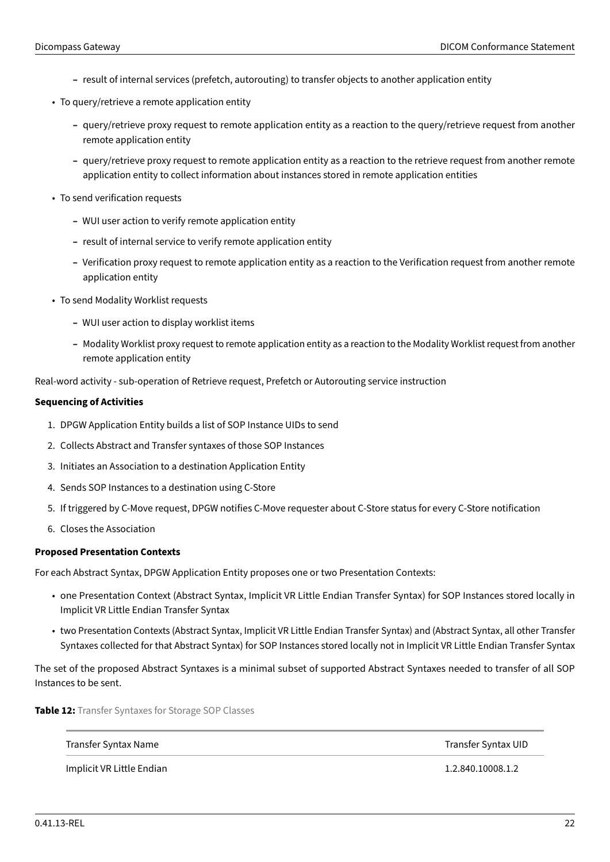- **–** result of internal services (prefetch, autorouting) to transfer objects to another application entity
- To query/retrieve a remote application entity
	- **–** query/retrieve proxy request to remote application entity as a reaction to the query/retrieve request from another remote application entity
	- **–** query/retrieve proxy request to remote application entity as a reaction to the retrieve request from another remote application entity to collect information about instances stored in remote application entities
- To send verification requests
	- **–** WUI user action to verify remote application entity
	- **–** result of internal service to verify remote application entity
	- **–** Verification proxy request to remote application entity as a reaction to the Verification request from another remote application entity
- To send Modality Worklist requests
	- **–** WUI user action to display worklist items
	- **–** Modality Worklist proxy request to remote application entity as a reaction to the Modality Worklist request from another remote application entity

Real-word activity - sub-operation of Retrieve request, Prefetch or Autorouting service instruction

#### **Sequencing of Activities**

- 1. DPGW Application Entity builds a list of SOP Instance UIDs to send
- 2. Collects Abstract and Transfer syntaxes of those SOP Instances
- 3. Initiates an Association to a destination Application Entity
- 4. Sends SOP Instances to a destination using C-Store
- 5. If triggered by C-Move request, DPGW notifies C-Move requester about C-Store status for every C-Store notification
- 6. Closes the Association

#### **Proposed Presentation Contexts**

For each Abstract Syntax, DPGW Application Entity proposes one or two Presentation Contexts:

- one Presentation Context (Abstract Syntax, Implicit VR Little Endian Transfer Syntax) for SOP Instances stored locally in Implicit VR Little Endian Transfer Syntax
- two Presentation Contexts (Abstract Syntax, Implicit VR Little Endian Transfer Syntax) and (Abstract Syntax, all other Transfer Syntaxes collected for that Abstract Syntax) for SOP Instances stored locally not in Implicit VR Little Endian Transfer Syntax

The set of the proposed Abstract Syntaxes is a minimal subset of supported Abstract Syntaxes needed to transfer of all SOP Instances to be sent.

<span id="page-21-0"></span>**Table 12:** Transfer Syntaxes for Storage SOP Classes

Transfer Syntax Name Transfer Syntax UID

Implicit VR Little Endian 1.2.840.10008.1.2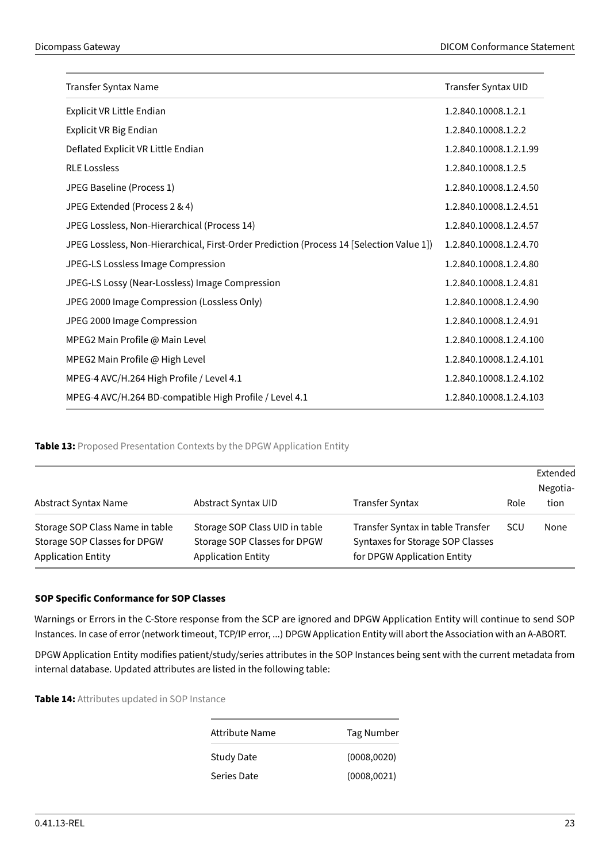| Transfer Syntax Name                                                                     | Transfer Syntax UID     |
|------------------------------------------------------------------------------------------|-------------------------|
| Explicit VR Little Endian                                                                | 1.2.840.10008.1.2.1     |
| Explicit VR Big Endian                                                                   | 1.2.840.10008.1.2.2     |
| Deflated Explicit VR Little Endian                                                       | 1.2.840.10008.1.2.1.99  |
| <b>RLE Lossless</b>                                                                      | 1.2.840.10008.1.2.5     |
| JPEG Baseline (Process 1)                                                                | 1.2.840.10008.1.2.4.50  |
| JPEG Extended (Process 2 & 4)                                                            | 1.2.840.10008.1.2.4.51  |
| JPEG Lossless, Non-Hierarchical (Process 14)                                             | 1.2.840.10008.1.2.4.57  |
| JPEG Lossless, Non-Hierarchical, First-Order Prediction (Process 14 [Selection Value 1]) | 1.2.840.10008.1.2.4.70  |
| JPEG-LS Lossless Image Compression                                                       | 1.2.840.10008.1.2.4.80  |
| JPEG-LS Lossy (Near-Lossless) Image Compression                                          | 1.2.840.10008.1.2.4.81  |
| JPEG 2000 Image Compression (Lossless Only)                                              | 1.2.840.10008.1.2.4.90  |
| JPEG 2000 Image Compression                                                              | 1.2.840.10008.1.2.4.91  |
| MPEG2 Main Profile @ Main Level                                                          | 1.2.840.10008.1.2.4.100 |
| MPEG2 Main Profile @ High Level                                                          | 1.2.840.10008.1.2.4.101 |
| MPEG-4 AVC/H.264 High Profile / Level 4.1                                                | 1.2.840.10008.1.2.4.102 |
| MPEG-4 AVC/H.264 BD-compatible High Profile / Level 4.1                                  | 1.2.840.10008.1.2.4.103 |

<span id="page-22-0"></span>**Table 13:** Proposed Presentation Contexts by the DPGW Application Entity

| Abstract Syntax Name                                                                         | Abstract Syntax UID                                                                         | Transfer Syntax                                                                                      | Role | Extended<br>Negotia-<br>tion |
|----------------------------------------------------------------------------------------------|---------------------------------------------------------------------------------------------|------------------------------------------------------------------------------------------------------|------|------------------------------|
| Storage SOP Class Name in table<br>Storage SOP Classes for DPGW<br><b>Application Entity</b> | Storage SOP Class UID in table<br>Storage SOP Classes for DPGW<br><b>Application Entity</b> | Transfer Syntax in table Transfer<br>Syntaxes for Storage SOP Classes<br>for DPGW Application Entity | SCU  | None                         |

# **SOP Specific Conformance for SOP Classes**

Warnings or Errors in the C-Store response from the SCP are ignored and DPGW Application Entity will continue to send SOP Instances. In case of error (network timeout, TCP/IP error, ...) DPGW Application Entity will abort the Association with an A-ABORT.

DPGW Application Entity modifies patient/study/series attributes in the SOP Instances being sent with the current metadata from internal database. Updated attributes are listed in the following table:

<span id="page-22-1"></span>**Table 14:** Attributes updated in SOP Instance

| Attribute Name | Tag Number   |
|----------------|--------------|
| Study Date     | (0008, 0020) |
| Series Date    | (0008, 0021) |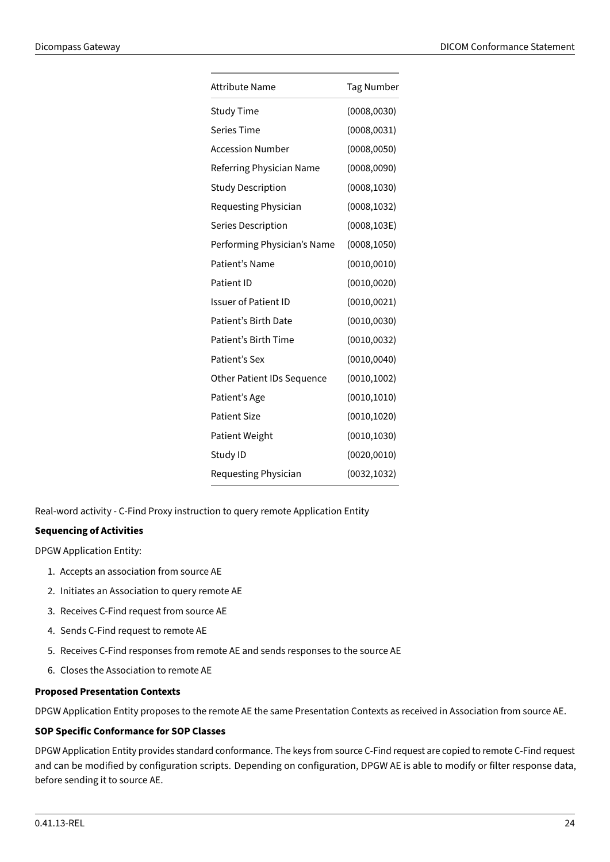| <b>Attribute Name</b>             | <b>Tag Number</b> |
|-----------------------------------|-------------------|
| <b>Study Time</b>                 | (0008, 0030)      |
| <b>Series Time</b>                | (0008, 0031)      |
| <b>Accession Number</b>           | (0008, 0050)      |
| Referring Physician Name          | (0008, 0090)      |
| <b>Study Description</b>          | (0008, 1030)      |
| Requesting Physician              | (0008, 1032)      |
| Series Description                | (0008, 103E)      |
| Performing Physician's Name       | (0008, 1050)      |
| Patient's Name                    | (0010, 0010)      |
| Patient ID                        | (0010, 0020)      |
| <b>Issuer of Patient ID</b>       | (0010, 0021)      |
| Patient's Birth Date              | (0010, 0030)      |
| Patient's Birth Time              | (0010, 0032)      |
| Patient's Sex                     | (0010, 0040)      |
| <b>Other Patient IDs Sequence</b> | (0010, 1002)      |
| Patient's Age                     | (0010, 1010)      |
| <b>Patient Size</b>               | (0010, 1020)      |
| <b>Patient Weight</b>             | (0010, 1030)      |
| Study ID                          | (0020, 0010)      |
| Requesting Physician              | (0032, 1032)      |

Real-word activity - C-Find Proxy instruction to query remote Application Entity

# **Sequencing of Activities**

DPGW Application Entity:

- 1. Accepts an association from source AE
- 2. Initiates an Association to query remote AE
- 3. Receives C-Find request from source AE
- 4. Sends C-Find request to remote AE
- 5. Receives C-Find responses from remote AE and sends responses to the source AE
- 6. Closes the Association to remote AE

# **Proposed Presentation Contexts**

DPGW Application Entity proposes to the remote AE the same Presentation Contexts as received in Association from source AE.

#### **SOP Specific Conformance for SOP Classes**

DPGW Application Entity provides standard conformance. The keys from source C-Find request are copied to remote C-Find request and can be modified by configuration scripts. Depending on configuration, DPGW AE is able to modify or filter response data, before sending it to source AE.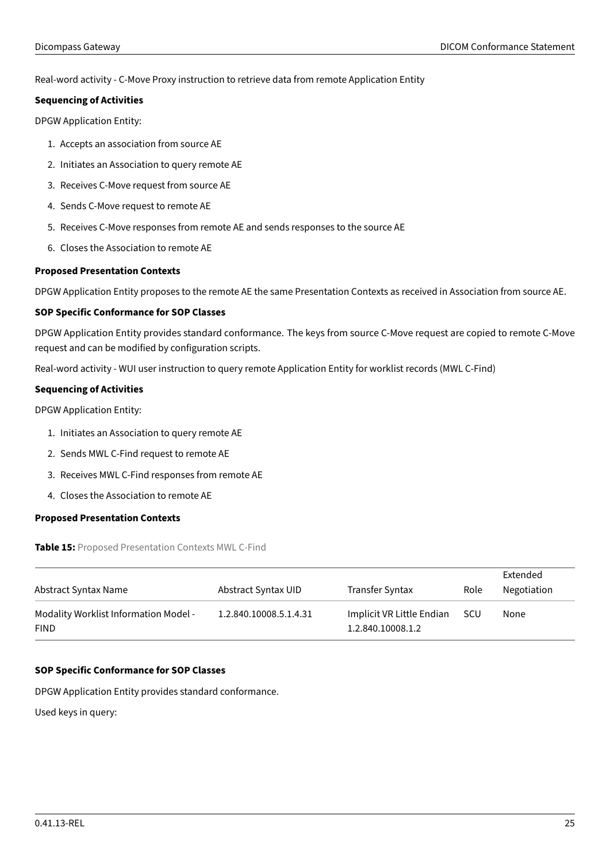Real-word activity - C-Move Proxy instruction to retrieve data from remote Application Entity

# **Sequencing of Activities**

DPGW Application Entity:

- 1. Accepts an association from source AE
- 2. Initiates an Association to query remote AE
- 3. Receives C-Move request from source AE
- 4. Sends C-Move request to remote AE
- 5. Receives C-Move responses from remote AE and sends responses to the source AE
- 6. Closes the Association to remote AE

# **Proposed Presentation Contexts**

DPGW Application Entity proposes to the remote AE the same Presentation Contexts as received in Association from source AE.

# **SOP Specific Conformance for SOP Classes**

DPGW Application Entity provides standard conformance. The keys from source C-Move request are copied to remote C-Move request and can be modified by configuration scripts.

Real-word activity - WUI user instruction to query remote Application Entity for worklist records (MWL C-Find)

# **Sequencing of Activities**

DPGW Application Entity:

- 1. Initiates an Association to query remote AE
- 2. Sends MWL C-Find request to remote AE
- 3. Receives MWL C-Find responses from remote AE
- 4. Closes the Association to remote AE

# <span id="page-24-0"></span>**Proposed Presentation Contexts**

**Table 15:** Proposed Presentation Contexts MWL C-Find

| Abstract Syntax Name                                 | Abstract Syntax UID    | Transfer Syntax                                | Role | Extended<br>Negotiation |
|------------------------------------------------------|------------------------|------------------------------------------------|------|-------------------------|
| Modality Worklist Information Model -<br><b>FIND</b> | 1.2.840.10008.5.1.4.31 | Implicit VR Little Endian<br>1.2.840.10008.1.2 | scu  | None                    |

# **SOP Specific Conformance for SOP Classes**

DPGW Application Entity provides standard conformance.

<span id="page-24-1"></span>Used keys in query: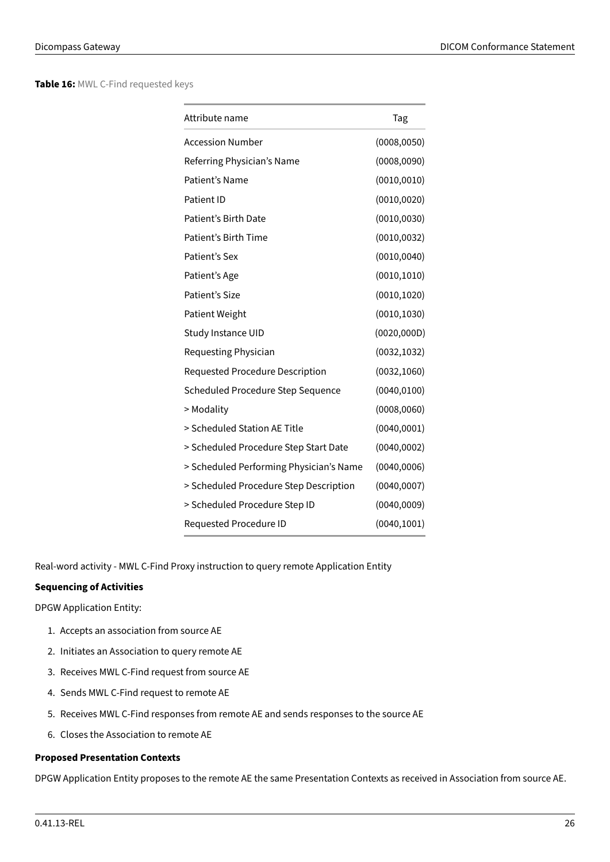**Table 16:** MWL C-Find requested keys

| Attribute name                          | Tag          |
|-----------------------------------------|--------------|
| <b>Accession Number</b>                 | (0008, 0050) |
| Referring Physician's Name              | (0008, 0090) |
| Patient's Name                          | (0010, 0010) |
| Patient ID                              | (0010, 0020) |
| Patient's Birth Date                    | (0010, 0030) |
| Patient's Birth Time                    | (0010, 0032) |
| Patient's Sex                           | (0010, 0040) |
| Patient's Age                           | (0010, 1010) |
| Patient's Size                          | (0010, 1020) |
| <b>Patient Weight</b>                   | (0010, 1030) |
| Study Instance UID                      | (0020, 000D) |
| Requesting Physician                    | (0032, 1032) |
| Requested Procedure Description         | (0032, 1060) |
| Scheduled Procedure Step Sequence       | (0040, 0100) |
| > Modality                              | (0008, 0060) |
| > Scheduled Station AE Title            | (0040, 0001) |
| > Scheduled Procedure Step Start Date   | (0040, 0002) |
| > Scheduled Performing Physician's Name | (0040, 0006) |
| > Scheduled Procedure Step Description  | (0040, 0007) |
| > Scheduled Procedure Step ID           | (0040, 0009) |
| Requested Procedure ID                  | (0040, 1001) |

Real-word activity - MWL C-Find Proxy instruction to query remote Application Entity

# **Sequencing of Activities**

DPGW Application Entity:

- 1. Accepts an association from source AE
- 2. Initiates an Association to query remote AE
- 3. Receives MWL C-Find request from source AE
- 4. Sends MWL C-Find request to remote AE
- 5. Receives MWL C-Find responses from remote AE and sends responses to the source AE
- 6. Closes the Association to remote AE

# **Proposed Presentation Contexts**

DPGW Application Entity proposes to the remote AE the same Presentation Contexts as received in Association from source AE.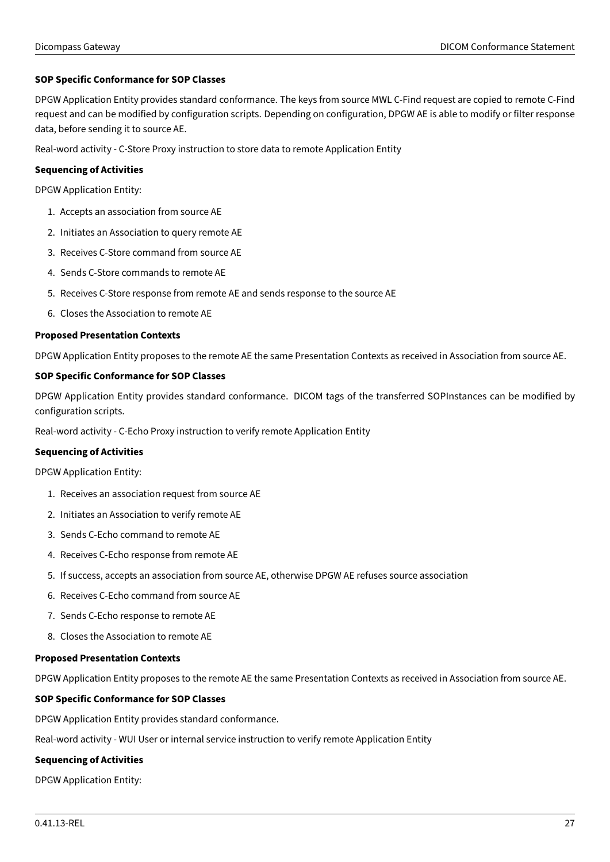# **SOP Specific Conformance for SOP Classes**

DPGW Application Entity provides standard conformance. The keys from source MWL C-Find request are copied to remote C-Find request and can be modified by configuration scripts. Depending on configuration, DPGW AE is able to modify or filter response data, before sending it to source AE.

Real-word activity - C-Store Proxy instruction to store data to remote Application Entity

# **Sequencing of Activities**

DPGW Application Entity:

- 1. Accepts an association from source AE
- 2. Initiates an Association to query remote AE
- 3. Receives C-Store command from source AE
- 4. Sends C-Store commands to remote AE
- 5. Receives C-Store response from remote AE and sends response to the source AE
- 6. Closes the Association to remote AE

#### **Proposed Presentation Contexts**

DPGW Application Entity proposes to the remote AE the same Presentation Contexts as received in Association from source AE.

# **SOP Specific Conformance for SOP Classes**

DPGW Application Entity provides standard conformance. DICOM tags of the transferred SOPInstances can be modified by configuration scripts.

Real-word activity - C-Echo Proxy instruction to verify remote Application Entity

# **Sequencing of Activities**

DPGW Application Entity:

- 1. Receives an association request from source AE
- 2. Initiates an Association to verify remote AE
- 3. Sends C-Echo command to remote AE
- 4. Receives C-Echo response from remote AE
- 5. If success, accepts an association from source AE, otherwise DPGW AE refuses source association
- 6. Receives C-Echo command from source AE
- 7. Sends C-Echo response to remote AE
- 8. Closes the Association to remote AE

# **Proposed Presentation Contexts**

DPGW Application Entity proposes to the remote AE the same Presentation Contexts as received in Association from source AE.

# **SOP Specific Conformance for SOP Classes**

DPGW Application Entity provides standard conformance.

Real-word activity - WUI User or internal service instruction to verify remote Application Entity

# **Sequencing of Activities**

DPGW Application Entity: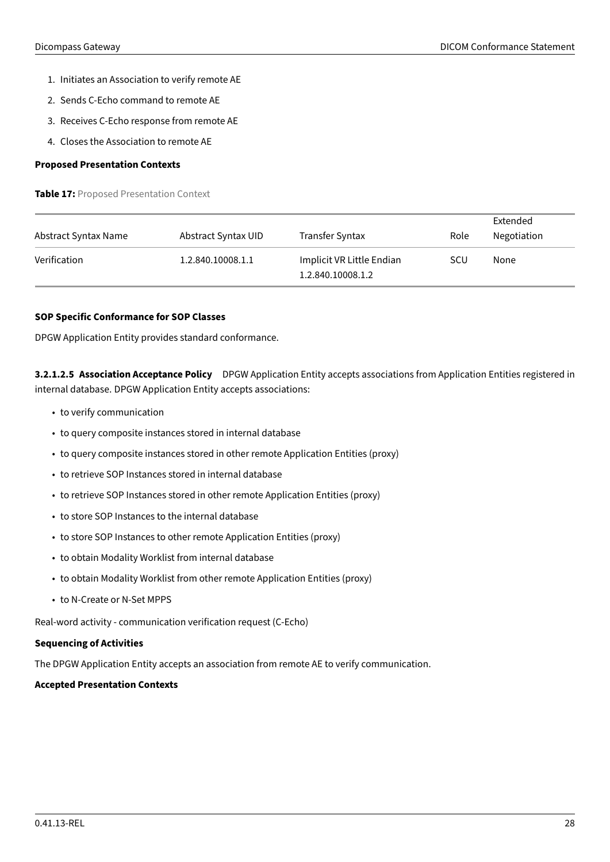- 1. Initiates an Association to verify remote AE
- 2. Sends C-Echo command to remote AE
- 3. Receives C-Echo response from remote AE
- 4. Closes the Association to remote AE

## <span id="page-27-0"></span>**Proposed Presentation Contexts**

**Table 17:** Proposed Presentation Context

| Abstract Syntax Name | Abstract Syntax UID | <b>Transfer Syntax</b>                         | Role       | Extended<br>Negotiation |
|----------------------|---------------------|------------------------------------------------|------------|-------------------------|
| Verification         | 1.2.840.10008.1.1   | Implicit VR Little Endian<br>1.2.840.10008.1.2 | <b>SCU</b> | None                    |

# **SOP Specific Conformance for SOP Classes**

DPGW Application Entity provides standard conformance.

**3.2.1.2.5 Association Acceptance Policy** DPGW Application Entity accepts associations from Application Entities registered in internal database. DPGW Application Entity accepts associations:

- to verify communication
- to query composite instances stored in internal database
- to query composite instances stored in other remote Application Entities (proxy)
- to retrieve SOP Instances stored in internal database
- to retrieve SOP Instances stored in other remote Application Entities (proxy)
- to store SOP Instances to the internal database
- to store SOP Instances to other remote Application Entities (proxy)
- to obtain Modality Worklist from internal database
- to obtain Modality Worklist from other remote Application Entities (proxy)
- to N-Create or N-Set MPPS

Real-word activity - communication verification request (C-Echo)

# **Sequencing of Activities**

The DPGW Application Entity accepts an association from remote AE to verify communication.

# <span id="page-27-1"></span>**Accepted Presentation Contexts**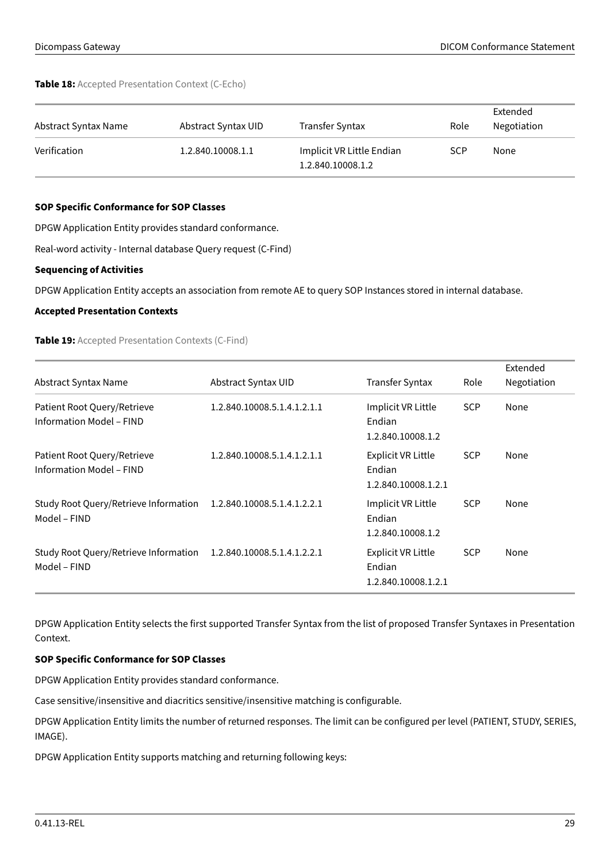**Table 18:** Accepted Presentation Context (C-Echo)

| Abstract Syntax Name | Abstract Syntax UID | Transfer Syntax                                | Role       | Extended<br>Negotiation |
|----------------------|---------------------|------------------------------------------------|------------|-------------------------|
| Verification         | 1.2.840.10008.1.1   | Implicit VR Little Endian<br>1.2.840.10008.1.2 | <b>SCP</b> | None                    |

# **SOP Specific Conformance for SOP Classes**

DPGW Application Entity provides standard conformance.

Real-word activity - Internal database Query request (C-Find)

#### **Sequencing of Activities**

DPGW Application Entity accepts an association from remote AE to query SOP Instances stored in internal database.

# <span id="page-28-0"></span>**Accepted Presentation Contexts**

**Table 19:** Accepted Presentation Contexts (C-Find)

|                                                         |                             |                                                            |            | Extended    |
|---------------------------------------------------------|-----------------------------|------------------------------------------------------------|------------|-------------|
| Abstract Syntax Name                                    | Abstract Syntax UID         | <b>Transfer Syntax</b>                                     | Role       | Negotiation |
| Patient Root Query/Retrieve<br>Information Model - FIND | 1.2.840.10008.5.1.4.1.2.1.1 | Implicit VR Little<br>Endian<br>1.2.840.10008.1.2          | <b>SCP</b> | None        |
| Patient Root Query/Retrieve<br>Information Model - FIND | 1.2.840.10008.5.1.4.1.2.1.1 | <b>Explicit VR Little</b><br>Endian<br>1.2.840.10008.1.2.1 | <b>SCP</b> | None        |
| Study Root Query/Retrieve Information<br>Model - FIND   | 1.2.840.10008.5.1.4.1.2.2.1 | Implicit VR Little<br>Endian<br>1.2.840.10008.1.2          | <b>SCP</b> | None        |
| Study Root Query/Retrieve Information<br>Model - FIND   | 1.2.840.10008.5.1.4.1.2.2.1 | <b>Explicit VR Little</b><br>Endian<br>1.2.840.10008.1.2.1 | <b>SCP</b> | None        |

DPGW Application Entity selects the first supported Transfer Syntax from the list of proposed Transfer Syntaxes in Presentation Context.

# **SOP Specific Conformance for SOP Classes**

DPGW Application Entity provides standard conformance.

Case sensitive/insensitive and diacritics sensitive/insensitive matching is configurable.

DPGW Application Entity limits the number of returned responses. The limit can be configured per level (PATIENT, STUDY, SERIES, IMAGE).

<span id="page-28-1"></span>DPGW Application Entity supports matching and returning following keys: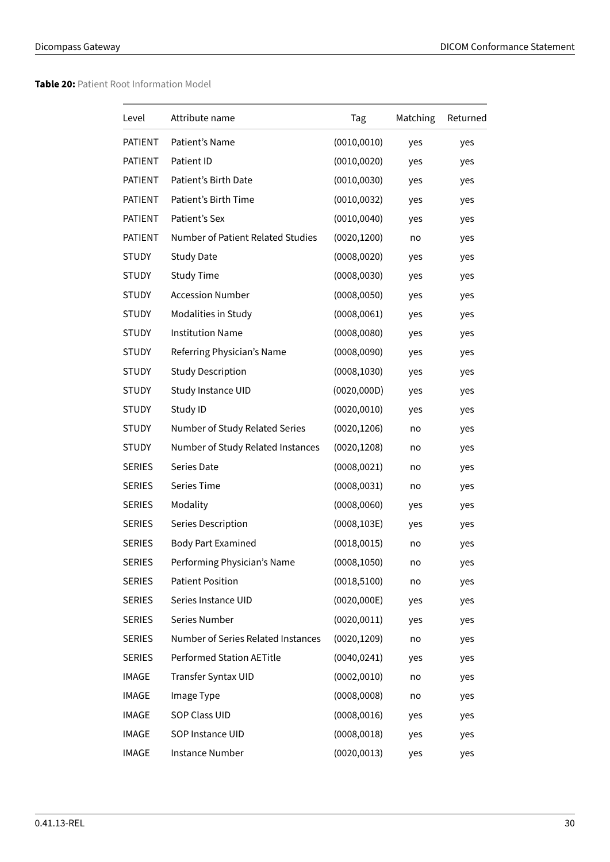# **Table 20:** Patient Root Information Model

| Level          | Attribute name                     | Tag          | Matching | Returned |
|----------------|------------------------------------|--------------|----------|----------|
| PATIENT        | Patient's Name                     | (0010, 0010) | yes      | yes      |
| PATIENT        | Patient ID                         | (0010, 0020) | yes      | yes      |
| <b>PATIENT</b> | Patient's Birth Date               | (0010, 0030) | yes      | yes      |
| PATIENT        | Patient's Birth Time               | (0010, 0032) | yes      | yes      |
| PATIENT        | Patient's Sex                      | (0010, 0040) | yes      | yes      |
| PATIENT        | Number of Patient Related Studies  | (0020, 1200) | no       | yes      |
| <b>STUDY</b>   | <b>Study Date</b>                  | (0008, 0020) | yes      | yes      |
| <b>STUDY</b>   | <b>Study Time</b>                  | (0008, 0030) | yes      | yes      |
| <b>STUDY</b>   | <b>Accession Number</b>            | (0008, 0050) | yes      | yes      |
| <b>STUDY</b>   | Modalities in Study                | (0008, 0061) | yes      | yes      |
| <b>STUDY</b>   | <b>Institution Name</b>            | (0008, 0080) | yes      | yes      |
| <b>STUDY</b>   | Referring Physician's Name         | (0008, 0090) | yes      | yes      |
| <b>STUDY</b>   | <b>Study Description</b>           | (0008, 1030) | yes      | yes      |
| <b>STUDY</b>   | Study Instance UID                 | (0020, 000D) | yes      | yes      |
| <b>STUDY</b>   | Study ID                           | (0020, 0010) | yes      | yes      |
| <b>STUDY</b>   | Number of Study Related Series     | (0020, 1206) | no       | yes      |
| <b>STUDY</b>   | Number of Study Related Instances  | (0020, 1208) | no       | yes      |
| <b>SERIES</b>  | Series Date                        | (0008, 0021) | no       | yes      |
| <b>SERIES</b>  | Series Time                        | (0008, 0031) | no       | yes      |
| <b>SERIES</b>  | Modality                           | (0008, 0060) | yes      | yes      |
| <b>SERIES</b>  | Series Description                 | (0008, 103E) | yes      | yes      |
| <b>SERIES</b>  | <b>Body Part Examined</b>          | (0018, 0015) | no       | yes      |
| <b>SERIES</b>  | Performing Physician's Name        | (0008, 1050) | no       | yes      |
| <b>SERIES</b>  | <b>Patient Position</b>            | (0018, 5100) | no       | yes      |
| <b>SERIES</b>  | Series Instance UID                | (0020,000E)  | yes      | yes      |
| <b>SERIES</b>  | Series Number                      | (0020, 0011) | yes      | yes      |
| <b>SERIES</b>  | Number of Series Related Instances | (0020, 1209) | no       | yes      |
| <b>SERIES</b>  | <b>Performed Station AETitle</b>   | (0040, 0241) | yes      | yes      |
| <b>IMAGE</b>   | Transfer Syntax UID                | (0002, 0010) | no       | yes      |
| IMAGE          | Image Type                         | (0008,0008)  | no       | yes      |
| <b>IMAGE</b>   | <b>SOP Class UID</b>               | (0008, 0016) | yes      | yes      |
| <b>IMAGE</b>   | SOP Instance UID                   | (0008, 0018) | yes      | yes      |
| <b>IMAGE</b>   | Instance Number                    | (0020, 0013) | yes      | yes      |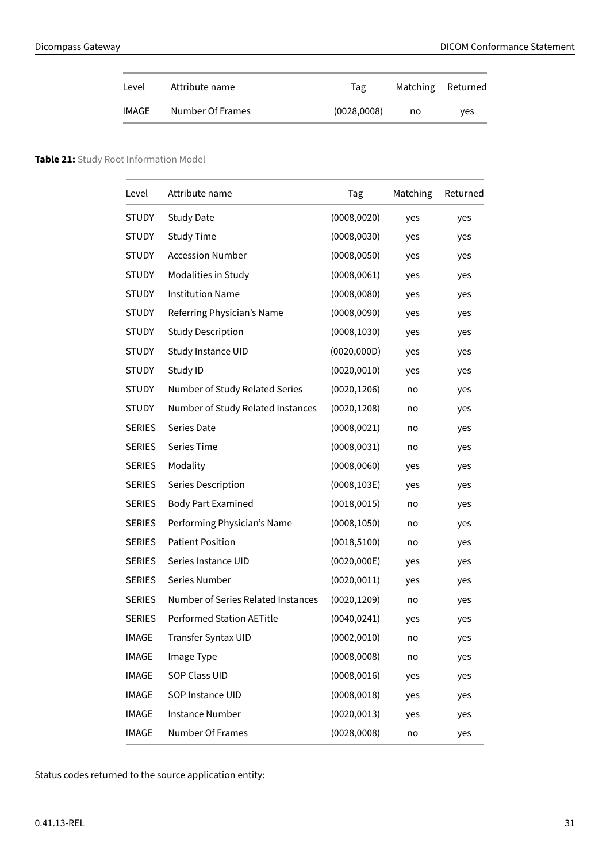| Level | Attribute name   | Tag         | Matching Returned |     |
|-------|------------------|-------------|-------------------|-----|
| IMAGE | Number Of Frames | (0028,0008) | no                | ves |

# <span id="page-30-0"></span>**Table 21:** Study Root Information Model

| Level         | Attribute name                     | Tag          | Matching | Returned |
|---------------|------------------------------------|--------------|----------|----------|
| STUDY         | <b>Study Date</b>                  | (0008, 0020) | yes      | yes      |
| <b>STUDY</b>  | <b>Study Time</b>                  | (0008, 0030) | yes      | yes      |
| <b>STUDY</b>  | <b>Accession Number</b>            | (0008, 0050) | yes      | yes      |
| <b>STUDY</b>  | Modalities in Study                | (0008, 0061) | yes      | yes      |
| <b>STUDY</b>  | <b>Institution Name</b>            | (0008, 0080) | yes      | yes      |
| <b>STUDY</b>  | Referring Physician's Name         | (0008,0090)  | yes      | yes      |
| STUDY         | <b>Study Description</b>           | (0008, 1030) | yes      | yes      |
| <b>STUDY</b>  | Study Instance UID                 | (0020, 000D) | yes      | yes      |
| <b>STUDY</b>  | Study ID                           | (0020, 0010) | yes      | yes      |
| <b>STUDY</b>  | Number of Study Related Series     | (0020, 1206) | no       | yes      |
| <b>STUDY</b>  | Number of Study Related Instances  | (0020, 1208) | no       | yes      |
| <b>SERIES</b> | Series Date                        | (0008, 0021) | no       | yes      |
| <b>SERIES</b> | <b>Series Time</b>                 | (0008, 0031) | no       | yes      |
| <b>SERIES</b> | Modality                           | (0008, 0060) | yes      | yes      |
| <b>SERIES</b> | Series Description                 | (0008, 103E) | yes      | yes      |
| <b>SERIES</b> | <b>Body Part Examined</b>          | (0018, 0015) | no       | yes      |
| <b>SERIES</b> | Performing Physician's Name        | (0008, 1050) | no       | yes      |
| <b>SERIES</b> | <b>Patient Position</b>            | (0018, 5100) | no       | yes      |
| <b>SERIES</b> | Series Instance UID                | (0020,000E)  | yes      | yes      |
| <b>SERIES</b> | Series Number                      | (0020, 0011) | yes      | yes      |
| <b>SERIES</b> | Number of Series Related Instances | (0020, 1209) | no       | yes      |
| <b>SERIES</b> | <b>Performed Station AETitle</b>   | (0040, 0241) | yes      | yes      |
| IMAGE         | Transfer Syntax UID                | (0002, 0010) | no       | yes      |
| <b>IMAGE</b>  | Image Type                         | (0008,0008)  | no       | yes      |
| <b>IMAGE</b>  | <b>SOP Class UID</b>               | (0008, 0016) | yes      | yes      |
| <b>IMAGE</b>  | SOP Instance UID                   | (0008, 0018) | yes      | yes      |
| <b>IMAGE</b>  | <b>Instance Number</b>             | (0020, 0013) | yes      | yes      |
| <b>IMAGE</b>  | Number Of Frames                   | (0028,0008)  | no       | yes      |

<span id="page-30-1"></span>Status codes returned to the source application entity: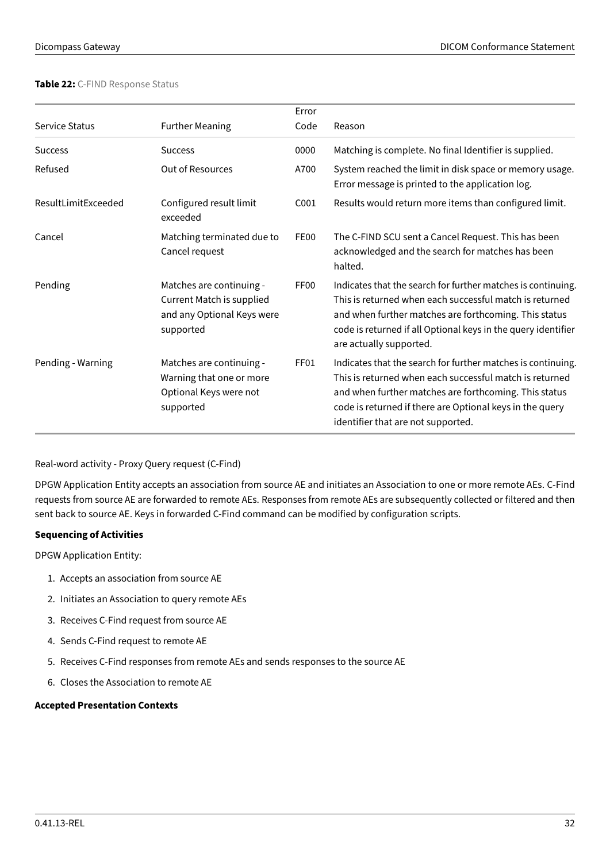# **Table 22:** C-FIND Response Status

|                       |                                                                                                         | Error            |                                                                                                                                                                                                                                                                                    |
|-----------------------|---------------------------------------------------------------------------------------------------------|------------------|------------------------------------------------------------------------------------------------------------------------------------------------------------------------------------------------------------------------------------------------------------------------------------|
| <b>Service Status</b> | <b>Further Meaning</b>                                                                                  | Code             | Reason                                                                                                                                                                                                                                                                             |
| <b>Success</b>        | <b>Success</b>                                                                                          | 0000             | Matching is complete. No final Identifier is supplied.                                                                                                                                                                                                                             |
| Refused               | <b>Out of Resources</b>                                                                                 | A700             | System reached the limit in disk space or memory usage.<br>Error message is printed to the application log.                                                                                                                                                                        |
| ResultLimitExceeded   | Configured result limit<br>exceeded                                                                     | C001             | Results would return more items than configured limit.                                                                                                                                                                                                                             |
| Cancel                | Matching terminated due to<br>Cancel request                                                            | FE00             | The C-FIND SCU sent a Cancel Request. This has been<br>acknowledged and the search for matches has been<br>halted.                                                                                                                                                                 |
| Pending               | Matches are continuing -<br><b>Current Match is supplied</b><br>and any Optional Keys were<br>supported | FF <sub>00</sub> | Indicates that the search for further matches is continuing.<br>This is returned when each successful match is returned<br>and when further matches are forthcoming. This status<br>code is returned if all Optional keys in the query identifier<br>are actually supported.       |
| Pending - Warning     | Matches are continuing -<br>Warning that one or more<br>Optional Keys were not<br>supported             | FF01             | Indicates that the search for further matches is continuing.<br>This is returned when each successful match is returned<br>and when further matches are forthcoming. This status<br>code is returned if there are Optional keys in the query<br>identifier that are not supported. |

Real-word activity - Proxy Query request (C-Find)

DPGW Application Entity accepts an association from source AE and initiates an Association to one or more remote AEs. C-Find requests from source AE are forwarded to remote AEs. Responses from remote AEs are subsequently collected or filtered and then sent back to source AE. Keys in forwarded C-Find command can be modified by configuration scripts.

# **Sequencing of Activities**

DPGW Application Entity:

- 1. Accepts an association from source AE
- 2. Initiates an Association to query remote AEs
- 3. Receives C-Find request from source AE
- 4. Sends C-Find request to remote AE
- 5. Receives C-Find responses from remote AEs and sends responses to the source AE
- 6. Closes the Association to remote AE

# <span id="page-31-0"></span>**Accepted Presentation Contexts**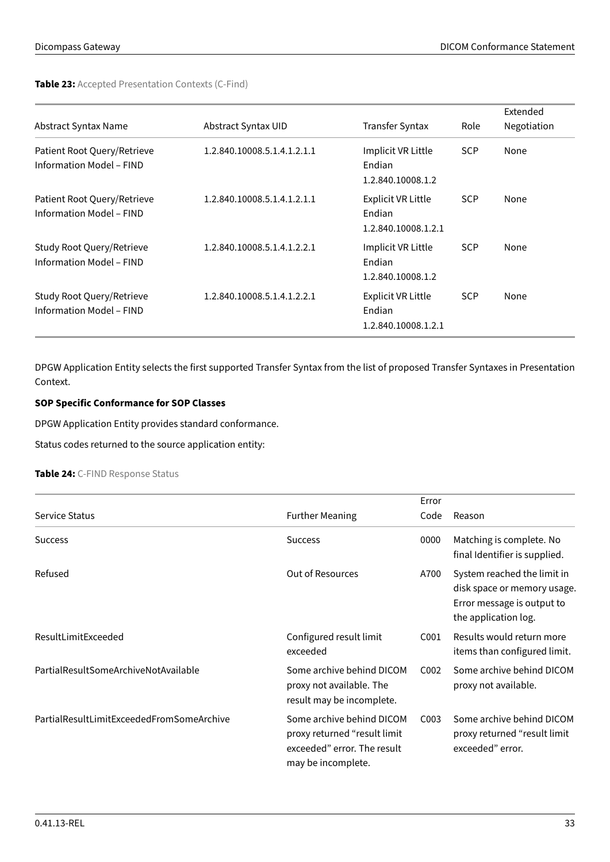# **Table 23:** Accepted Presentation Contexts (C-Find)

|                                                              |                             |                                                            |            | Extended    |
|--------------------------------------------------------------|-----------------------------|------------------------------------------------------------|------------|-------------|
| Abstract Syntax Name                                         | Abstract Syntax UID         | <b>Transfer Syntax</b>                                     | Role       | Negotiation |
| Patient Root Query/Retrieve<br>Information Model - FIND      | 1.2.840.10008.5.1.4.1.2.1.1 | Implicit VR Little<br>Endian<br>1.2.840.10008.1.2          | <b>SCP</b> | None        |
| Patient Root Query/Retrieve<br>Information Model - FIND      | 1.2.840.10008.5.1.4.1.2.1.1 | <b>Explicit VR Little</b><br>Endian<br>1.2.840.10008.1.2.1 | <b>SCP</b> | None        |
| Study Root Query/Retrieve<br><b>Information Model - FIND</b> | 1.2.840.10008.5.1.4.1.2.2.1 | Implicit VR Little<br>Endian<br>1.2.840.10008.1.2          | <b>SCP</b> | None        |
| Study Root Query/Retrieve<br><b>Information Model - FIND</b> | 1.2.840.10008.5.1.4.1.2.2.1 | <b>Explicit VR Little</b><br>Endian<br>1.2.840.10008.1.2.1 | <b>SCP</b> | None        |

DPGW Application Entity selects the first supported Transfer Syntax from the list of proposed Transfer Syntaxes in Presentation Context.

# **SOP Specific Conformance for SOP Classes**

DPGW Application Entity provides standard conformance.

<span id="page-32-0"></span>Status codes returned to the source application entity:

#### **Table 24:** C-FIND Response Status

|                                           |                                                                                                                | Error |                                                                                                                  |
|-------------------------------------------|----------------------------------------------------------------------------------------------------------------|-------|------------------------------------------------------------------------------------------------------------------|
| <b>Service Status</b>                     | <b>Further Meaning</b>                                                                                         | Code  | Reason                                                                                                           |
| <b>Success</b>                            | <b>Success</b>                                                                                                 | 0000  | Matching is complete. No<br>final Identifier is supplied.                                                        |
| Refused                                   | <b>Out of Resources</b>                                                                                        | A700  | System reached the limit in<br>disk space or memory usage.<br>Error message is output to<br>the application log. |
| ResultLimitExceeded                       | Configured result limit<br>exceeded                                                                            | C001  | Results would return more<br>items than configured limit.                                                        |
| PartialResultSomeArchiveNotAvailable      | Some archive behind DICOM<br>proxy not available. The<br>result may be incomplete.                             | C002  | Some archive behind DICOM<br>proxy not available.                                                                |
| PartialResultLimitExceededFromSomeArchive | Some archive behind DICOM<br>proxy returned "result limit<br>exceeded" error. The result<br>may be incomplete. | C003  | Some archive behind DICOM<br>proxy returned "result limit<br>exceeded" error.                                    |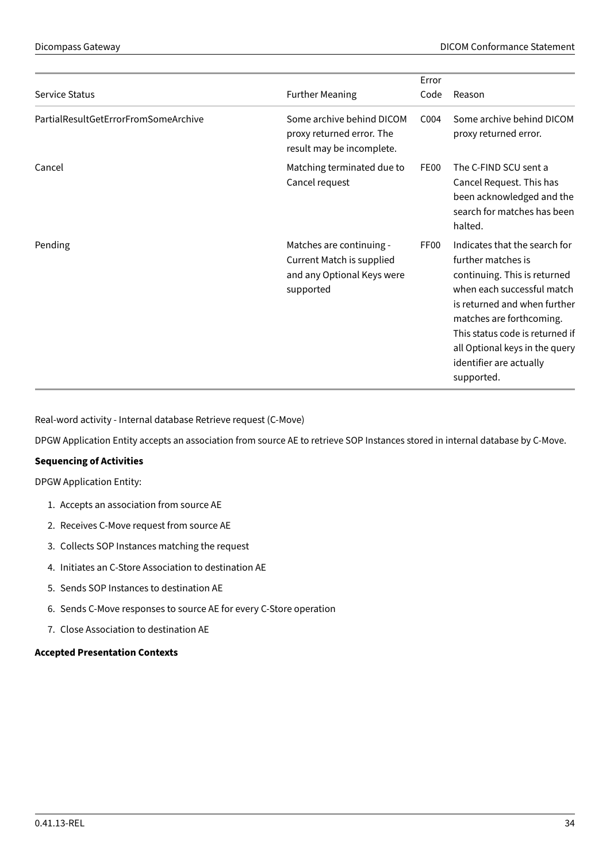|                                      |                                                                                                         | Error            |                                                                                                                                                                                                                                                                                             |
|--------------------------------------|---------------------------------------------------------------------------------------------------------|------------------|---------------------------------------------------------------------------------------------------------------------------------------------------------------------------------------------------------------------------------------------------------------------------------------------|
| <b>Service Status</b>                | <b>Further Meaning</b>                                                                                  | Code             | Reason                                                                                                                                                                                                                                                                                      |
| PartialResultGetErrorFromSomeArchive | Some archive behind DICOM<br>proxy returned error. The<br>result may be incomplete.                     | C004             | Some archive behind DICOM<br>proxy returned error.                                                                                                                                                                                                                                          |
| Cancel                               | Matching terminated due to<br>Cancel request                                                            | FE00             | The C-FIND SCU sent a<br>Cancel Request. This has<br>been acknowledged and the<br>search for matches has been<br>halted.                                                                                                                                                                    |
| Pending                              | Matches are continuing -<br><b>Current Match is supplied</b><br>and any Optional Keys were<br>supported | FF <sub>00</sub> | Indicates that the search for<br>further matches is<br>continuing. This is returned<br>when each successful match<br>is returned and when further<br>matches are forthcoming.<br>This status code is returned if<br>all Optional keys in the query<br>identifier are actually<br>supported. |

Real-word activity - Internal database Retrieve request (C-Move)

DPGW Application Entity accepts an association from source AE to retrieve SOP Instances stored in internal database by C-Move.

# **Sequencing of Activities**

DPGW Application Entity:

- 1. Accepts an association from source AE
- 2. Receives C-Move request from source AE
- 3. Collects SOP Instances matching the request
- 4. Initiates an C-Store Association to destination AE
- 5. Sends SOP Instances to destination AE
- 6. Sends C-Move responses to source AE for every C-Store operation
- 7. Close Association to destination AE

# <span id="page-33-0"></span>**Accepted Presentation Contexts**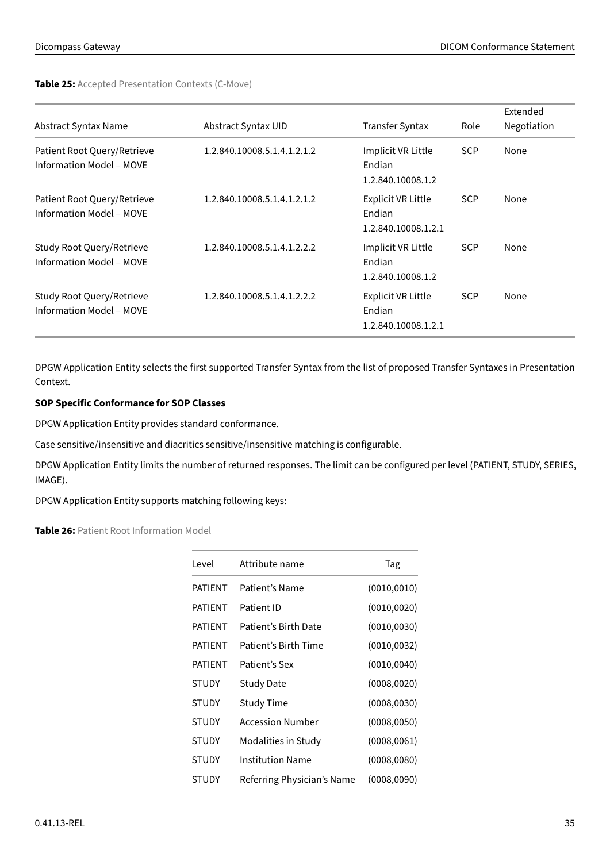**Table 25:** Accepted Presentation Contexts (C-Move)

| Abstract Syntax Name                                         | Abstract Syntax UID         | <b>Transfer Syntax</b>                                     | Role       | Extended<br>Negotiation |
|--------------------------------------------------------------|-----------------------------|------------------------------------------------------------|------------|-------------------------|
| Patient Root Query/Retrieve<br>Information Model - MOVE      | 1.2.840.10008.5.1.4.1.2.1.2 | Implicit VR Little<br>Endian<br>1.2.840.10008.1.2          | <b>SCP</b> | None                    |
| Patient Root Query/Retrieve<br>Information Model - MOVE      | 1.2.840.10008.5.1.4.1.2.1.2 | <b>Explicit VR Little</b><br>Endian<br>1.2.840.10008.1.2.1 | <b>SCP</b> | None                    |
| Study Root Query/Retrieve<br><b>Information Model - MOVE</b> | 1.2.840.10008.5.1.4.1.2.2.2 | Implicit VR Little<br>Endian<br>1.2.840.10008.1.2          | <b>SCP</b> | None                    |
| Study Root Query/Retrieve<br><b>Information Model - MOVE</b> | 1.2.840.10008.5.1.4.1.2.2.2 | <b>Explicit VR Little</b><br>Endian<br>1.2.840.10008.1.2.1 | <b>SCP</b> | None                    |

DPGW Application Entity selects the first supported Transfer Syntax from the list of proposed Transfer Syntaxes in Presentation Context.

# **SOP Specific Conformance for SOP Classes**

DPGW Application Entity provides standard conformance.

Case sensitive/insensitive and diacritics sensitive/insensitive matching is configurable.

DPGW Application Entity limits the number of returned responses. The limit can be configured per level (PATIENT, STUDY, SERIES, IMAGE).

<span id="page-34-0"></span>DPGW Application Entity supports matching following keys:

# **Table 26:** Patient Root Information Model

| Level          | Attribute name             | Tag          |
|----------------|----------------------------|--------------|
| <b>PATIENT</b> | Patient's Name             | (0010, 0010) |
| <b>PATIFNT</b> | Patient ID                 | (0010, 0020) |
| PATIFNT        | Patient's Birth Date       | (0010, 0030) |
| <b>PATIFNT</b> | Patient's Birth Time       | (0010, 0032) |
| <b>PATIFNT</b> | Patient's Sex              | (0010, 0040) |
| <b>STUDY</b>   | Study Date                 | (0008, 0020) |
| <b>STUDY</b>   | <b>Study Time</b>          | (0008, 0030) |
| <b>STUDY</b>   | <b>Accession Number</b>    | (0008, 0050) |
| <b>STUDY</b>   | Modalities in Study        | (0008, 0061) |
| <b>STUDY</b>   | <b>Institution Name</b>    | (0008,0080)  |
| <b>STUDY</b>   | Referring Physician's Name | (0008, 0090) |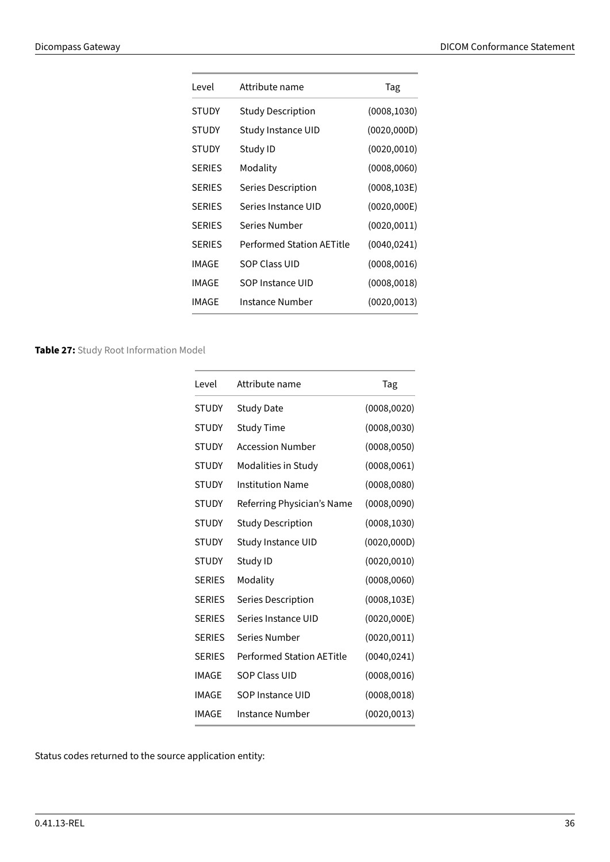| Level         | Attribute name            | Tag          |
|---------------|---------------------------|--------------|
| STUDY         | <b>Study Description</b>  | (0008, 1030) |
| <b>STUDY</b>  | Study Instance UID        | (0020, 000D) |
| <b>STUDY</b>  | Study ID                  | (0020, 0010) |
| <b>SERIES</b> | Modality                  | (0008, 0060) |
| <b>SERIES</b> | Series Description        | (0008, 103E) |
| <b>SERIES</b> | Series Instance UID       | (0020,000E)  |
| <b>SERIES</b> | Series Number             | (0020, 0011) |
| <b>SERIES</b> | Performed Station AETitle | (0040, 0241) |
| IMAGE         | <b>SOP Class UID</b>      | (0008, 0016) |
| IMAGE         | SOP Instance UID          | (0008, 0018) |
| IMAGE         | Instance Number           | (0020, 0013) |

# <span id="page-35-0"></span>**Table 27:** Study Root Information Model

| Attribute name                   | Tag          |
|----------------------------------|--------------|
| <b>Study Date</b>                | (0008, 0020) |
| Study Time                       | (0008, 0030) |
| <b>Accession Number</b>          | (0008, 0050) |
| Modalities in Study              | (0008, 0061) |
| <b>Institution Name</b>          | (0008, 0080) |
| Referring Physician's Name       | (0008, 0090) |
| <b>Study Description</b>         | (0008, 1030) |
| Study Instance UID               | (0020, 000D) |
| Study ID                         | (0020, 0010) |
| Modality                         | (0008, 0060) |
| Series Description               | (0008, 103E) |
| Series Instance UID              | (0020, 000E) |
| Series Number                    | (0020, 0011) |
| <b>Performed Station AETitle</b> | (0040, 0241) |
| <b>SOP Class UID</b>             | (0008, 0016) |
| SOP Instance UID                 | (0008, 0018) |
| Instance Number                  | (0020, 0013) |
|                                  |              |

<span id="page-35-1"></span>Status codes returned to the source application entity: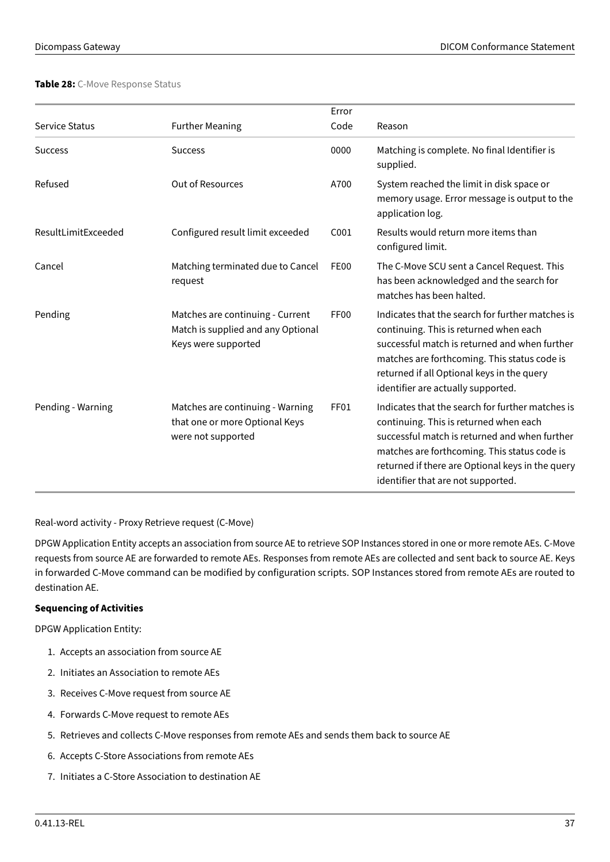#### **Table 28:** C-Move Response Status

|                     |                                                                                               | Error            |                                                                                                                                                                                                                                                                                       |
|---------------------|-----------------------------------------------------------------------------------------------|------------------|---------------------------------------------------------------------------------------------------------------------------------------------------------------------------------------------------------------------------------------------------------------------------------------|
| Service Status      | <b>Further Meaning</b>                                                                        | Code             | Reason                                                                                                                                                                                                                                                                                |
| <b>Success</b>      | <b>Success</b>                                                                                | 0000             | Matching is complete. No final Identifier is<br>supplied.                                                                                                                                                                                                                             |
| Refused             | <b>Out of Resources</b>                                                                       | A700             | System reached the limit in disk space or<br>memory usage. Error message is output to the<br>application log.                                                                                                                                                                         |
| ResultLimitExceeded | Configured result limit exceeded                                                              | C001             | Results would return more items than<br>configured limit.                                                                                                                                                                                                                             |
| Cancel              | Matching terminated due to Cancel<br>request                                                  | <b>FE00</b>      | The C-Move SCU sent a Cancel Request. This<br>has been acknowledged and the search for<br>matches has been halted.                                                                                                                                                                    |
| Pending             | Matches are continuing - Current<br>Match is supplied and any Optional<br>Keys were supported | FF <sub>00</sub> | Indicates that the search for further matches is<br>continuing. This is returned when each<br>successful match is returned and when further<br>matches are forthcoming. This status code is<br>returned if all Optional keys in the query<br>identifier are actually supported.       |
| Pending - Warning   | Matches are continuing - Warning<br>that one or more Optional Keys<br>were not supported      | FF01             | Indicates that the search for further matches is<br>continuing. This is returned when each<br>successful match is returned and when further<br>matches are forthcoming. This status code is<br>returned if there are Optional keys in the query<br>identifier that are not supported. |

Real-word activity - Proxy Retrieve request (C-Move)

DPGW Application Entity accepts an association from source AE to retrieve SOP Instances stored in one or more remote AEs. C-Move requests from source AE are forwarded to remote AEs. Responses from remote AEs are collected and sent back to source AE. Keys in forwarded C-Move command can be modified by configuration scripts. SOP Instances stored from remote AEs are routed to destination AE.

# **Sequencing of Activities**

DPGW Application Entity:

- 1. Accepts an association from source AE
- 2. Initiates an Association to remote AEs
- 3. Receives C-Move request from source AE
- 4. Forwards C-Move request to remote AEs
- 5. Retrieves and collects C-Move responses from remote AEs and sends them back to source AE
- 6. Accepts C-Store Associations from remote AEs
- 7. Initiates a C-Store Association to destination AE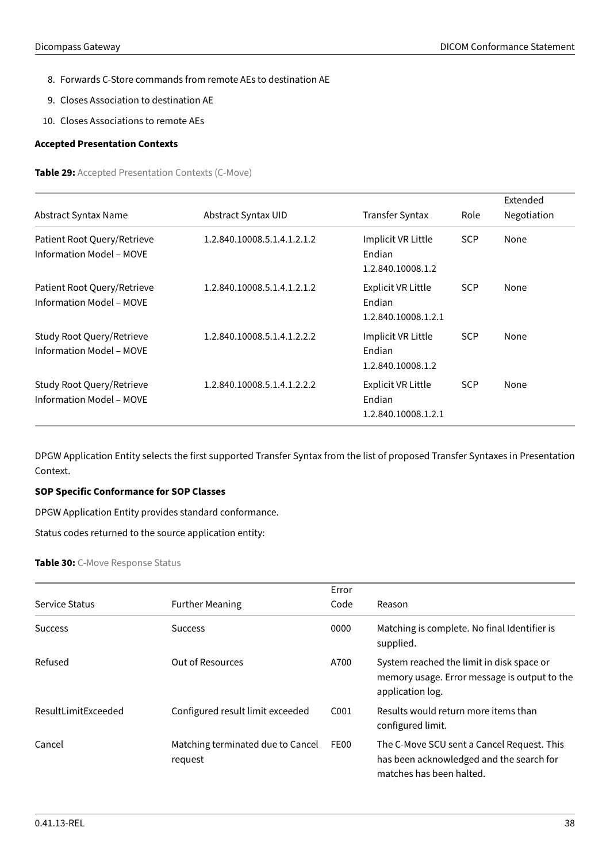- 8. Forwards C-Store commands from remote AEs to destination AE
- 9. Closes Association to destination AE
- 10. Closes Associations to remote AEs

#### <span id="page-37-0"></span>**Accepted Presentation Contexts**

**Table 29:** Accepted Presentation Contexts (C-Move)

|                                                                |                             |                                                            |            | Extended    |
|----------------------------------------------------------------|-----------------------------|------------------------------------------------------------|------------|-------------|
| Abstract Syntax Name                                           | Abstract Syntax UID         | <b>Transfer Syntax</b>                                     | Role       | Negotiation |
| Patient Root Query/Retrieve<br><b>Information Model - MOVE</b> | 1.2.840.10008.5.1.4.1.2.1.2 | Implicit VR Little<br>Endian<br>1.2.840.10008.1.2          | <b>SCP</b> | None        |
| Patient Root Query/Retrieve<br><b>Information Model - MOVE</b> | 1.2.840.10008.5.1.4.1.2.1.2 | <b>Explicit VR Little</b><br>Endian<br>1.2.840.10008.1.2.1 | <b>SCP</b> | None        |
| Study Root Query/Retrieve<br>Information Model - MOVE          | 1.2.840.10008.5.1.4.1.2.2.2 | Implicit VR Little<br>Endian<br>1.2.840.10008.1.2          | <b>SCP</b> | None        |
| Study Root Query/Retrieve<br>Information Model - MOVE          | 1.2.840.10008.5.1.4.1.2.2.2 | <b>Explicit VR Little</b><br>Endian<br>1.2.840.10008.1.2.1 | <b>SCP</b> | None        |

DPGW Application Entity selects the first supported Transfer Syntax from the list of proposed Transfer Syntaxes in Presentation Context.

# **SOP Specific Conformance for SOP Classes**

DPGW Application Entity provides standard conformance.

<span id="page-37-1"></span>Status codes returned to the source application entity:

#### **Table 30:** C-Move Response Status

|                     |                                              | Error            |                                                                                                                    |
|---------------------|----------------------------------------------|------------------|--------------------------------------------------------------------------------------------------------------------|
| Service Status      | <b>Further Meaning</b>                       | Code             | Reason                                                                                                             |
| <b>Success</b>      | <b>Success</b>                               | 0000             | Matching is complete. No final Identifier is<br>supplied.                                                          |
| Refused             | Out of Resources                             | A700             | System reached the limit in disk space or<br>memory usage. Error message is output to the<br>application log.      |
| ResultLimitExceeded | Configured result limit exceeded             | C <sub>001</sub> | Results would return more items than<br>configured limit.                                                          |
| Cancel              | Matching terminated due to Cancel<br>request | FE00             | The C-Move SCU sent a Cancel Request. This<br>has been acknowledged and the search for<br>matches has been halted. |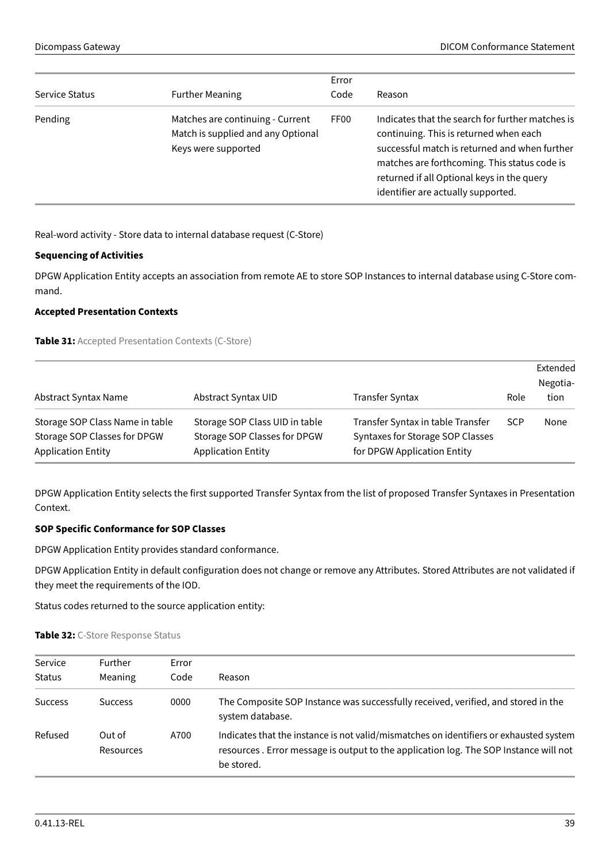|                |                                                                                               | Error            |                                                                                                                                                                                                                                                                                 |
|----------------|-----------------------------------------------------------------------------------------------|------------------|---------------------------------------------------------------------------------------------------------------------------------------------------------------------------------------------------------------------------------------------------------------------------------|
| Service Status | <b>Further Meaning</b>                                                                        | Code             | Reason                                                                                                                                                                                                                                                                          |
| Pending        | Matches are continuing - Current<br>Match is supplied and any Optional<br>Keys were supported | FF <sub>00</sub> | Indicates that the search for further matches is<br>continuing. This is returned when each<br>successful match is returned and when further<br>matches are forthcoming. This status code is<br>returned if all Optional keys in the query<br>identifier are actually supported. |

Real-word activity - Store data to internal database request (C-Store)

## **Sequencing of Activities**

DPGW Application Entity accepts an association from remote AE to store SOP Instances to internal database using C-Store command.

# <span id="page-38-0"></span>**Accepted Presentation Contexts**

**Table 31:** Accepted Presentation Contexts (C-Store)

|                                                                                              |                                                                                             |                                                                                                      |            | Extended<br>Negotia- |
|----------------------------------------------------------------------------------------------|---------------------------------------------------------------------------------------------|------------------------------------------------------------------------------------------------------|------------|----------------------|
| Abstract Syntax Name                                                                         | Abstract Syntax UID                                                                         | <b>Transfer Syntax</b>                                                                               | Role       | tion                 |
| Storage SOP Class Name in table<br>Storage SOP Classes for DPGW<br><b>Application Entity</b> | Storage SOP Class UID in table<br>Storage SOP Classes for DPGW<br><b>Application Entity</b> | Transfer Syntax in table Transfer<br>Syntaxes for Storage SOP Classes<br>for DPGW Application Entity | <b>SCP</b> | None                 |

DPGW Application Entity selects the first supported Transfer Syntax from the list of proposed Transfer Syntaxes in Presentation Context.

# **SOP Specific Conformance for SOP Classes**

DPGW Application Entity provides standard conformance.

DPGW Application Entity in default configuration does not change or remove any Attributes. Stored Attributes are not validated if they meet the requirements of the IOD.

<span id="page-38-1"></span>Status codes returned to the source application entity:

#### **Table 32:** C-Store Response Status

| Service        | <b>Further</b>             | Error |                                                                                                                                                                                              |
|----------------|----------------------------|-------|----------------------------------------------------------------------------------------------------------------------------------------------------------------------------------------------|
| <b>Status</b>  | Meaning                    | Code  | Reason                                                                                                                                                                                       |
| <b>Success</b> | <b>Success</b>             | 0000  | The Composite SOP Instance was successfully received, verified, and stored in the<br>system database.                                                                                        |
| Refused        | Out of<br><b>Resources</b> | A700  | Indicates that the instance is not valid/mismatches on identifiers or exhausted system<br>resources. Error message is output to the application log. The SOP Instance will not<br>be stored. |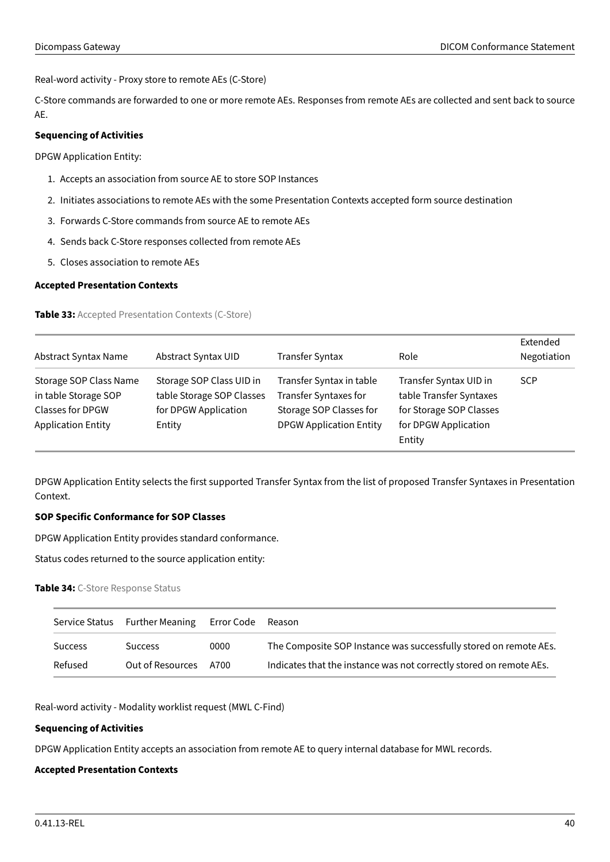Real-word activity - Proxy store to remote AEs (C-Store)

C-Store commands are forwarded to one or more remote AEs. Responses from remote AEs are collected and sent back to source AE.

# **Sequencing of Activities**

DPGW Application Entity:

- 1. Accepts an association from source AE to store SOP Instances
- 2. Initiates associations to remote AEs with the some Presentation Contexts accepted form source destination
- 3. Forwards C-Store commands from source AE to remote AEs
- 4. Sends back C-Store responses collected from remote AEs
- 5. Closes association to remote AEs

#### <span id="page-39-0"></span>**Accepted Presentation Contexts**

**Table 33:** Accepted Presentation Contexts (C-Store)

| Abstract Syntax Name      | Abstract Syntax UID       | Transfer Syntax                | Role                    | Extended<br>Negotiation |
|---------------------------|---------------------------|--------------------------------|-------------------------|-------------------------|
| Storage SOP Class Name    | Storage SOP Class UID in  | Transfer Syntax in table       | Transfer Syntax UID in  | <b>SCP</b>              |
| in table Storage SOP      | table Storage SOP Classes | <b>Transfer Syntaxes for</b>   | table Transfer Syntaxes |                         |
| <b>Classes for DPGW</b>   | for DPGW Application      | Storage SOP Classes for        | for Storage SOP Classes |                         |
| <b>Application Entity</b> | Entity                    | <b>DPGW Application Entity</b> | for DPGW Application    |                         |
|                           |                           |                                | Entity                  |                         |

DPGW Application Entity selects the first supported Transfer Syntax from the list of proposed Transfer Syntaxes in Presentation Context.

# **SOP Specific Conformance for SOP Classes**

DPGW Application Entity provides standard conformance.

<span id="page-39-1"></span>Status codes returned to the source application entity:

#### **Table 34:** C-Store Response Status

| Service Status | Further Meaning Error Code |      | Reason                                                              |
|----------------|----------------------------|------|---------------------------------------------------------------------|
| <b>Success</b> | <b>Success</b>             | 0000 | The Composite SOP Instance was successfully stored on remote AEs.   |
| Refused        | Out of Resources A700      |      | Indicates that the instance was not correctly stored on remote AEs. |

Real-word activity - Modality worklist request (MWL C-Find)

# **Sequencing of Activities**

DPGW Application Entity accepts an association from remote AE to query internal database for MWL records.

# <span id="page-39-2"></span>**Accepted Presentation Contexts**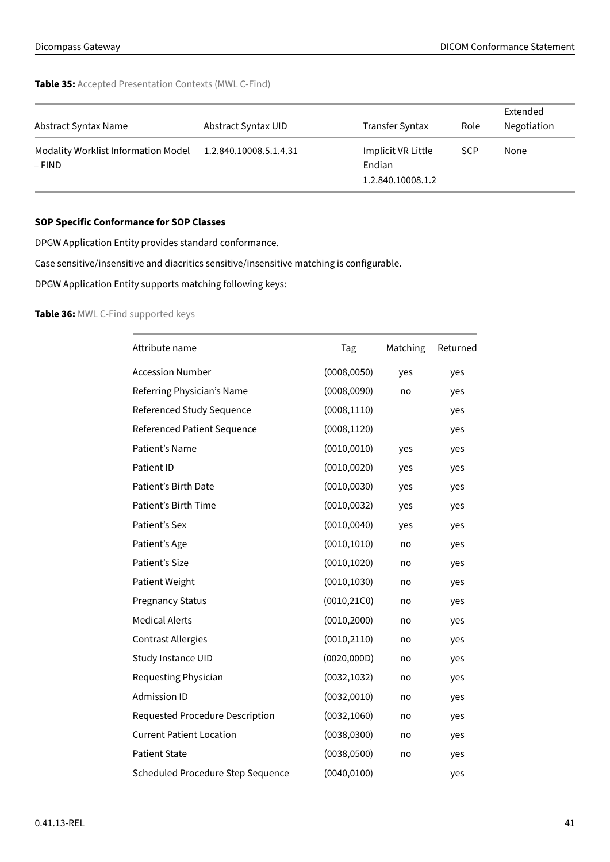# **Table 35:** Accepted Presentation Contexts (MWL C-Find)

| Abstract Syntax Name                          | Abstract Syntax UID    | Transfer Syntax                                   | Role       | Extended<br>Negotiation |
|-----------------------------------------------|------------------------|---------------------------------------------------|------------|-------------------------|
| Modality Worklist Information Model<br>– FIND | 1.2.840.10008.5.1.4.31 | Implicit VR Little<br>Endian<br>1.2.840.10008.1.2 | <b>SCP</b> | None                    |

# **SOP Specific Conformance for SOP Classes**

DPGW Application Entity provides standard conformance.

Case sensitive/insensitive and diacritics sensitive/insensitive matching is configurable.

<span id="page-40-0"></span>DPGW Application Entity supports matching following keys:

# **Table 36:** MWL C-Find supported keys

| Attribute name                    | Tag          | Matching | Returned |
|-----------------------------------|--------------|----------|----------|
| <b>Accession Number</b>           | (0008, 0050) | yes      | yes      |
| Referring Physician's Name        | (0008, 0090) | no       | yes      |
| Referenced Study Sequence         | (0008, 1110) |          | yes      |
| Referenced Patient Sequence       | (0008, 1120) |          | yes      |
| Patient's Name                    | (0010, 0010) | yes      | yes      |
| Patient ID                        | (0010, 0020) | yes      | yes      |
| Patient's Birth Date              | (0010, 0030) | yes      | yes      |
| Patient's Birth Time              | (0010, 0032) | yes      | yes      |
| Patient's Sex                     | (0010, 0040) | yes      | yes      |
| Patient's Age                     | (0010, 1010) | no       | yes      |
| Patient's Size                    | (0010, 1020) | no       | yes      |
| Patient Weight                    | (0010, 1030) | no       | yes      |
| <b>Pregnancy Status</b>           | (0010, 21C0) | no       | yes      |
| <b>Medical Alerts</b>             | (0010, 2000) | no       | yes      |
| <b>Contrast Allergies</b>         | (0010, 2110) | no       | yes      |
| Study Instance UID                | (0020, 000D) | no       | yes      |
| Requesting Physician              | (0032, 1032) | no       | yes      |
| <b>Admission ID</b>               | (0032, 0010) | no       | yes      |
| Requested Procedure Description   | (0032, 1060) | no       | yes      |
| <b>Current Patient Location</b>   | (0038, 0300) | no       | yes      |
| <b>Patient State</b>              | (0038, 0500) | no       | yes      |
| Scheduled Procedure Step Sequence | (0040, 0100) |          | yes      |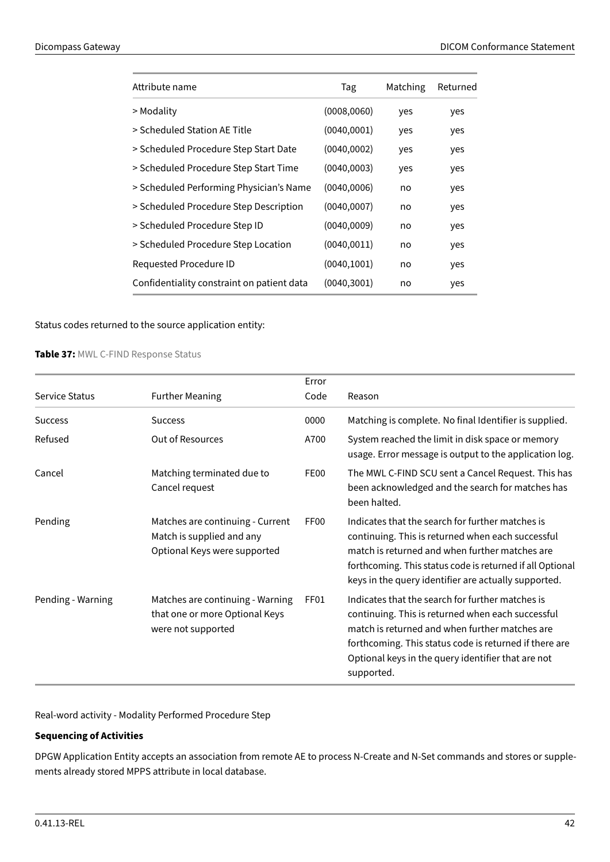| Attribute name                             | Tag          | Matching | Returned |
|--------------------------------------------|--------------|----------|----------|
| > Modality                                 | (0008, 0060) | yes      | yes      |
| > Scheduled Station AE Title               | (0040,0001)  | yes      | yes      |
| > Scheduled Procedure Step Start Date      | (0040, 0002) | yes      | yes      |
| > Scheduled Procedure Step Start Time      | (0040,0003)  | yes      | yes      |
| > Scheduled Performing Physician's Name    | (0040, 0006) | no       | yes      |
| > Scheduled Procedure Step Description     | (0040, 0007) | no       | yes      |
| > Scheduled Procedure Step ID              | (0040, 0009) | no       | yes      |
| > Scheduled Procedure Step Location        | (0040, 0011) | no       | yes      |
| Requested Procedure ID                     | (0040, 1001) | no       | yes      |
| Confidentiality constraint on patient data | (0040, 3001) | no       | yes      |

<span id="page-41-0"></span>Status codes returned to the source application entity:

**Table 37:** MWL C-FIND Response Status

|                   |                                                                                               | Error            |                                                                                                                                                                                                                                                                                       |
|-------------------|-----------------------------------------------------------------------------------------------|------------------|---------------------------------------------------------------------------------------------------------------------------------------------------------------------------------------------------------------------------------------------------------------------------------------|
| Service Status    | <b>Further Meaning</b>                                                                        | Code             | Reason                                                                                                                                                                                                                                                                                |
| <b>Success</b>    | <b>Success</b>                                                                                | 0000             | Matching is complete. No final Identifier is supplied.                                                                                                                                                                                                                                |
| Refused           | Out of Resources                                                                              | A700             | System reached the limit in disk space or memory<br>usage. Error message is output to the application log.                                                                                                                                                                            |
| Cancel            | Matching terminated due to<br>Cancel request                                                  | FE00             | The MWL C-FIND SCU sent a Cancel Request. This has<br>been acknowledged and the search for matches has<br>been halted.                                                                                                                                                                |
| Pending           | Matches are continuing - Current<br>Match is supplied and any<br>Optional Keys were supported | FF <sub>00</sub> | Indicates that the search for further matches is<br>continuing. This is returned when each successful<br>match is returned and when further matches are<br>forthcoming. This status code is returned if all Optional<br>keys in the query identifier are actually supported.          |
| Pending - Warning | Matches are continuing - Warning<br>that one or more Optional Keys<br>were not supported      | FF01             | Indicates that the search for further matches is<br>continuing. This is returned when each successful<br>match is returned and when further matches are<br>forthcoming. This status code is returned if there are<br>Optional keys in the query identifier that are not<br>supported. |

Real-word activity - Modality Performed Procedure Step

# **Sequencing of Activities**

DPGW Application Entity accepts an association from remote AE to process N-Create and N-Set commands and stores or supplements already stored MPPS attribute in local database.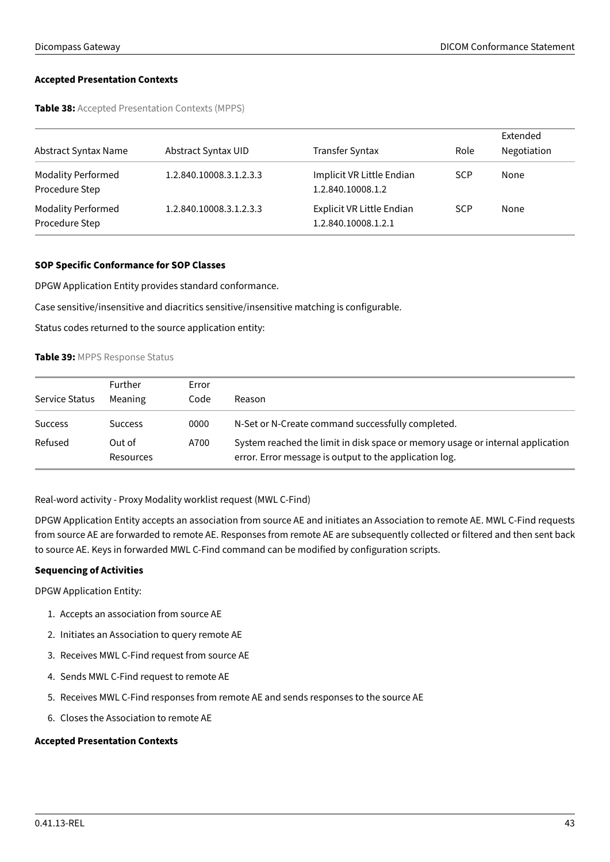## <span id="page-42-0"></span>**Accepted Presentation Contexts**

**Table 38:** Accepted Presentation Contexts (MPPS)

| Abstract Syntax Name                        | Abstract Syntax UID     | <b>Transfer Syntax</b>                           | Role       | Extended<br>Negotiation |
|---------------------------------------------|-------------------------|--------------------------------------------------|------------|-------------------------|
| <b>Modality Performed</b><br>Procedure Step | 1.2.840.10008.3.1.2.3.3 | Implicit VR Little Endian<br>1.2.840.10008.1.2   | <b>SCP</b> | None                    |
| <b>Modality Performed</b><br>Procedure Step | 1.2.840.10008.3.1.2.3.3 | Explicit VR Little Endian<br>1.2.840.10008.1.2.1 | <b>SCP</b> | None                    |

# **SOP Specific Conformance for SOP Classes**

DPGW Application Entity provides standard conformance.

Case sensitive/insensitive and diacritics sensitive/insensitive matching is configurable.

<span id="page-42-1"></span>Status codes returned to the source application entity:

# **Table 39:** MPPS Response Status

| Service Status | Further<br>Meaning  | Error<br>Code | Reason                                                                                                                                   |
|----------------|---------------------|---------------|------------------------------------------------------------------------------------------------------------------------------------------|
| <b>Success</b> | <b>Success</b>      | 0000          | N-Set or N-Create command successfully completed.                                                                                        |
| Refused        | Out of<br>Resources | A700          | System reached the limit in disk space or memory usage or internal application<br>error. Error message is output to the application log. |

Real-word activity - Proxy Modality worklist request (MWL C-Find)

DPGW Application Entity accepts an association from source AE and initiates an Association to remote AE. MWL C-Find requests from source AE are forwarded to remote AE. Responses from remote AE are subsequently collected or filtered and then sent back to source AE. Keys in forwarded MWL C-Find command can be modified by configuration scripts.

#### **Sequencing of Activities**

DPGW Application Entity:

- 1. Accepts an association from source AE
- 2. Initiates an Association to query remote AE
- 3. Receives MWL C-Find request from source AE
- 4. Sends MWL C-Find request to remote AE
- 5. Receives MWL C-Find responses from remote AE and sends responses to the source AE
- 6. Closes the Association to remote AE

#### <span id="page-42-2"></span>**Accepted Presentation Contexts**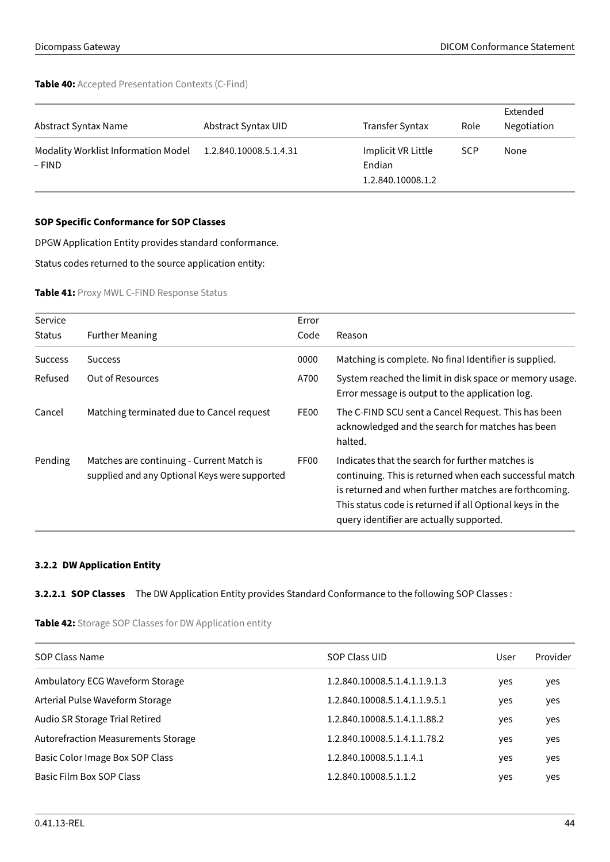**Table 40:** Accepted Presentation Contexts (C-Find)

| Abstract Syntax Name                            | Abstract Syntax UID    | Transfer Syntax                                   | Role       | Extended<br>Negotiation |
|-------------------------------------------------|------------------------|---------------------------------------------------|------------|-------------------------|
| Modality Worklist Information Model<br>$-$ FIND | 1.2.840.10008.5.1.4.31 | Implicit VR Little<br>Endian<br>1.2.840.10008.1.2 | <b>SCP</b> | None                    |

# **SOP Specific Conformance for SOP Classes**

DPGW Application Entity provides standard conformance.

<span id="page-43-1"></span>Status codes returned to the source application entity:

#### **Table 41:** Proxy MWL C-FIND Response Status

| Service        |                                                                                            | Error            |                                                                                                                                                                                                                                                                              |
|----------------|--------------------------------------------------------------------------------------------|------------------|------------------------------------------------------------------------------------------------------------------------------------------------------------------------------------------------------------------------------------------------------------------------------|
| <b>Status</b>  | <b>Further Meaning</b>                                                                     | Code             | Reason                                                                                                                                                                                                                                                                       |
| <b>Success</b> | <b>Success</b>                                                                             | 0000             | Matching is complete. No final Identifier is supplied.                                                                                                                                                                                                                       |
| Refused        | <b>Out of Resources</b>                                                                    | A700             | System reached the limit in disk space or memory usage.<br>Error message is output to the application log.                                                                                                                                                                   |
| Cancel         | Matching terminated due to Cancel request                                                  | FE00             | The C-FIND SCU sent a Cancel Request. This has been<br>acknowledged and the search for matches has been<br>halted.                                                                                                                                                           |
| Pending        | Matches are continuing - Current Match is<br>supplied and any Optional Keys were supported | FF <sub>00</sub> | Indicates that the search for further matches is<br>continuing. This is returned when each successful match<br>is returned and when further matches are forthcoming.<br>This status code is returned if all Optional keys in the<br>query identifier are actually supported. |

# <span id="page-43-0"></span>**3.2.2 DW Application Entity**

# <span id="page-43-2"></span>**3.2.2.1 SOP Classes** The DW Application Entity provides Standard Conformance to the following SOP Classes :

**Table 42:** Storage SOP Classes for DW Application entity

| SOP Class Name                             | SOP Class UID                 | User | Provider |
|--------------------------------------------|-------------------------------|------|----------|
| Ambulatory ECG Waveform Storage            | 1.2.840.10008.5.1.4.1.1.9.1.3 | yes  | yes      |
| Arterial Pulse Waveform Storage            | 1.2.840.10008.5.1.4.1.1.9.5.1 | yes  | yes      |
| Audio SR Storage Trial Retired             | 1.2.840.10008.5.1.4.1.1.88.2  | yes  | yes      |
| <b>Autorefraction Measurements Storage</b> | 1.2.840.10008.5.1.4.1.1.78.2  | yes  | yes      |
| Basic Color Image Box SOP Class            | 1.2.840.10008.5.1.1.4.1       | yes  | yes      |
| Basic Film Box SOP Class                   | 1.2.840.10008.5.1.1.2         | yes  | yes      |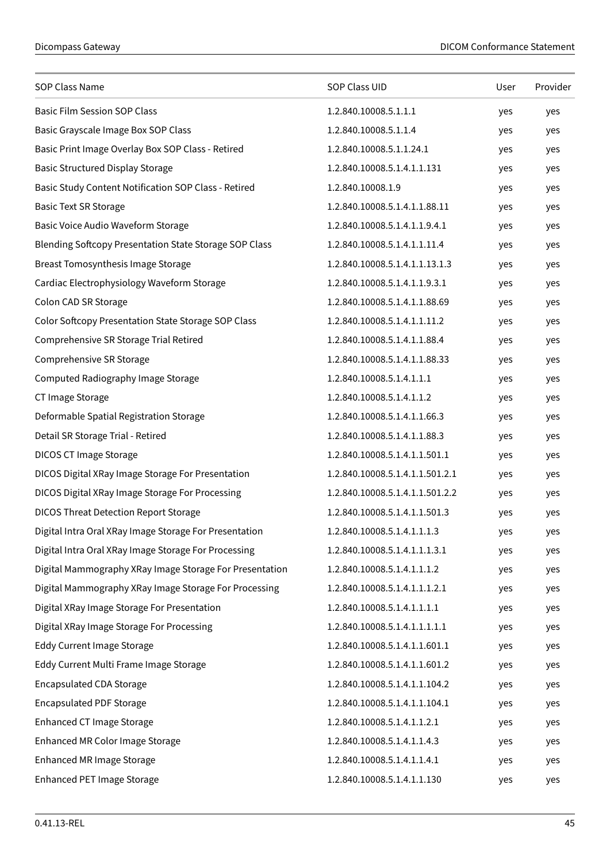| SOP Class Name                                                | SOP Class UID                   | User | Provider |
|---------------------------------------------------------------|---------------------------------|------|----------|
| <b>Basic Film Session SOP Class</b>                           | 1.2.840.10008.5.1.1.1           | yes  | yes      |
| Basic Grayscale Image Box SOP Class                           | 1.2.840.10008.5.1.1.4           | yes  | yes      |
| Basic Print Image Overlay Box SOP Class - Retired             | 1.2.840.10008.5.1.1.24.1        | yes  | yes      |
| <b>Basic Structured Display Storage</b>                       | 1.2.840.10008.5.1.4.1.1.131     | yes  | yes      |
| Basic Study Content Notification SOP Class - Retired          | 1.2.840.10008.1.9               | yes  | yes      |
| <b>Basic Text SR Storage</b>                                  | 1.2.840.10008.5.1.4.1.1.88.11   | yes  | yes      |
| Basic Voice Audio Waveform Storage                            | 1.2.840.10008.5.1.4.1.1.9.4.1   | yes  | yes      |
| <b>Blending Softcopy Presentation State Storage SOP Class</b> | 1.2.840.10008.5.1.4.1.1.11.4    | yes  | yes      |
| Breast Tomosynthesis Image Storage                            | 1.2.840.10008.5.1.4.1.1.13.1.3  | yes  | yes      |
| Cardiac Electrophysiology Waveform Storage                    | 1.2.840.10008.5.1.4.1.1.9.3.1   | yes  | yes      |
| Colon CAD SR Storage                                          | 1.2.840.10008.5.1.4.1.1.88.69   | yes  | yes      |
| Color Softcopy Presentation State Storage SOP Class           | 1.2.840.10008.5.1.4.1.1.11.2    | yes  | yes      |
| Comprehensive SR Storage Trial Retired                        | 1.2.840.10008.5.1.4.1.1.88.4    | yes  | yes      |
| Comprehensive SR Storage                                      | 1.2.840.10008.5.1.4.1.1.88.33   | yes  | yes      |
| Computed Radiography Image Storage                            | 1.2.840.10008.5.1.4.1.1.1       | yes  | yes      |
| CT Image Storage                                              | 1.2.840.10008.5.1.4.1.1.2       | yes  | yes      |
| Deformable Spatial Registration Storage                       | 1.2.840.10008.5.1.4.1.1.66.3    | yes  | yes      |
| Detail SR Storage Trial - Retired                             | 1.2.840.10008.5.1.4.1.1.88.3    | yes  | yes      |
| DICOS CT Image Storage                                        | 1.2.840.10008.5.1.4.1.1.501.1   | yes  | yes      |
| DICOS Digital XRay Image Storage For Presentation             | 1.2.840.10008.5.1.4.1.1.501.2.1 | yes  | yes      |
| DICOS Digital XRay Image Storage For Processing               | 1.2.840.10008.5.1.4.1.1.501.2.2 | yes  | yes      |
| <b>DICOS Threat Detection Report Storage</b>                  | 1.2.840.10008.5.1.4.1.1.501.3   | yes  | yes      |
| Digital Intra Oral XRay Image Storage For Presentation        | 1.2.840.10008.5.1.4.1.1.1.3     | yes  | yes      |
| Digital Intra Oral XRay Image Storage For Processing          | 1.2.840.10008.5.1.4.1.1.1.3.1   | yes  | yes      |
| Digital Mammography XRay Image Storage For Presentation       | 1.2.840.10008.5.1.4.1.1.1.2     | yes  | yes      |
| Digital Mammography XRay Image Storage For Processing         | 1.2.840.10008.5.1.4.1.1.1.2.1   | yes  | yes      |
| Digital XRay Image Storage For Presentation                   | 1.2.840.10008.5.1.4.1.1.1.1     | yes  | yes      |
| Digital XRay Image Storage For Processing                     | 1.2.840.10008.5.1.4.1.1.1.1.1   | yes  | yes      |
| <b>Eddy Current Image Storage</b>                             | 1.2.840.10008.5.1.4.1.1.601.1   | yes  | yes      |
| Eddy Current Multi Frame Image Storage                        | 1.2.840.10008.5.1.4.1.1.601.2   | yes  | yes      |
| <b>Encapsulated CDA Storage</b>                               | 1.2.840.10008.5.1.4.1.1.104.2   | yes  | yes      |
| <b>Encapsulated PDF Storage</b>                               | 1.2.840.10008.5.1.4.1.1.104.1   | yes  | yes      |
| <b>Enhanced CT Image Storage</b>                              | 1.2.840.10008.5.1.4.1.1.2.1     | yes  | yes      |
| Enhanced MR Color Image Storage                               | 1.2.840.10008.5.1.4.1.1.4.3     | yes  | yes      |
| <b>Enhanced MR Image Storage</b>                              | 1.2.840.10008.5.1.4.1.1.4.1     | yes  | yes      |
| <b>Enhanced PET Image Storage</b>                             | 1.2.840.10008.5.1.4.1.1.130     | yes  | yes      |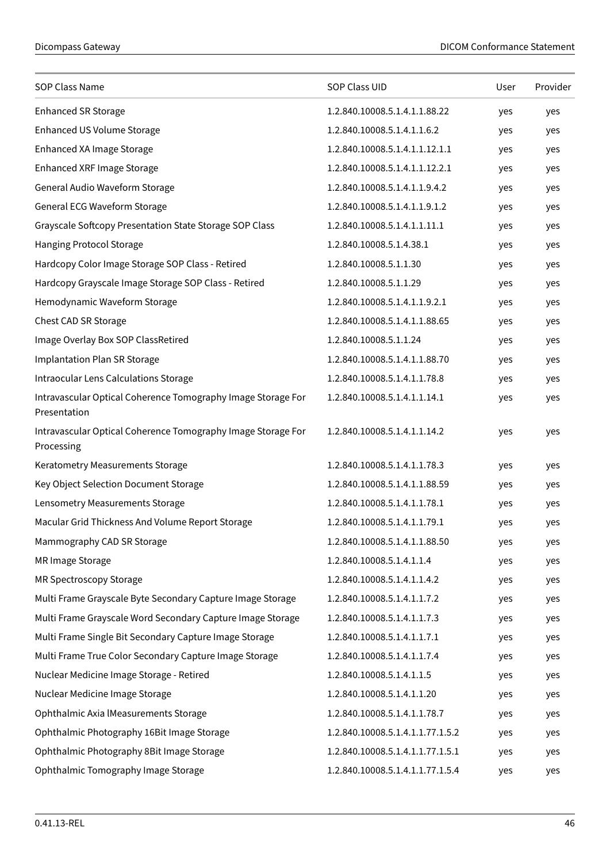| SOP Class Name                                                               | SOP Class UID                    | User | Provider |
|------------------------------------------------------------------------------|----------------------------------|------|----------|
| <b>Enhanced SR Storage</b>                                                   | 1.2.840.10008.5.1.4.1.1.88.22    | yes  | yes      |
| <b>Enhanced US Volume Storage</b>                                            | 1.2.840.10008.5.1.4.1.1.6.2      | yes  | yes      |
| Enhanced XA Image Storage                                                    | 1.2.840.10008.5.1.4.1.1.12.1.1   | yes  | yes      |
| Enhanced XRF Image Storage                                                   | 1.2.840.10008.5.1.4.1.1.12.2.1   | yes  | yes      |
| General Audio Waveform Storage                                               | 1.2.840.10008.5.1.4.1.1.9.4.2    | yes  | yes      |
| General ECG Waveform Storage                                                 | 1.2.840.10008.5.1.4.1.1.9.1.2    | yes  | yes      |
| Grayscale Softcopy Presentation State Storage SOP Class                      | 1.2.840.10008.5.1.4.1.1.11.1     | yes  | yes      |
| Hanging Protocol Storage                                                     | 1.2.840.10008.5.1.4.38.1         | yes  | yes      |
| Hardcopy Color Image Storage SOP Class - Retired                             | 1.2.840.10008.5.1.1.30           | yes  | yes      |
| Hardcopy Grayscale Image Storage SOP Class - Retired                         | 1.2.840.10008.5.1.1.29           | yes  | yes      |
| Hemodynamic Waveform Storage                                                 | 1.2.840.10008.5.1.4.1.1.9.2.1    | yes  | yes      |
| Chest CAD SR Storage                                                         | 1.2.840.10008.5.1.4.1.1.88.65    | yes  | yes      |
| Image Overlay Box SOP ClassRetired                                           | 1.2.840.10008.5.1.1.24           | yes  | yes      |
| <b>Implantation Plan SR Storage</b>                                          | 1.2.840.10008.5.1.4.1.1.88.70    | yes  | yes      |
| Intraocular Lens Calculations Storage                                        | 1.2.840.10008.5.1.4.1.1.78.8     | yes  | yes      |
| Intravascular Optical Coherence Tomography Image Storage For<br>Presentation | 1.2.840.10008.5.1.4.1.1.14.1     | yes  | yes      |
| Intravascular Optical Coherence Tomography Image Storage For<br>Processing   | 1.2.840.10008.5.1.4.1.1.14.2     | yes  | yes      |
| Keratometry Measurements Storage                                             | 1.2.840.10008.5.1.4.1.1.78.3     | yes  | yes      |
| Key Object Selection Document Storage                                        | 1.2.840.10008.5.1.4.1.1.88.59    | yes  | yes      |
| Lensometry Measurements Storage                                              | 1.2.840.10008.5.1.4.1.1.78.1     | yes  | yes      |
| Macular Grid Thickness And Volume Report Storage                             | 1.2.840.10008.5.1.4.1.1.79.1     | yes  | yes      |
| Mammography CAD SR Storage                                                   | 1.2.840.10008.5.1.4.1.1.88.50    | yes  | yes      |
| MR Image Storage                                                             | 1.2.840.10008.5.1.4.1.1.4        | yes  | yes      |
| MR Spectroscopy Storage                                                      | 1.2.840.10008.5.1.4.1.1.4.2      | yes  | yes      |
| Multi Frame Grayscale Byte Secondary Capture Image Storage                   | 1.2.840.10008.5.1.4.1.1.7.2      | yes  | yes      |
| Multi Frame Grayscale Word Secondary Capture Image Storage                   | 1.2.840.10008.5.1.4.1.1.7.3      | yes  | yes      |
| Multi Frame Single Bit Secondary Capture Image Storage                       | 1.2.840.10008.5.1.4.1.1.7.1      | yes  | yes      |
| Multi Frame True Color Secondary Capture Image Storage                       | 1.2.840.10008.5.1.4.1.1.7.4      | yes  | yes      |
| Nuclear Medicine Image Storage - Retired                                     | 1.2.840.10008.5.1.4.1.1.5        | yes  | yes      |
| Nuclear Medicine Image Storage                                               | 1.2.840.10008.5.1.4.1.1.20       | yes  | yes      |
| Ophthalmic Axia IMeasurements Storage                                        | 1.2.840.10008.5.1.4.1.1.78.7     | yes  | yes      |
| Ophthalmic Photography 16Bit Image Storage                                   | 1.2.840.10008.5.1.4.1.1.77.1.5.2 | yes  | yes      |
| Ophthalmic Photography 8Bit Image Storage                                    | 1.2.840.10008.5.1.4.1.1.77.1.5.1 | yes  | yes      |
| Ophthalmic Tomography Image Storage                                          | 1.2.840.10008.5.1.4.1.1.77.1.5.4 | yes  | yes      |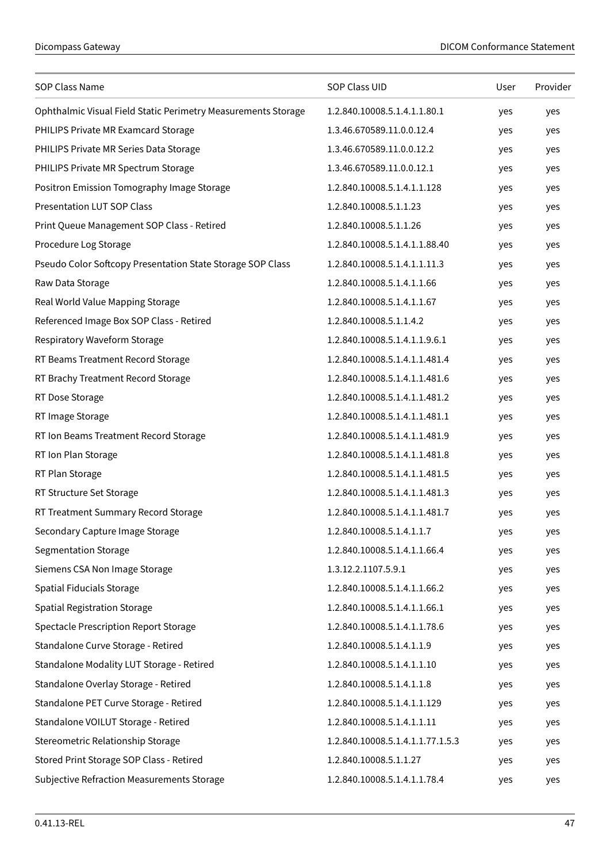| SOP Class Name                                                | SOP Class UID                    | User | Provider |
|---------------------------------------------------------------|----------------------------------|------|----------|
| Ophthalmic Visual Field Static Perimetry Measurements Storage | 1.2.840.10008.5.1.4.1.1.80.1     | yes  | yes      |
| PHILIPS Private MR Examcard Storage                           | 1.3.46.670589.11.0.0.12.4        | yes  | yes      |
| PHILIPS Private MR Series Data Storage                        | 1.3.46.670589.11.0.0.12.2        | yes  | yes      |
| PHILIPS Private MR Spectrum Storage                           | 1.3.46.670589.11.0.0.12.1        | yes  | yes      |
| Positron Emission Tomography Image Storage                    | 1.2.840.10008.5.1.4.1.1.128      | yes  | yes      |
| <b>Presentation LUT SOP Class</b>                             | 1.2.840.10008.5.1.1.23           | yes  | yes      |
| Print Queue Management SOP Class - Retired                    | 1.2.840.10008.5.1.1.26           | yes  | yes      |
| Procedure Log Storage                                         | 1.2.840.10008.5.1.4.1.1.88.40    | yes  | yes      |
| Pseudo Color Softcopy Presentation State Storage SOP Class    | 1.2.840.10008.5.1.4.1.1.11.3     | yes  | yes      |
| Raw Data Storage                                              | 1.2.840.10008.5.1.4.1.1.66       | yes  | yes      |
| Real World Value Mapping Storage                              | 1.2.840.10008.5.1.4.1.1.67       | yes  | yes      |
| Referenced Image Box SOP Class - Retired                      | 1.2.840.10008.5.1.1.4.2          | yes  | yes      |
| Respiratory Waveform Storage                                  | 1.2.840.10008.5.1.4.1.1.9.6.1    | yes  | yes      |
| RT Beams Treatment Record Storage                             | 1.2.840.10008.5.1.4.1.1.481.4    | yes  | yes      |
| RT Brachy Treatment Record Storage                            | 1.2.840.10008.5.1.4.1.1.481.6    | yes  | yes      |
| RT Dose Storage                                               | 1.2.840.10008.5.1.4.1.1.481.2    | yes  | yes      |
| RT Image Storage                                              | 1.2.840.10008.5.1.4.1.1.481.1    | yes  | yes      |
| RT Ion Beams Treatment Record Storage                         | 1.2.840.10008.5.1.4.1.1.481.9    | yes  | yes      |
| RT Ion Plan Storage                                           | 1.2.840.10008.5.1.4.1.1.481.8    | yes  | yes      |
| RT Plan Storage                                               | 1.2.840.10008.5.1.4.1.1.481.5    | yes  | yes      |
| RT Structure Set Storage                                      | 1.2.840.10008.5.1.4.1.1.481.3    | yes  | yes      |
| RT Treatment Summary Record Storage                           | 1.2.840.10008.5.1.4.1.1.481.7    | yes  | yes      |
| Secondary Capture Image Storage                               | 1.2.840.10008.5.1.4.1.1.7        | yes  | yes      |
| <b>Segmentation Storage</b>                                   | 1.2.840.10008.5.1.4.1.1.66.4     | yes  | yes      |
| Siemens CSA Non Image Storage                                 | 1.3.12.2.1107.5.9.1              | yes  | yes      |
| Spatial Fiducials Storage                                     | 1.2.840.10008.5.1.4.1.1.66.2     | yes  | yes      |
| <b>Spatial Registration Storage</b>                           | 1.2.840.10008.5.1.4.1.1.66.1     | yes  | yes      |
| <b>Spectacle Prescription Report Storage</b>                  | 1.2.840.10008.5.1.4.1.1.78.6     | yes  | yes      |
| Standalone Curve Storage - Retired                            | 1.2.840.10008.5.1.4.1.1.9        | yes  | yes      |
| Standalone Modality LUT Storage - Retired                     | 1.2.840.10008.5.1.4.1.1.10       | yes  | yes      |
| Standalone Overlay Storage - Retired                          | 1.2.840.10008.5.1.4.1.1.8        | yes  | yes      |
| Standalone PET Curve Storage - Retired                        | 1.2.840.10008.5.1.4.1.1.129      | yes  | yes      |
| Standalone VOILUT Storage - Retired                           | 1.2.840.10008.5.1.4.1.1.11       | yes  | yes      |
| Stereometric Relationship Storage                             | 1.2.840.10008.5.1.4.1.1.77.1.5.3 | yes  | yes      |
| Stored Print Storage SOP Class - Retired                      | 1.2.840.10008.5.1.1.27           | yes  | yes      |
| Subjective Refraction Measurements Storage                    | 1.2.840.10008.5.1.4.1.1.78.4     | yes  | yes      |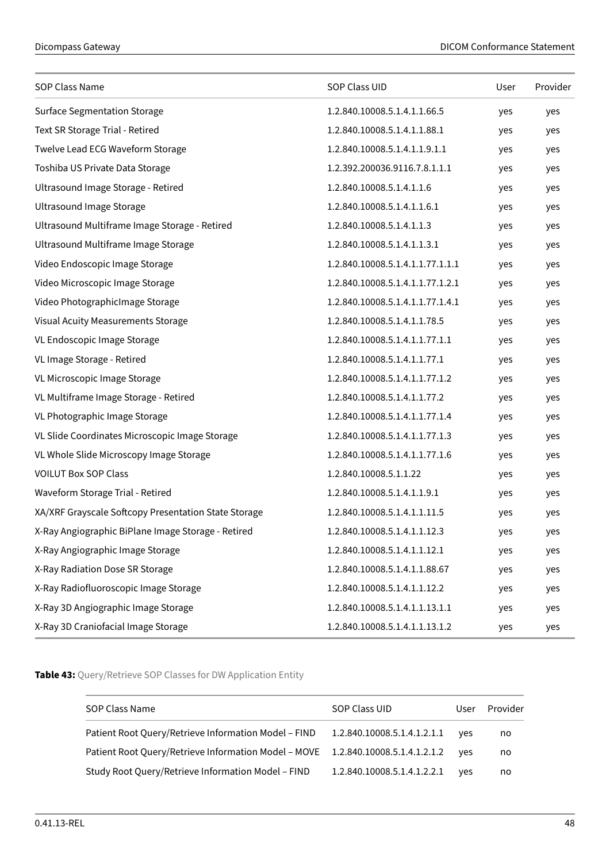| SOP Class Name                                       | SOP Class UID                    | User | Provider |
|------------------------------------------------------|----------------------------------|------|----------|
| <b>Surface Segmentation Storage</b>                  | 1.2.840.10008.5.1.4.1.1.66.5     | yes  | yes      |
| Text SR Storage Trial - Retired                      | 1.2.840.10008.5.1.4.1.1.88.1     | yes  | yes      |
| Twelve Lead ECG Waveform Storage                     | 1.2.840.10008.5.1.4.1.1.9.1.1    | yes  | yes      |
| Toshiba US Private Data Storage                      | 1.2.392.200036.9116.7.8.1.1.1    | yes  | yes      |
| Ultrasound Image Storage - Retired                   | 1.2.840.10008.5.1.4.1.1.6        | yes  | yes      |
| <b>Ultrasound Image Storage</b>                      | 1.2.840.10008.5.1.4.1.1.6.1      | yes  | yes      |
| Ultrasound Multiframe Image Storage - Retired        | 1.2.840.10008.5.1.4.1.1.3        | yes  | yes      |
| Ultrasound Multiframe Image Storage                  | 1.2.840.10008.5.1.4.1.1.3.1      | yes  | yes      |
| Video Endoscopic Image Storage                       | 1.2.840.10008.5.1.4.1.1.77.1.1.1 | yes  | yes      |
| Video Microscopic Image Storage                      | 1.2.840.10008.5.1.4.1.1.77.1.2.1 | yes  | yes      |
| Video PhotographicImage Storage                      | 1.2.840.10008.5.1.4.1.1.77.1.4.1 | yes  | yes      |
| Visual Acuity Measurements Storage                   | 1.2.840.10008.5.1.4.1.1.78.5     | yes  | yes      |
| VL Endoscopic Image Storage                          | 1.2.840.10008.5.1.4.1.1.77.1.1   | yes  | yes      |
| VL Image Storage - Retired                           | 1.2.840.10008.5.1.4.1.1.77.1     | yes  | yes      |
| VL Microscopic Image Storage                         | 1.2.840.10008.5.1.4.1.1.77.1.2   | yes  | yes      |
| VL Multiframe Image Storage - Retired                | 1.2.840.10008.5.1.4.1.1.77.2     | yes  | yes      |
| VL Photographic Image Storage                        | 1.2.840.10008.5.1.4.1.1.77.1.4   | yes  | yes      |
| VL Slide Coordinates Microscopic Image Storage       | 1.2.840.10008.5.1.4.1.1.77.1.3   | yes  | yes      |
| VL Whole Slide Microscopy Image Storage              | 1.2.840.10008.5.1.4.1.1.77.1.6   | yes  | yes      |
| <b>VOILUT Box SOP Class</b>                          | 1.2.840.10008.5.1.1.22           | yes  | yes      |
| Waveform Storage Trial - Retired                     | 1.2.840.10008.5.1.4.1.1.9.1      | yes  | yes      |
| XA/XRF Grayscale Softcopy Presentation State Storage | 1.2.840.10008.5.1.4.1.1.11.5     | yes  | yes      |
| X-Ray Angiographic BiPlane Image Storage - Retired   | 1.2.840.10008.5.1.4.1.1.12.3     | yes  | yes      |
| X-Ray Angiographic Image Storage                     | 1.2.840.10008.5.1.4.1.1.12.1     | yes  | yes      |
| X-Ray Radiation Dose SR Storage                      | 1.2.840.10008.5.1.4.1.1.88.67    | yes  | yes      |
| X-Ray Radiofluoroscopic Image Storage                | 1.2.840.10008.5.1.4.1.1.12.2     | yes  | yes      |
| X-Ray 3D Angiographic Image Storage                  | 1.2.840.10008.5.1.4.1.1.13.1.1   | yes  | yes      |
| X-Ray 3D Craniofacial Image Storage                  | 1.2.840.10008.5.1.4.1.1.13.1.2   | yes  | yes      |

<span id="page-47-0"></span>**Table 43:** Query/Retrieve SOP Classes for DW Application Entity

| SOP Class Name                                                                   | SOP Class UID               | User | Provider |
|----------------------------------------------------------------------------------|-----------------------------|------|----------|
| Patient Root Query/Retrieve Information Model - FIND                             | 1.2.840.10008.5.1.4.1.2.1.1 | ves  | no       |
| Patient Root Query/Retrieve Information Model - MOVE 1.2.840.10008.5.1.4.1.2.1.2 |                             | ves  | no       |
| Study Root Query/Retrieve Information Model - FIND                               | 1.2.840.10008.5.1.4.1.2.2.1 | ves  | no       |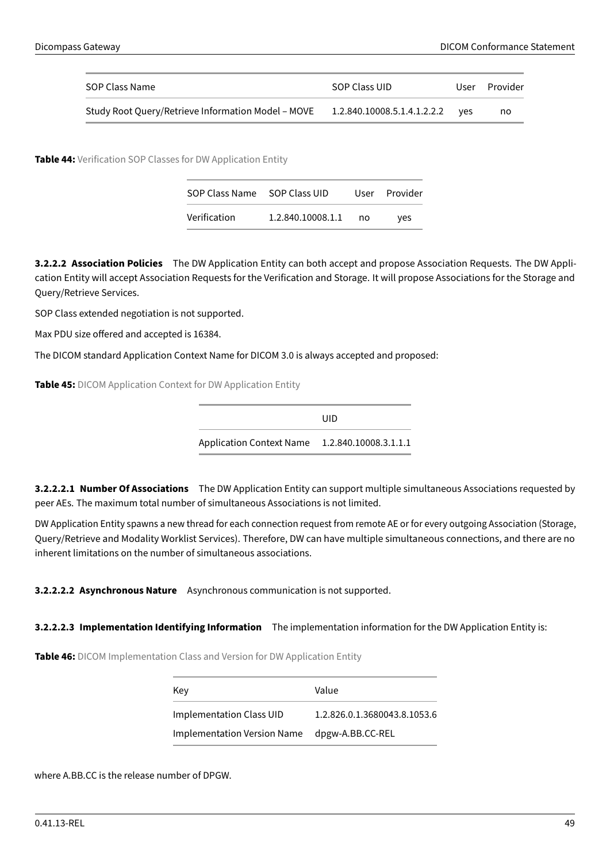| SOP Class Name                                     | SOP Class UID                   | User | Provider |
|----------------------------------------------------|---------------------------------|------|----------|
| Study Root Query/Retrieve Information Model - MOVE | 1.2.840.10008.5.1.4.1.2.2.2 ves |      | no       |

<span id="page-48-0"></span>**Table 44:** Verification SOP Classes for DW Application Entity

| SOP Class Name SOP Class UID |                   |      | User Provider |
|------------------------------|-------------------|------|---------------|
| Verification                 | 1.2.840.10008.1.1 | no n | ves           |

**3.2.2.2 Association Policies** The DW Application Entity can both accept and propose Association Requests. The DW Application Entity will accept Association Requests for the Verification and Storage. It will propose Associations for the Storage and Query/Retrieve Services.

SOP Class extended negotiation is not supported.

Max PDU size offered and accepted is 16384.

<span id="page-48-1"></span>The DICOM standard Application Context Name for DICOM 3.0 is always accepted and proposed:

**Table 45:** DICOM Application Context for DW Application Entity

UID Application Context Name 1.2.840.10008.3.1.1.1

**3.2.2.2.1 Number Of Associations** The DW Application Entity can support multiple simultaneous Associations requested by peer AEs. The maximum total number of simultaneous Associations is not limited.

DW Application Entity spawns a new thread for each connection request from remote AE or for every outgoing Association (Storage, Query/Retrieve and Modality Worklist Services). Therefore, DW can have multiple simultaneous connections, and there are no inherent limitations on the number of simultaneous associations.

**3.2.2.2.2 Asynchronous Nature** Asynchronous communication is not supported.

<span id="page-48-2"></span>**3.2.2.2.3 Implementation Identifying Information** The implementation information for the DW Application Entity is:

**Table 46:** DICOM Implementation Class and Version for DW Application Entity

| Key                         | Value                        |
|-----------------------------|------------------------------|
| Implementation Class UID    | 1.2.826.0.1.3680043.8.1053.6 |
| Implementation Version Name | dpgw-A.BB.CC-REL             |

where A.BB.CC is the release number of DPGW.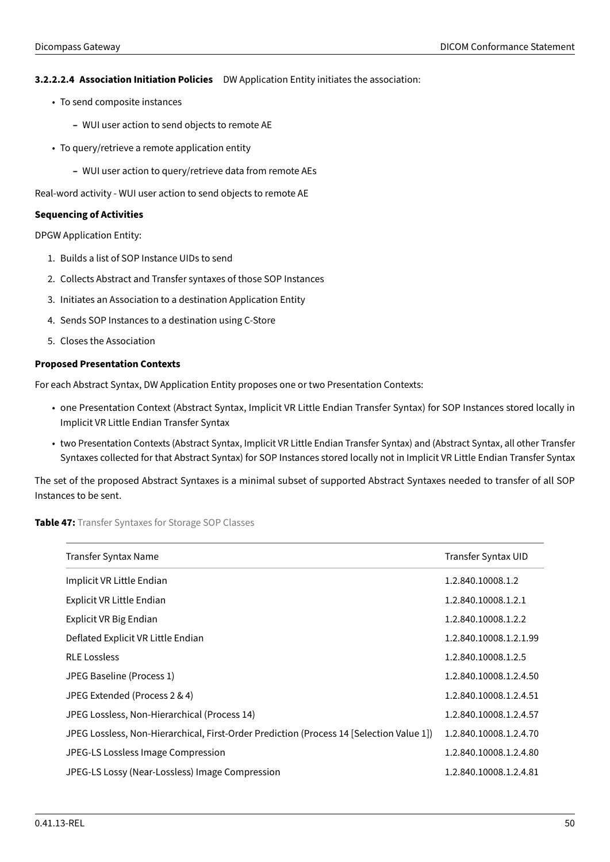# **3.2.2.2.4 Association Initiation Policies** DW Application Entity initiates the association:

- To send composite instances
	- **–** WUI user action to send objects to remote AE
- To query/retrieve a remote application entity
	- **–** WUI user action to query/retrieve data from remote AEs

Real-word activity - WUI user action to send objects to remote AE

## **Sequencing of Activities**

DPGW Application Entity:

- 1. Builds a list of SOP Instance UIDs to send
- 2. Collects Abstract and Transfer syntaxes of those SOP Instances
- 3. Initiates an Association to a destination Application Entity
- 4. Sends SOP Instances to a destination using C-Store
- 5. Closes the Association

# **Proposed Presentation Contexts**

For each Abstract Syntax, DW Application Entity proposes one or two Presentation Contexts:

- one Presentation Context (Abstract Syntax, Implicit VR Little Endian Transfer Syntax) for SOP Instances stored locally in Implicit VR Little Endian Transfer Syntax
- two Presentation Contexts (Abstract Syntax, Implicit VR Little Endian Transfer Syntax) and (Abstract Syntax, all other Transfer Syntaxes collected for that Abstract Syntax) for SOP Instances stored locally not in Implicit VR Little Endian Transfer Syntax

The set of the proposed Abstract Syntaxes is a minimal subset of supported Abstract Syntaxes needed to transfer of all SOP Instances to be sent.

<span id="page-49-0"></span>**Table 47:** Transfer Syntaxes for Storage SOP Classes

| Transfer Syntax Name                                                                     | Transfer Syntax UID    |
|------------------------------------------------------------------------------------------|------------------------|
| Implicit VR Little Endian                                                                | 1.2.840.10008.1.2      |
| Explicit VR Little Endian                                                                | 1.2.840.10008.1.2.1    |
| Explicit VR Big Endian                                                                   | 1.2.840.10008.1.2.2    |
| Deflated Explicit VR Little Endian                                                       | 1.2.840.10008.1.2.1.99 |
| <b>RLE Lossless</b>                                                                      | 1.2.840.10008.1.2.5    |
| JPEG Baseline (Process 1)                                                                | 1.2.840.10008.1.2.4.50 |
| JPEG Extended (Process 2 & 4)                                                            | 1.2.840.10008.1.2.4.51 |
| JPEG Lossless, Non-Hierarchical (Process 14)                                             | 1.2.840.10008.1.2.4.57 |
| JPEG Lossless, Non-Hierarchical, First-Order Prediction (Process 14 [Selection Value 1]) | 1.2.840.10008.1.2.4.70 |
| JPEG-LS Lossless Image Compression                                                       | 1.2.840.10008.1.2.4.80 |
| JPEG-LS Lossy (Near-Lossless) Image Compression                                          | 1.2.840.10008.1.2.4.81 |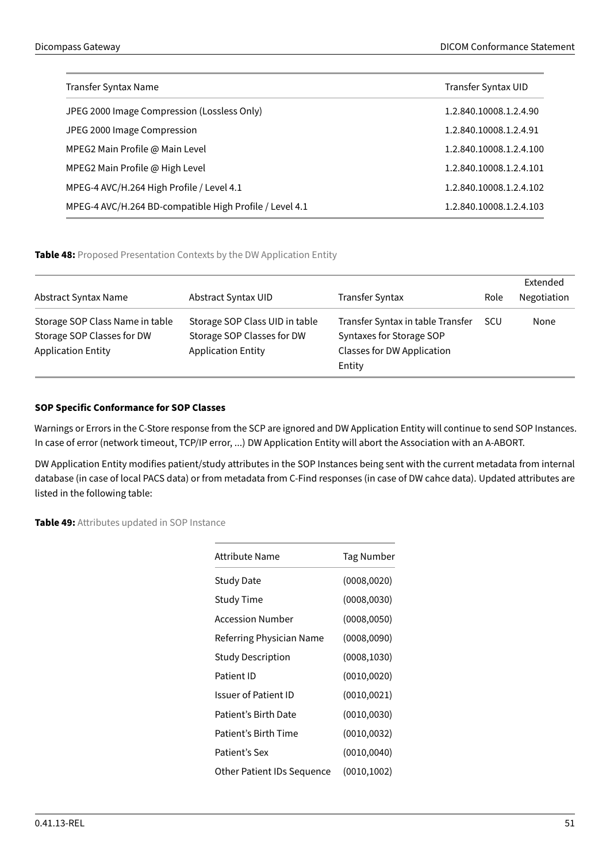| Transfer Syntax Name                                    | Transfer Syntax UID     |
|---------------------------------------------------------|-------------------------|
| JPEG 2000 Image Compression (Lossless Only)             | 1.2.840.10008.1.2.4.90  |
| JPEG 2000 Image Compression                             | 1.2.840.10008.1.2.4.91  |
| MPEG2 Main Profile @ Main Level                         | 1.2.840.10008.1.2.4.100 |
| MPEG2 Main Profile @ High Level                         | 1.2.840.10008.1.2.4.101 |
| MPEG-4 AVC/H.264 High Profile / Level 4.1               | 1.2.840.10008.1.2.4.102 |
| MPEG-4 AVC/H.264 BD-compatible High Profile / Level 4.1 | 1.2.840.10008.1.2.4.103 |
|                                                         |                         |

# <span id="page-50-0"></span>**Table 48:** Proposed Presentation Contexts by the DW Application Entity

| Abstract Syntax Name                                                                       | Abstract Syntax UID                                                                       | <b>Transfer Syntax</b>                                                                                       | Role | Extended<br>Negotiation |
|--------------------------------------------------------------------------------------------|-------------------------------------------------------------------------------------------|--------------------------------------------------------------------------------------------------------------|------|-------------------------|
| Storage SOP Class Name in table<br>Storage SOP Classes for DW<br><b>Application Entity</b> | Storage SOP Class UID in table<br>Storage SOP Classes for DW<br><b>Application Entity</b> | Transfer Syntax in table Transfer<br>Syntaxes for Storage SOP<br><b>Classes for DW Application</b><br>Entity | SCU  | None                    |

# **SOP Specific Conformance for SOP Classes**

Warnings or Errors in the C-Store response from the SCP are ignored and DW Application Entity will continue to send SOP Instances. In case of error (network timeout, TCP/IP error, ...) DW Application Entity will abort the Association with an A-ABORT.

DW Application Entity modifies patient/study attributes in the SOP Instances being sent with the current metadata from internal database (in case of local PACS data) or from metadata from C-Find responses (in case of DW cahce data). Updated attributes are listed in the following table:

<span id="page-50-1"></span>**Table 49:** Attributes updated in SOP Instance

| Attribute Name             | Tag Number   |
|----------------------------|--------------|
| Study Date                 | (0008, 0020) |
| Study Time                 | (0008, 0030) |
| Accession Number           | (0008, 0050) |
| Referring Physician Name   | (0008,0090)  |
| Study Description          | (0008, 1030) |
| Patient ID                 | (0010, 0020) |
| Issuer of Patient ID       | (0010, 0021) |
| Patient's Birth Date       | (0010, 0030) |
| Patient's Birth Time       | (0010, 0032) |
| Patient's Sex              | (0010, 0040) |
| Other Patient IDs Sequence | (0010, 1002) |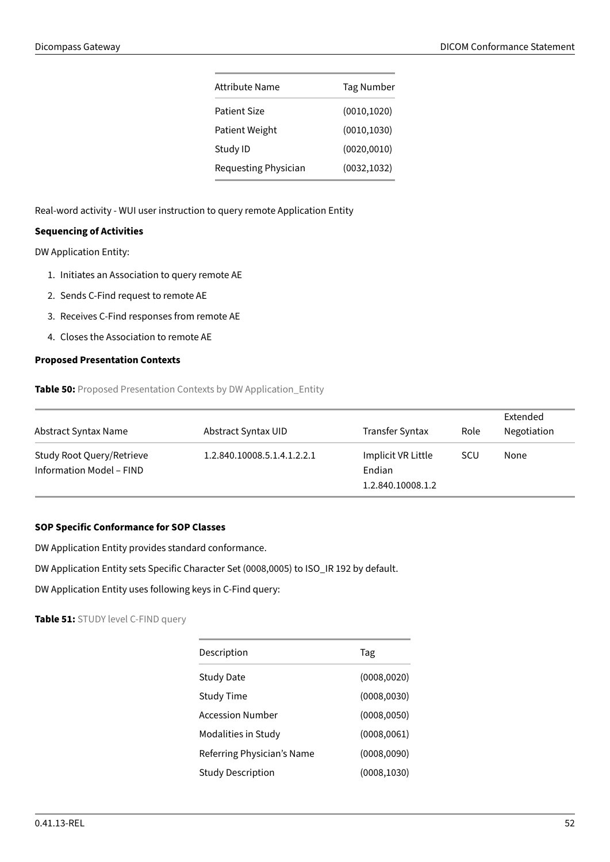| Attribute Name       | Tag Number   |
|----------------------|--------------|
| Patient Size         | (0010, 1020) |
| Patient Weight       | (0010, 1030) |
| Study ID             | (0020, 0010) |
| Requesting Physician | (0032, 1032) |

Real-word activity - WUI user instruction to query remote Application Entity

# **Sequencing of Activities**

DW Application Entity:

- 1. Initiates an Association to query remote AE
- 2. Sends C-Find request to remote AE
- 3. Receives C-Find responses from remote AE
- 4. Closes the Association to remote AE

# <span id="page-51-0"></span>**Proposed Presentation Contexts**

**Table 50:** Proposed Presentation Contexts by DW Application\_Entity

| Abstract Syntax Name                                         | Abstract Syntax UID         | <b>Transfer Syntax</b>       | Role       | Extended<br>Negotiation |
|--------------------------------------------------------------|-----------------------------|------------------------------|------------|-------------------------|
| Study Root Query/Retrieve<br><b>Information Model - FIND</b> | 1.2.840.10008.5.1.4.1.2.2.1 | Implicit VR Little<br>Endian | <b>SCU</b> | None                    |
|                                                              |                             | 1.2.840.10008.1.2            |            |                         |

# **SOP Specific Conformance for SOP Classes**

DW Application Entity provides standard conformance.

DW Application Entity sets Specific Character Set (0008,0005) to ISO\_IR 192 by default.

<span id="page-51-1"></span>DW Application Entity uses following keys in C-Find query:

**Table 51:** STUDY level C-FIND query

| Description                | Tag          |
|----------------------------|--------------|
| <b>Study Date</b>          | (0008, 0020) |
| <b>Study Time</b>          | (0008, 0030) |
| Accession Number           | (0008, 0050) |
| Modalities in Study        | (0008, 0061) |
| Referring Physician's Name | (0008,0090)  |
| <b>Study Description</b>   | (0008, 1030) |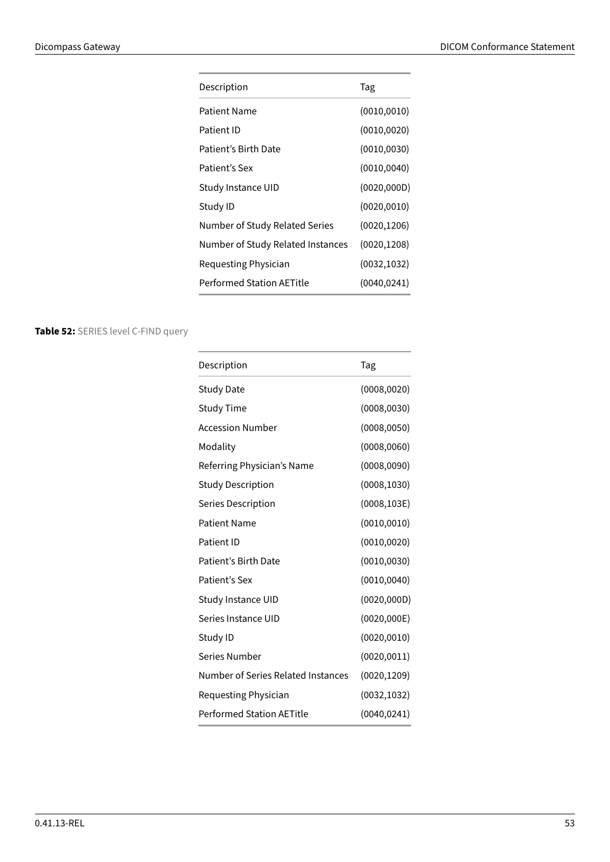| Description                       | Tag          |
|-----------------------------------|--------------|
| Patient Name                      | (0010, 0010) |
| Patient ID                        | (0010, 0020) |
| Patient's Birth Date              | (0010, 0030) |
| Patient's Sex                     | (0010, 0040) |
| Study Instance UID                | (0020, 000D) |
| Study ID                          | (0020, 0010) |
| Number of Study Related Series    | (0020, 1206) |
| Number of Study Related Instances | (0020, 1208) |
| Requesting Physician              | (0032, 1032) |
| <b>Performed Station AETitle</b>  | (0040, 0241) |
|                                   |              |

# <span id="page-52-1"></span><span id="page-52-0"></span>**Table 52:** SERIES level C-FIND query

| Description                               | Tag          |
|-------------------------------------------|--------------|
| <b>Study Date</b>                         | (0008, 0020) |
| <b>Study Time</b>                         | (0008, 0030) |
| <b>Accession Number</b>                   | (0008, 0050) |
| Modality                                  | (0008, 0060) |
| Referring Physician's Name                | (0008, 0090) |
| <b>Study Description</b>                  | (0008, 1030) |
| Series Description                        | (0008, 103E) |
| <b>Patient Name</b>                       | (0010, 0010) |
| Patient ID                                | (0010, 0020) |
| Patient's Birth Date                      | (0010, 0030) |
| Patient's Sex                             | (0010, 0040) |
| Study Instance UID                        | (0020, 000D) |
| Series Instance UID                       | (0020, 000E) |
| Study ID                                  | (0020, 0010) |
| Series Number                             | (0020, 0011) |
| <b>Number of Series Related Instances</b> | (0020, 1209) |
| Requesting Physician                      | (0032, 1032) |
| <b>Performed Station AETitle</b>          | (0040, 0241) |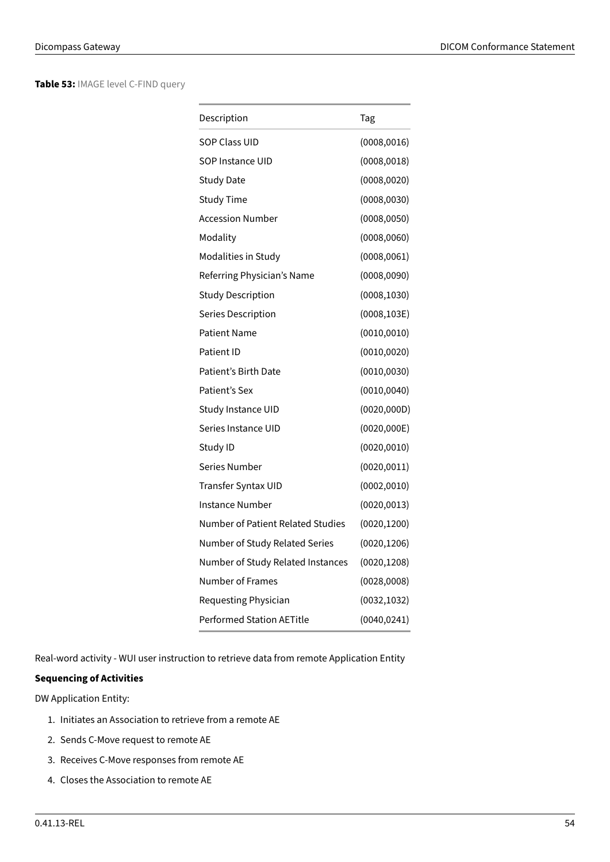**Table 53:** IMAGE level C-FIND query

| Description                       | Tag          |
|-----------------------------------|--------------|
| <b>SOP Class UID</b>              | (0008, 0016) |
| SOP Instance UID                  | (0008, 0018) |
| <b>Study Date</b>                 | (0008, 0020) |
| <b>Study Time</b>                 | (0008, 0030) |
| <b>Accession Number</b>           | (0008, 0050) |
| Modality                          | (0008, 0060) |
| Modalities in Study               | (0008, 0061) |
| Referring Physician's Name        | (0008, 0090) |
| <b>Study Description</b>          | (0008, 1030) |
| <b>Series Description</b>         | (0008, 103E) |
| Patient Name                      | (0010, 0010) |
| Patient ID                        | (0010, 0020) |
| Patient's Birth Date              | (0010, 0030) |
| Patient's Sex                     | (0010, 0040) |
| Study Instance UID                | (0020, 000D) |
| Series Instance UID               | (0020, 000E) |
| Study ID                          | (0020, 0010) |
| Series Number                     | (0020, 0011) |
| Transfer Syntax UID               | (0002, 0010) |
| Instance Number                   | (0020, 0013) |
| Number of Patient Related Studies | (0020, 1200) |
| Number of Study Related Series    | (0020, 1206) |
| Number of Study Related Instances | (0020, 1208) |
| Number of Frames                  | (0028,0008)  |
| Requesting Physician              | (0032, 1032) |
| <b>Performed Station AFTitle</b>  | (0040, 0241) |

Real-word activity - WUI user instruction to retrieve data from remote Application Entity

# **Sequencing of Activities**

DW Application Entity:

- 1. Initiates an Association to retrieve from a remote AE
- 2. Sends C-Move request to remote AE
- 3. Receives C-Move responses from remote AE
- 4. Closes the Association to remote AE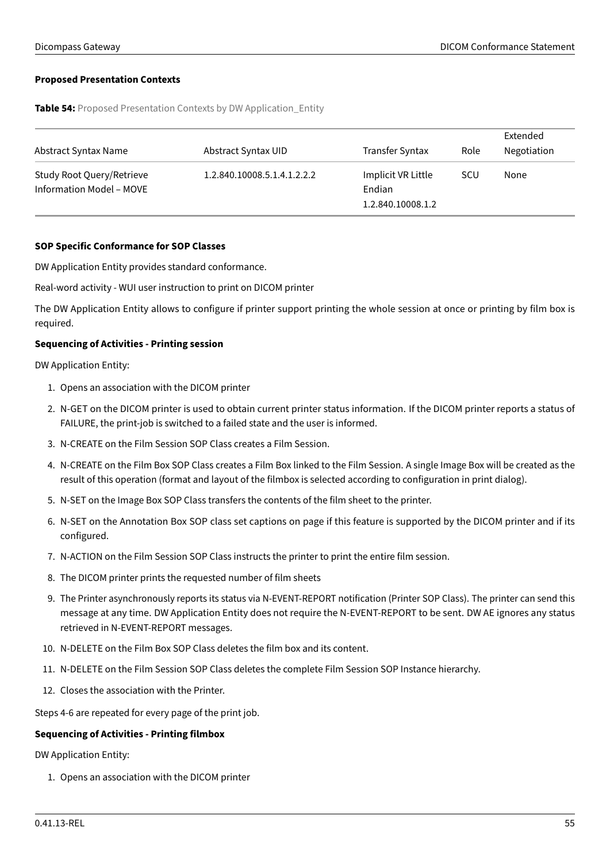# <span id="page-54-0"></span>**Proposed Presentation Contexts**

**Table 54:** Proposed Presentation Contexts by DW Application Entity

| Abstract Syntax Name                                  | Abstract Syntax UID         | Transfer Syntax                                   | Role | Extended<br>Negotiation |
|-------------------------------------------------------|-----------------------------|---------------------------------------------------|------|-------------------------|
| Study Root Query/Retrieve<br>Information Model - MOVE | 1.2.840.10008.5.1.4.1.2.2.2 | Implicit VR Little<br>Endian<br>1.2.840.10008.1.2 | scu  | None                    |

#### **SOP Specific Conformance for SOP Classes**

DW Application Entity provides standard conformance.

Real-word activity - WUI user instruction to print on DICOM printer

The DW Application Entity allows to configure if printer support printing the whole session at once or printing by film box is required.

# **Sequencing of Activities - Printing session**

DW Application Entity:

- 1. Opens an association with the DICOM printer
- 2. N-GET on the DICOM printer is used to obtain current printer status information. If the DICOM printer reports a status of FAILURE, the print-job is switched to a failed state and the user is informed.
- 3. N-CREATE on the Film Session SOP Class creates a Film Session.
- 4. N-CREATE on the Film Box SOP Class creates a Film Box linked to the Film Session. A single Image Box will be created as the result of this operation (format and layout of the filmbox is selected according to configuration in print dialog).
- 5. N-SET on the Image Box SOP Class transfers the contents of the film sheet to the printer.
- 6. N-SET on the Annotation Box SOP class set captions on page if this feature is supported by the DICOM printer and if its configured.
- 7. N-ACTION on the Film Session SOP Class instructs the printer to print the entire film session.
- 8. The DICOM printer prints the requested number of film sheets
- 9. The Printer asynchronously reports its status via N-EVENT-REPORT notification (Printer SOP Class). The printer can send this message at any time. DW Application Entity does not require the N-EVENT-REPORT to be sent. DW AE ignores any status retrieved in N-EVENT-REPORT messages.
- 10. N-DELETE on the Film Box SOP Class deletes the film box and its content.
- 11. N-DELETE on the Film Session SOP Class deletes the complete Film Session SOP Instance hierarchy.
- 12. Closes the association with the Printer.

Steps 4-6 are repeated for every page of the print job.

# **Sequencing of Activities - Printing filmbox**

DW Application Entity:

1. Opens an association with the DICOM printer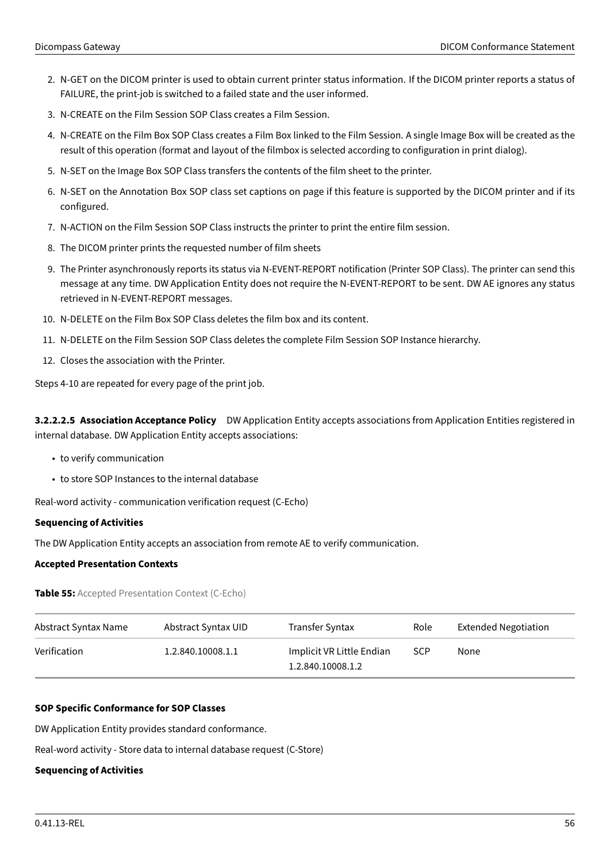- 2. N-GET on the DICOM printer is used to obtain current printer status information. If the DICOM printer reports a status of FAILURE, the print-job is switched to a failed state and the user informed.
- 3. N-CREATE on the Film Session SOP Class creates a Film Session.
- 4. N-CREATE on the Film Box SOP Class creates a Film Box linked to the Film Session. A single Image Box will be created as the result of this operation (format and layout of the filmbox is selected according to configuration in print dialog).
- 5. N-SET on the Image Box SOP Class transfers the contents of the film sheet to the printer.
- 6. N-SET on the Annotation Box SOP class set captions on page if this feature is supported by the DICOM printer and if its configured.
- 7. N-ACTION on the Film Session SOP Class instructs the printer to print the entire film session.
- 8. The DICOM printer prints the requested number of film sheets
- 9. The Printer asynchronously reports its status via N-EVENT-REPORT notification (Printer SOP Class). The printer can send this message at any time. DW Application Entity does not require the N-EVENT-REPORT to be sent. DW AE ignores any status retrieved in N-EVENT-REPORT messages.
- 10. N-DELETE on the Film Box SOP Class deletes the film box and its content.
- 11. N-DELETE on the Film Session SOP Class deletes the complete Film Session SOP Instance hierarchy.
- 12. Closes the association with the Printer.

Steps 4-10 are repeated for every page of the print job.

**3.2.2.2.5 Association Acceptance Policy** DW Application Entity accepts associations from Application Entities registered in internal database. DW Application Entity accepts associations:

- to verify communication
- to store SOP Instances to the internal database

Real-word activity - communication verification request (C-Echo)

#### **Sequencing of Activities**

The DW Application Entity accepts an association from remote AE to verify communication.

#### <span id="page-55-0"></span>**Accepted Presentation Contexts**

**Table 55:** Accepted Presentation Context (C-Echo)

| Abstract Syntax Name | Abstract Syntax UID | Transfer Syntax                                | Role       | <b>Extended Negotiation</b> |
|----------------------|---------------------|------------------------------------------------|------------|-----------------------------|
| Verification         | 1.2.840.10008.1.1   | Implicit VR Little Endian<br>1.2.840.10008.1.2 | <b>SCP</b> | None                        |

#### **SOP Specific Conformance for SOP Classes**

DW Application Entity provides standard conformance.

Real-word activity - Store data to internal database request (C-Store)

#### **Sequencing of Activities**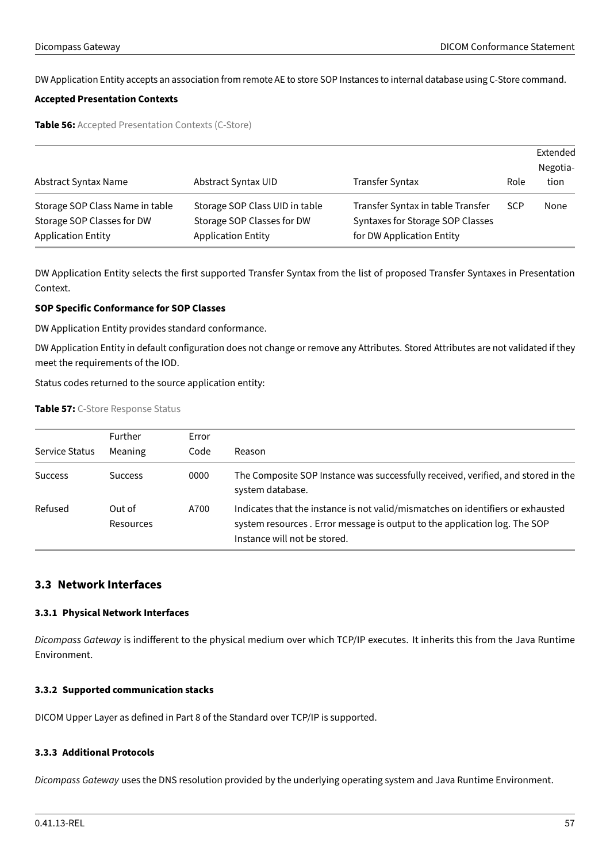DW Application Entity accepts an association from remote AE to store SOP Instances to internal database using C-Store command.

## <span id="page-56-4"></span>**Accepted Presentation Contexts**

**Table 56:** Accepted Presentation Contexts (C-Store)

| Abstract Syntax Name                                                                       | Abstract Syntax UID                                                                       | <b>Transfer Syntax</b>                                                                             | Role       | Extended<br>Negotia-<br>tion |
|--------------------------------------------------------------------------------------------|-------------------------------------------------------------------------------------------|----------------------------------------------------------------------------------------------------|------------|------------------------------|
| Storage SOP Class Name in table<br>Storage SOP Classes for DW<br><b>Application Entity</b> | Storage SOP Class UID in table<br>Storage SOP Classes for DW<br><b>Application Entity</b> | Transfer Syntax in table Transfer<br>Syntaxes for Storage SOP Classes<br>for DW Application Entity | <b>SCP</b> | None                         |

DW Application Entity selects the first supported Transfer Syntax from the list of proposed Transfer Syntaxes in Presentation Context.

# **SOP Specific Conformance for SOP Classes**

DW Application Entity provides standard conformance.

DW Application Entity in default configuration does not change or remove any Attributes. Stored Attributes are not validated if they meet the requirements of the IOD.

<span id="page-56-5"></span>Status codes returned to the source application entity:

#### **Table 57:** C-Store Response Status

|                | Further             | Error |                                                                                                                                                                                              |
|----------------|---------------------|-------|----------------------------------------------------------------------------------------------------------------------------------------------------------------------------------------------|
| Service Status | Meaning             | Code  | Reason                                                                                                                                                                                       |
| <b>Success</b> | <b>Success</b>      | 0000  | The Composite SOP Instance was successfully received, verified, and stored in the<br>system database.                                                                                        |
| Refused        | Out of<br>Resources | A700  | Indicates that the instance is not valid/mismatches on identifiers or exhausted<br>system resources. Error message is output to the application log. The SOP<br>Instance will not be stored. |

# <span id="page-56-0"></span>**3.3 Network Interfaces**

#### <span id="page-56-1"></span>**3.3.1 Physical Network Interfaces**

Dicompass Gateway is indifferent to the physical medium over which TCP/IP executes. It inherits this from the Java Runtime Environment.

# <span id="page-56-2"></span>**3.3.2 Supported communication stacks**

DICOM Upper Layer as defined in Part 8 of the Standard over TCP/IP is supported.

# <span id="page-56-3"></span>**3.3.3 Additional Protocols**

Dicompass Gateway uses the DNS resolution provided by the underlying operating system and Java Runtime Environment.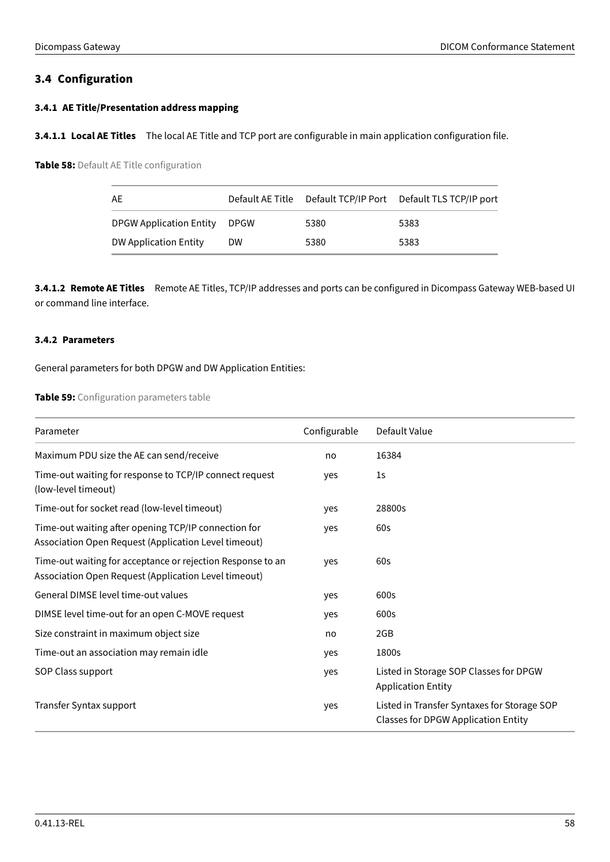# <span id="page-57-0"></span>**3.4 Configuration**

# <span id="page-57-1"></span>**3.4.1 AE Title/Presentation address mapping**

<span id="page-57-3"></span>**3.4.1.1 Local AE Titles** The local AE Title and TCP port are configurable in main application configuration file.

**Table 58:** Default AE Title configuration

| AE                           |           |      | Default AE Title  Default TCP/IP Port  Default TLS TCP/IP port |
|------------------------------|-----------|------|----------------------------------------------------------------|
| DPGW Application Entity DPGW |           | 5380 | 5383                                                           |
| <b>DW Application Entity</b> | <b>DW</b> | 5380 | 5383                                                           |

**3.4.1.2 Remote AE Titles** Remote AE Titles, TCP/IP addresses and ports can be configured in Dicompass Gateway WEB-based UI or command line interface.

# <span id="page-57-2"></span>**3.4.2 Parameters**

<span id="page-57-4"></span>General parameters for both DPGW and DW Application Entities:

# **Table 59:** Configuration parameters table

| Parameter                                                                                                           | Configurable | Default Value                                                                             |
|---------------------------------------------------------------------------------------------------------------------|--------------|-------------------------------------------------------------------------------------------|
| Maximum PDU size the AE can send/receive                                                                            | no           | 16384                                                                                     |
| Time-out waiting for response to TCP/IP connect request<br>(low-level timeout)                                      | yes          | 1 <sub>S</sub>                                                                            |
| Time-out for socket read (low-level timeout)                                                                        | yes          | 28800s                                                                                    |
| Time-out waiting after opening TCP/IP connection for<br>Association Open Request (Application Level timeout)        | yes          | 60s                                                                                       |
| Time-out waiting for acceptance or rejection Response to an<br>Association Open Request (Application Level timeout) | yes          | 60s                                                                                       |
| General DIMSE level time-out values                                                                                 | yes          | 600s                                                                                      |
| DIMSE level time-out for an open C-MOVE request                                                                     | yes          | 600s                                                                                      |
| Size constraint in maximum object size                                                                              | no           | 2GB                                                                                       |
| Time-out an association may remain idle                                                                             | yes          | 1800s                                                                                     |
| SOP Class support                                                                                                   | yes          | Listed in Storage SOP Classes for DPGW<br><b>Application Entity</b>                       |
| Transfer Syntax support                                                                                             | yes          | Listed in Transfer Syntaxes for Storage SOP<br><b>Classes for DPGW Application Entity</b> |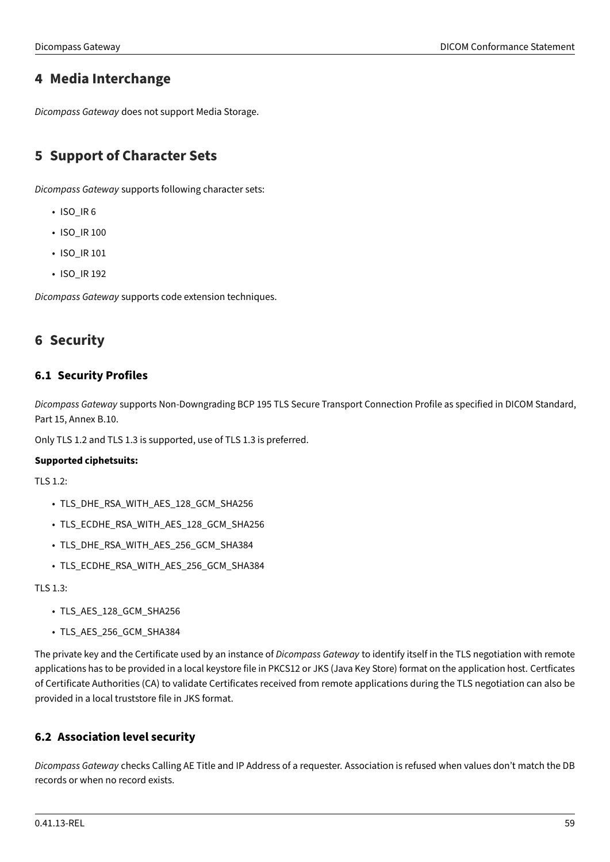# <span id="page-58-0"></span>**4 Media Interchange**

Dicompass Gateway does not support Media Storage.

# <span id="page-58-1"></span>**5 Support of Character Sets**

Dicompass Gateway supports following character sets:

- ISO\_IR 6
- ISO\_IR 100
- ISO\_IR 101
- ISO\_IR 192

Dicompass Gateway supports code extension techniques.

# <span id="page-58-2"></span>**6 Security**

# <span id="page-58-3"></span>**6.1 Security Profiles**

Dicompass Gateway supports Non-Downgrading BCP 195 TLS Secure Transport Connection Profile as specified in DICOM Standard, Part 15, Annex B.10.

Only TLS 1.2 and TLS 1.3 is supported, use of TLS 1.3 is preferred.

# **Supported ciphetsuits:**

 $TI S 1.2$ 

- TLS\_DHE\_RSA\_WITH\_AES\_128\_GCM\_SHA256
- TLS\_ECDHE\_RSA\_WITH\_AES\_128\_GCM\_SHA256
- TLS\_DHE\_RSA\_WITH\_AES\_256\_GCM\_SHA384
- TLS\_ECDHE\_RSA\_WITH\_AES\_256\_GCM\_SHA384

TLS 1.3:

- TLS AES 128 GCM SHA256
- TLS\_AES\_256\_GCM\_SHA384

The private key and the Certificate used by an instance of Dicompass Gateway to identify itself in the TLS negotiation with remote applications has to be provided in a local keystore file in PKCS12 or JKS (Java Key Store) format on the application host. Certficates of Certificate Authorities (CA) to validate Certificates received from remote applications during the TLS negotiation can also be provided in a local truststore file in JKS format.

# <span id="page-58-4"></span>**6.2 Association level security**

Dicompass Gateway checks Calling AE Title and IP Address of a requester. Association is refused when values don't match the DB records or when no record exists.